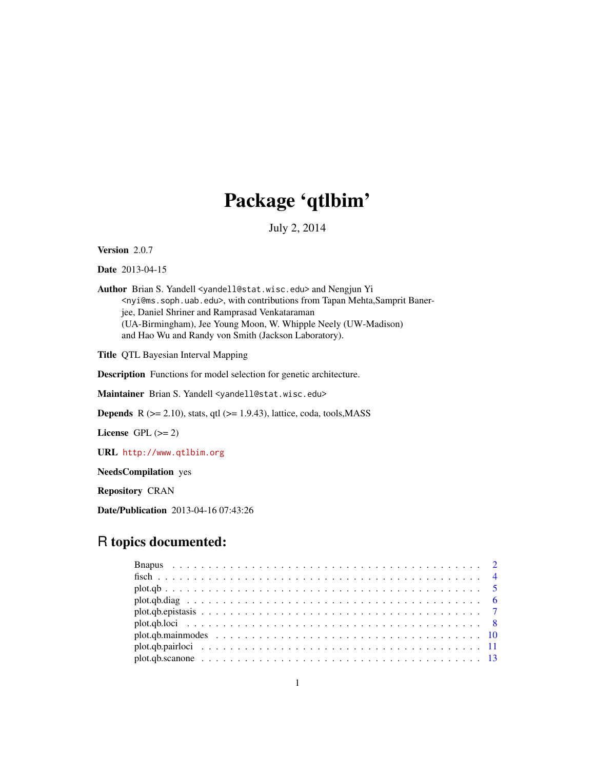## Package 'qtlbim'

July 2, 2014

<span id="page-0-0"></span>Version 2.0.7

Date 2013-04-15

Author Brian S. Yandell <yandell@stat.wisc.edu> and Nengjun Yi <nyi@ms.soph.uab.edu>, with contributions from Tapan Mehta,Samprit Banerjee, Daniel Shriner and Ramprasad Venkataraman (UA-Birmingham), Jee Young Moon, W. Whipple Neely (UW-Madison) and Hao Wu and Randy von Smith (Jackson Laboratory).

Title QTL Bayesian Interval Mapping

Description Functions for model selection for genetic architecture.

Maintainer Brian S. Yandell <yandell@stat.wisc.edu>

**Depends** R  $(>= 2.10)$ , stats, qtl  $(>= 1.9.43)$ , lattice, coda, tools, MASS

License GPL  $(>= 2)$ 

URL <http://www.qtlbim.org>

NeedsCompilation yes

Repository CRAN

Date/Publication 2013-04-16 07:43:26

## R topics documented: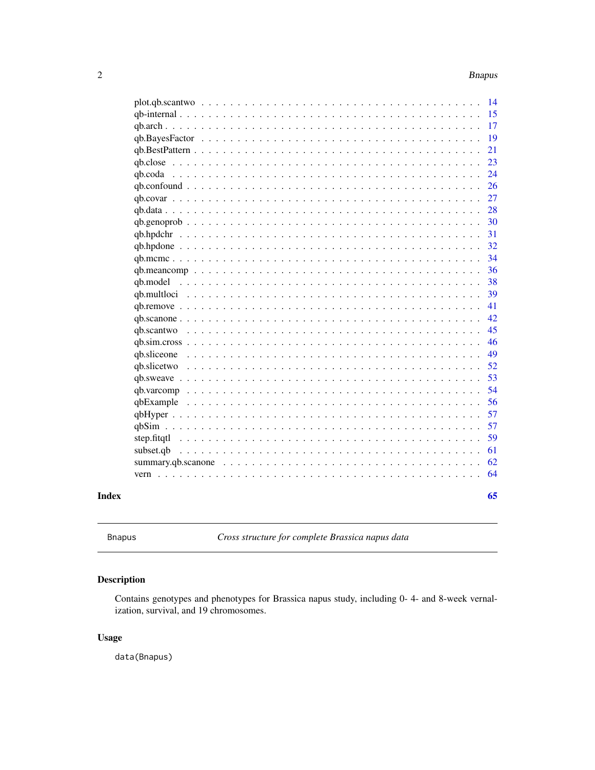<span id="page-1-0"></span>

|                                                                                                                 | 17 |
|-----------------------------------------------------------------------------------------------------------------|----|
|                                                                                                                 | 19 |
|                                                                                                                 | 21 |
|                                                                                                                 | 23 |
|                                                                                                                 | 24 |
|                                                                                                                 | 26 |
|                                                                                                                 | 27 |
|                                                                                                                 | 28 |
|                                                                                                                 | 30 |
|                                                                                                                 | 31 |
|                                                                                                                 | 32 |
|                                                                                                                 | 34 |
|                                                                                                                 | 36 |
|                                                                                                                 | 38 |
|                                                                                                                 | 39 |
|                                                                                                                 | 41 |
|                                                                                                                 | 42 |
|                                                                                                                 | 45 |
|                                                                                                                 | 46 |
|                                                                                                                 | 49 |
|                                                                                                                 | 52 |
|                                                                                                                 | 53 |
|                                                                                                                 | 54 |
|                                                                                                                 | 56 |
|                                                                                                                 | 57 |
|                                                                                                                 | 57 |
| step.fitgtl                                                                                                     | 59 |
| subset.qb                                                                                                       | 61 |
| summary.qb.scanone $\ldots \ldots \ldots \ldots \ldots \ldots \ldots \ldots \ldots \ldots \ldots \ldots \ldots$ | 62 |
|                                                                                                                 | 64 |
|                                                                                                                 | 65 |
|                                                                                                                 |    |

### **Index**

```
Bnapus
```
Cross structure for complete Brassica napus data

### $\begin{minipage}{.4\linewidth} \textbf{Description} \end{minipage} \vspace{-0.5em}$

Contains genotypes and phenotypes for Brassica napus study, including 0-4- and 8-week vernalization, survival, and 19 chromosomes.

### **Usage**

data(Bnapus)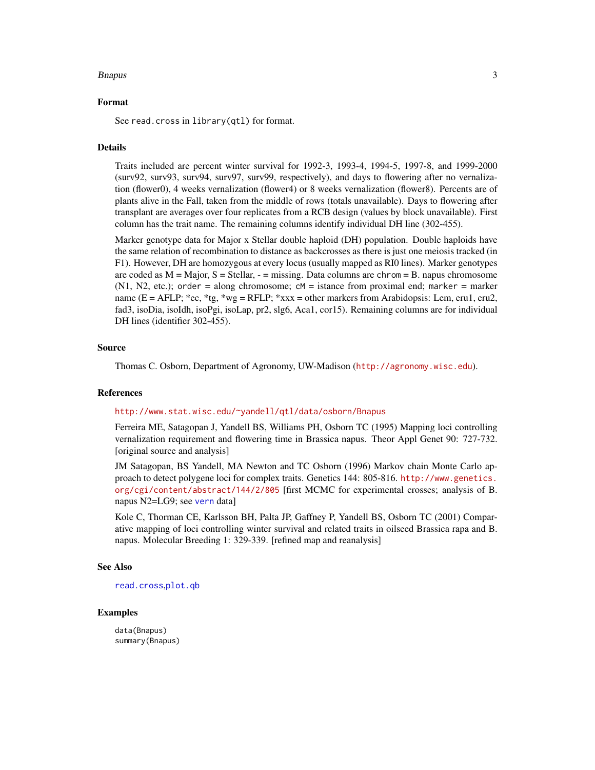#### <span id="page-2-0"></span>Bnapus 3

#### Format

See read.cross in library(qtl) for format.

#### **Details**

Traits included are percent winter survival for 1992-3, 1993-4, 1994-5, 1997-8, and 1999-2000 (surv92, surv93, surv94, surv97, surv99, respectively), and days to flowering after no vernalization (flower0), 4 weeks vernalization (flower4) or 8 weeks vernalization (flower8). Percents are of plants alive in the Fall, taken from the middle of rows (totals unavailable). Days to flowering after transplant are averages over four replicates from a RCB design (values by block unavailable). First column has the trait name. The remaining columns identify individual DH line (302-455).

Marker genotype data for Major x Stellar double haploid (DH) population. Double haploids have the same relation of recombination to distance as backcrosses as there is just one meiosis tracked (in F1). However, DH are homozygous at every locus (usually mapped as RI0 lines). Marker genotypes are coded as  $M =$ Major,  $S =$ Stellar,  $-$  = missing. Data columns are chrom = B. napus chromosome  $(N1, N2, etc.);$  order = along chromosome;  $cM =$  istance from proximal end; marker = marker name (E = AFLP; \*ec, \*tg, \*wg = RFLP; \*xxx = other markers from Arabidopsis: Lem, eru1, eru2, fad3, isoDia, isoIdh, isoPgi, isoLap, pr2, slg6, Aca1, cor15). Remaining columns are for individual DH lines (identifier 302-455).

#### Source

Thomas C. Osborn, Department of Agronomy, UW-Madison (<http://agronomy.wisc.edu>).

#### References

#### <http://www.stat.wisc.edu/~yandell/qtl/data/osborn/Bnapus>

Ferreira ME, Satagopan J, Yandell BS, Williams PH, Osborn TC (1995) Mapping loci controlling vernalization requirement and flowering time in Brassica napus. Theor Appl Genet 90: 727-732. [original source and analysis]

JM Satagopan, BS Yandell, MA Newton and TC Osborn (1996) Markov chain Monte Carlo approach to detect polygene loci for complex traits. Genetics 144: 805-816. [http://www.genetics.](http://www.genetics.org/cgi/content/abstract/144/2/805) [org/cgi/content/abstract/144/2/805](http://www.genetics.org/cgi/content/abstract/144/2/805) [first MCMC for experimental crosses; analysis of B. napus N2=LG9; see [vern](#page-63-1) data]

Kole C, Thorman CE, Karlsson BH, Palta JP, Gaffney P, Yandell BS, Osborn TC (2001) Comparative mapping of loci controlling winter survival and related traits in oilseed Brassica rapa and B. napus. Molecular Breeding 1: 329-339. [refined map and reanalysis]

#### See Also

[read.cross](#page-0-0),[plot.qb](#page-4-1)

#### Examples

data(Bnapus) summary(Bnapus)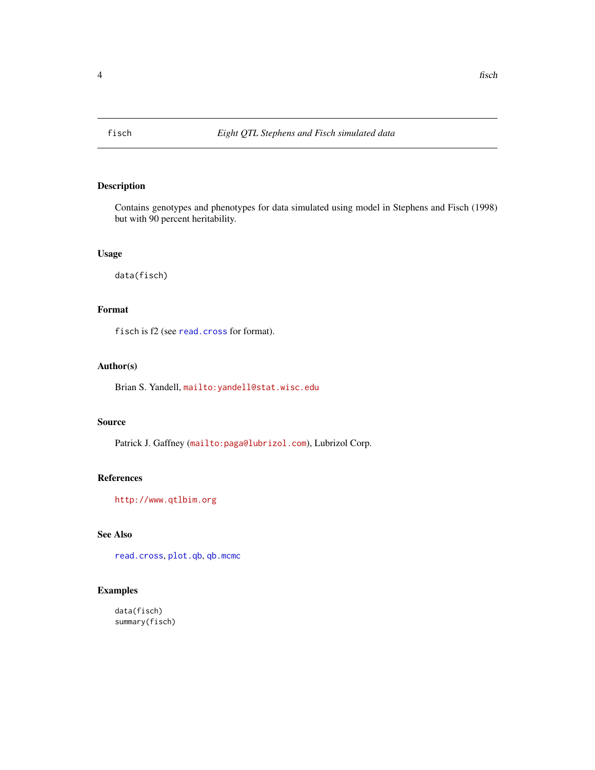<span id="page-3-0"></span>

### Description

Contains genotypes and phenotypes for data simulated using model in Stephens and Fisch (1998) but with 90 percent heritability.

### Usage

data(fisch)

### Format

fisch is f2 (see [read.cross](#page-0-0) for format).

### Author(s)

Brian S. Yandell, <mailto:yandell@stat.wisc.edu>

### Source

Patrick J. Gaffney (<mailto:paga@lubrizol.com>), Lubrizol Corp.

#### References

<http://www.qtlbim.org>

### See Also

[read.cross](#page-0-0), [plot.qb](#page-4-1), [qb.mcmc](#page-33-1)

### Examples

data(fisch) summary(fisch)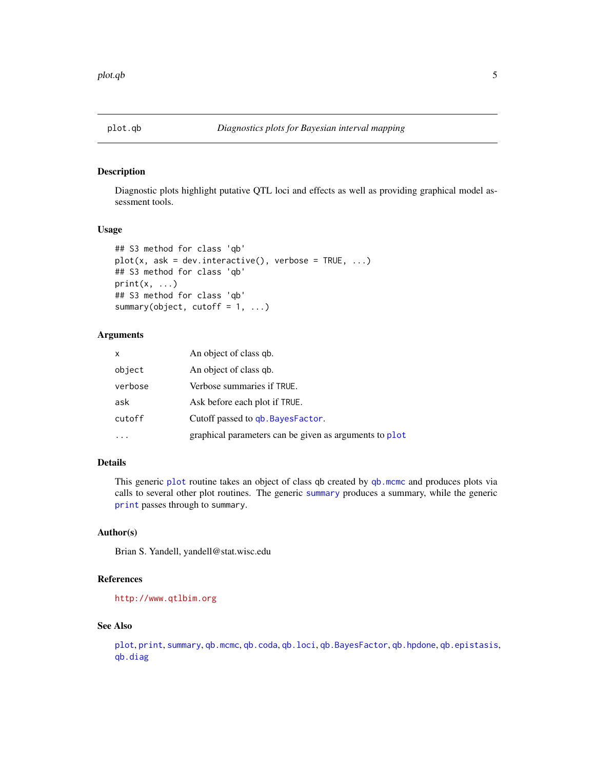<span id="page-4-1"></span><span id="page-4-0"></span>

### Description

Diagnostic plots highlight putative QTL loci and effects as well as providing graphical model assessment tools.

#### Usage

```
## S3 method for class 'qb'
plot(x, ask = dev.interactive(), verbose = TRUE, ...)## S3 method for class 'qb'
print(x, \ldots)## S3 method for class 'qb'
summary(object, cutoff = 1, ...)
```
### Arguments

| X       | An object of class qb.                                 |
|---------|--------------------------------------------------------|
| object  | An object of class qb.                                 |
| verbose | Verbose summaries if TRUE.                             |
| ask     | Ask before each plot if TRUE.                          |
| cutoff  | Cutoff passed to qb. Bayes Factor.                     |
|         | graphical parameters can be given as arguments to plot |

### Details

This generic [plot](#page-0-0) routine takes an object of class qb created by qb. mcmc and produces plots via calls to several other plot routines. The generic [summary](#page-0-0) produces a summary, while the generic [print](#page-0-0) passes through to summary.

### Author(s)

Brian S. Yandell, yandell@stat.wisc.edu

### References

<http://www.qtlbim.org>

#### See Also

[plot](#page-0-0), [print](#page-0-0), [summary](#page-0-0), [qb.mcmc](#page-33-1), [qb.coda](#page-23-1), [qb.loci](#page-7-1), [qb.BayesFactor](#page-18-1), [qb.hpdone](#page-31-1), [qb.epistasis](#page-6-1), [qb.diag](#page-5-1)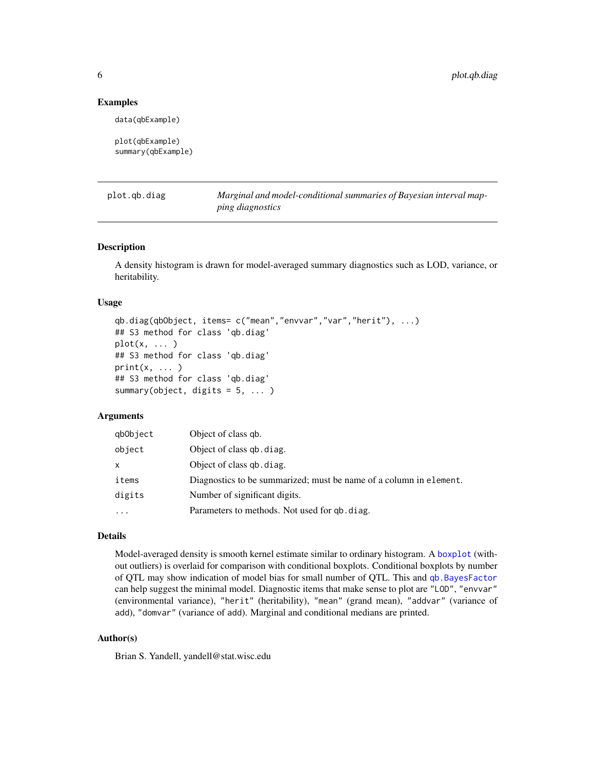#### Examples

data(qbExample)

```
plot(qbExample)
summary(qbExample)
```
plot.qb.diag *Marginal and model-conditional summaries of Bayesian interval mapping diagnostics*

### <span id="page-5-1"></span>Description

A density histogram is drawn for model-averaged summary diagnostics such as LOD, variance, or heritability.

#### Usage

```
qb.diag(qbObject, items= c("mean","envvar","var","herit"), ...)
## S3 method for class 'qb.diag'
plot(x, \ldots)## S3 method for class 'qb.diag'
print(x, ... )
## S3 method for class 'qb.diag'
summary(object, digits = 5, ... )
```
### Arguments

| qbObject | Object of class qb.                                                |
|----------|--------------------------------------------------------------------|
| object   | Object of class qb. diag.                                          |
| x        | Object of class qb. diag.                                          |
| items    | Diagnostics to be summarized; must be name of a column in element. |
| digits   | Number of significant digits.                                      |
| .        | Parameters to methods. Not used for qb. diag.                      |

### Details

Model-averaged density is smooth kernel estimate similar to ordinary histogram. A [boxplot](#page-0-0) (without outliers) is overlaid for comparison with conditional boxplots. Conditional boxplots by number of QTL may show indication of model bias for small number of QTL. This and [qb.BayesFactor](#page-18-1) can help suggest the minimal model. Diagnostic items that make sense to plot are "LOD", "envvar" (environmental variance), "herit" (heritability), "mean" (grand mean), "addvar" (variance of add), "domvar" (variance of add). Marginal and conditional medians are printed.

#### Author(s)

Brian S. Yandell, yandell@stat.wisc.edu

<span id="page-5-0"></span>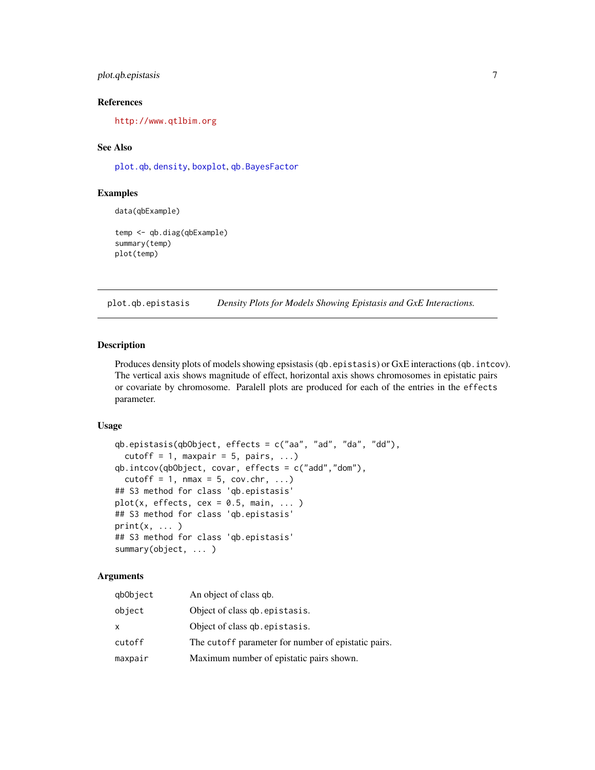### <span id="page-6-0"></span>plot.qb.epistasis 7

#### References

<http://www.qtlbim.org>

### See Also

[plot.qb](#page-4-1), [density](#page-0-0), [boxplot](#page-0-0), [qb.BayesFactor](#page-18-1)

### Examples

```
data(qbExample)
```

```
temp <- qb.diag(qbExample)
summary(temp)
plot(temp)
```
plot.qb.epistasis *Density Plots for Models Showing Epistasis and GxE Interactions.*

#### <span id="page-6-1"></span>Description

Produces density plots of models showing epsistasis (qb.epistasis) or GxE interactions (qb.intcov). The vertical axis shows magnitude of effect, horizontal axis shows chromosomes in epistatic pairs or covariate by chromosome. Paralell plots are produced for each of the entries in the effects parameter.

#### Usage

```
qb.epistasis(qbObject, effects = c("aa", "ad", "da", "dd"),
  cutoff = 1, maxpair = 5, pairs, \ldots)
qb.intcov(qbObject, covar, effects = c("add","dom"),
  cutoff = 1, nmax = 5, cov.chr, ...## S3 method for class 'qb.epistasis'
plot(x, effects, cex = 0.5, main, ...)## S3 method for class 'qb.epistasis'
print(x, \ldots)## S3 method for class 'qb.epistasis'
summary(object, ... )
```

| qbObject | An object of class qb.                              |
|----------|-----------------------------------------------------|
| object   | Object of class qb. epistasis.                      |
| x        | Object of class qb. epistasis.                      |
| cutoff   | The cutoff parameter for number of epistatic pairs. |
| maxpair  | Maximum number of epistatic pairs shown.            |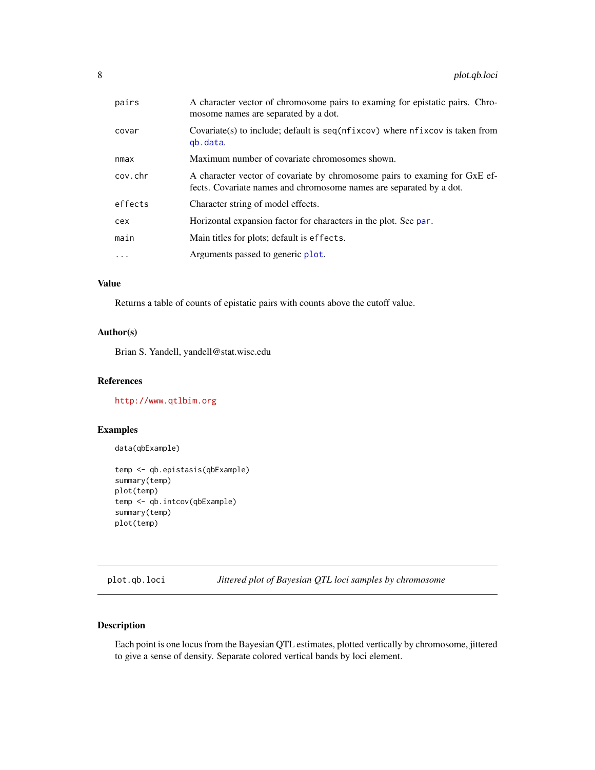<span id="page-7-0"></span>

| pairs    | A character vector of chromosome pairs to examing for epistatic pairs. Chro-<br>mosome names are separated by a dot.                              |
|----------|---------------------------------------------------------------------------------------------------------------------------------------------------|
| covar    | Covariate(s) to include; default is seq(nfixcov) where nfixcov is taken from<br>gb.data.                                                          |
| nmax     | Maximum number of covariate chromosomes shown.                                                                                                    |
| cov.chr  | A character vector of covariate by chromosome pairs to examing for GxE ef-<br>fects. Covariate names and chromosome names are separated by a dot. |
| effects  | Character string of model effects.                                                                                                                |
| cex      | Horizontal expansion factor for characters in the plot. See par.                                                                                  |
| main     | Main titles for plots; default is effects.                                                                                                        |
| $\ddots$ | Arguments passed to generic plot.                                                                                                                 |
|          |                                                                                                                                                   |

### Value

Returns a table of counts of epistatic pairs with counts above the cutoff value.

### Author(s)

Brian S. Yandell, yandell@stat.wisc.edu

### References

<http://www.qtlbim.org>

### Examples

data(qbExample)

```
temp <- qb.epistasis(qbExample)
summary(temp)
plot(temp)
temp <- qb.intcov(qbExample)
summary(temp)
plot(temp)
```
plot.qb.loci *Jittered plot of Bayesian QTL loci samples by chromosome*

### <span id="page-7-1"></span>Description

Each point is one locus from the Bayesian QTL estimates, plotted vertically by chromosome, jittered to give a sense of density. Separate colored vertical bands by loci element.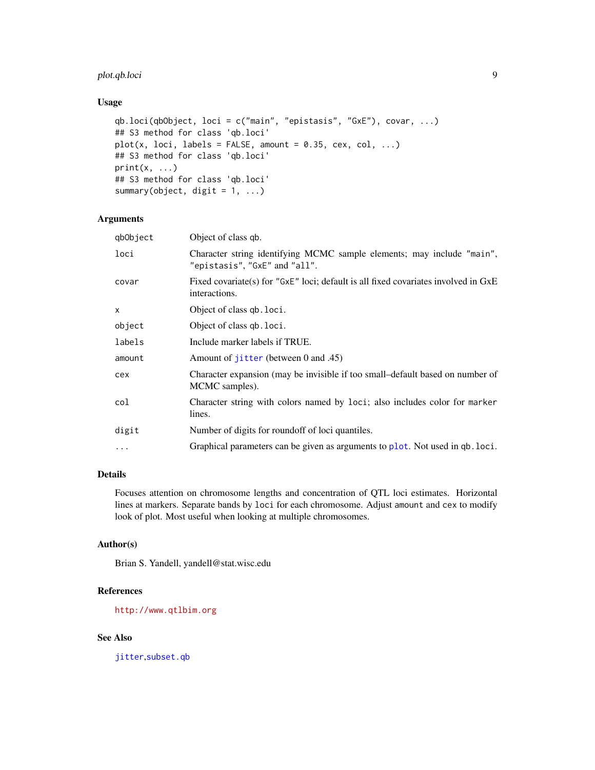### <span id="page-8-0"></span>plot.qb.loci 9

#### Usage

```
qb.loci(qbObject, loci = c("main", "epistasis", "GxE"), covar, ...)
## S3 method for class 'qb.loci'
plot(x, loci, labels = FALSE, amount = 0.35, cex, col, ...)## S3 method for class 'qb.loci'
print(x, \ldots)## S3 method for class 'qb.loci'
summary(object, digit = 1, ...)
```
### Arguments

| qbObject | Object of class qb.                                                                                     |
|----------|---------------------------------------------------------------------------------------------------------|
| loci     | Character string identifying MCMC sample elements; may include "main",<br>"epistasis", "GxE" and "all". |
| covar    | Fixed covariate(s) for "GxE" loci; default is all fixed covariates involved in GxE<br>interactions.     |
| $\times$ | Object of class qb. loci.                                                                               |
| object   | Object of class qb. loci.                                                                               |
| labels   | Include marker labels if TRUE.                                                                          |
| amount   | Amount of jitter (between 0 and .45)                                                                    |
| cex      | Character expansion (may be invisible if too small–default based on number of<br>MCMC samples).         |
| col      | Character string with colors named by loci; also includes color for marker<br>lines.                    |
| digit    | Number of digits for roundoff of loci quantiles.                                                        |
|          | Graphical parameters can be given as arguments to plot. Not used in qb. loci.                           |

#### Details

Focuses attention on chromosome lengths and concentration of QTL loci estimates. Horizontal lines at markers. Separate bands by loci for each chromosome. Adjust amount and cex to modify look of plot. Most useful when looking at multiple chromosomes.

### Author(s)

Brian S. Yandell, yandell@stat.wisc.edu

### References

<http://www.qtlbim.org>

### See Also

[jitter](#page-0-0),[subset.qb](#page-60-1)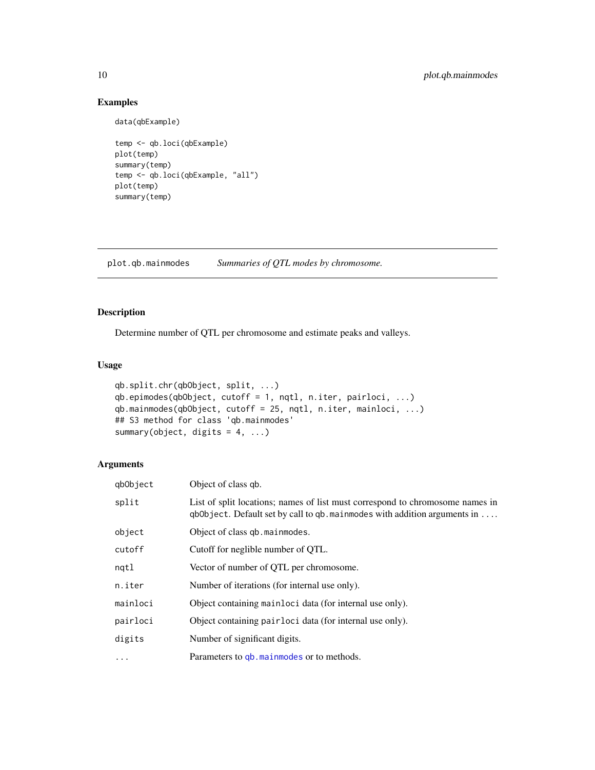### Examples

```
data(qbExample)
```

```
temp <- qb.loci(qbExample)
plot(temp)
summary(temp)
temp <- qb.loci(qbExample, "all")
plot(temp)
summary(temp)
```
plot.qb.mainmodes *Summaries of QTL modes by chromosome.*

### <span id="page-9-1"></span>Description

Determine number of QTL per chromosome and estimate peaks and valleys.

### Usage

```
qb.split.chr(qbObject, split, ...)
qb.epimodes(qbObject, cutoff = 1, nqtl, n.iter, pairloci, \dots)
qb.mainmodes(qbObject, cutoff = 25, nqtl, n.iter, mainloci, ...)
## S3 method for class 'qb.mainmodes'
summary(object, digits = 4, ...)
```

| qbObject   | Object of class qb.                                                                                                                                                     |
|------------|-------------------------------------------------------------------------------------------------------------------------------------------------------------------------|
| split      | List of split locations; names of list must correspond to chromosome names in<br>qb0bject. Default set by call to $q$ b. mainmodes with addition arguments in $\dots$ . |
| object     | Object of class qb. mainmodes.                                                                                                                                          |
| cutoff     | Cutoff for neglible number of QTL.                                                                                                                                      |
| ngtl       | Vector of number of QTL per chromosome.                                                                                                                                 |
| n.iter     | Number of iterations (for internal use only).                                                                                                                           |
| mainloci   | Object containing mainloci data (for internal use only).                                                                                                                |
| pairloci   | Object containing pair loci data (for internal use only).                                                                                                               |
| digits     | Number of significant digits.                                                                                                                                           |
| $\ddots$ . | Parameters to gb. mainmodes or to methods.                                                                                                                              |

<span id="page-9-0"></span>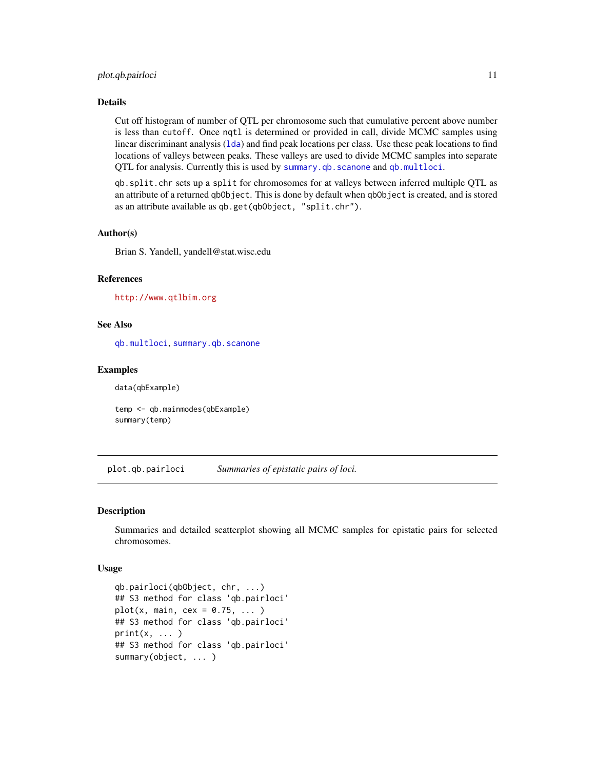#### <span id="page-10-0"></span>plot.qb.pairloci 11

#### Details

Cut off histogram of number of QTL per chromosome such that cumulative percent above number is less than cutoff. Once nqtl is determined or provided in call, divide MCMC samples using linear discriminant analysis ([lda](#page-0-0)) and find peak locations per class. Use these peak locations to find locations of valleys between peaks. These valleys are used to divide MCMC samples into separate QTL for analysis. Currently this is used by [summary.qb.scanone](#page-61-1) and [qb.multloci](#page-38-1).

qb.split.chr sets up a split for chromosomes for at valleys between inferred multiple QTL as an attribute of a returned qbObject. This is done by default when qbObject is created, and is stored as an attribute available as qb.get(qbObject, "split.chr").

#### Author(s)

Brian S. Yandell, yandell@stat.wisc.edu

#### References

<http://www.qtlbim.org>

#### See Also

[qb.multloci](#page-38-1), [summary.qb.scanone](#page-61-1)

#### Examples

data(qbExample)

temp <- qb.mainmodes(qbExample) summary(temp)

plot.qb.pairloci *Summaries of epistatic pairs of loci.*

#### **Description**

Summaries and detailed scatterplot showing all MCMC samples for epistatic pairs for selected chromosomes.

#### Usage

```
qb.pairloci(qbObject, chr, ...)
## S3 method for class 'qb.pairloci'
plot(x, main, cex = 0.75, ...)## S3 method for class 'qb.pairloci'
print(x, \ldots)## S3 method for class 'qb.pairloci'
summary(object, ... )
```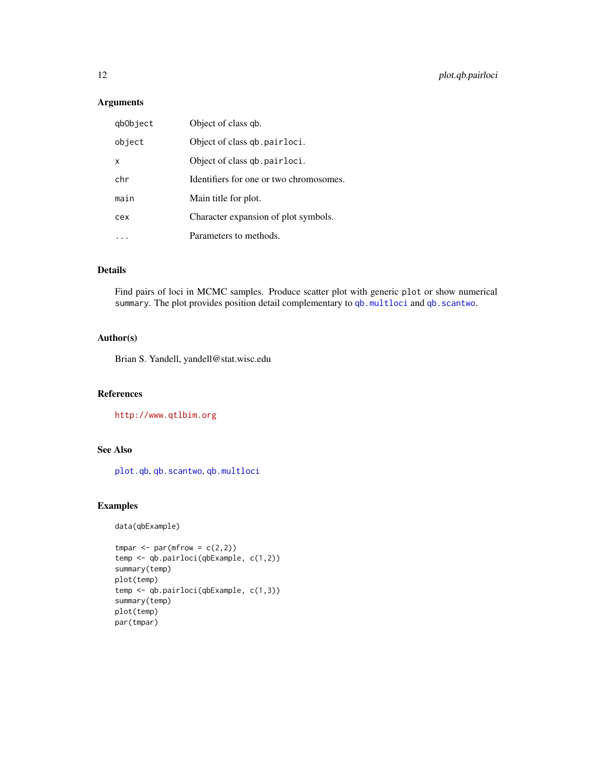### Arguments

| qb0bject | Object of class qb.                     |
|----------|-----------------------------------------|
| object   | Object of class qb.pairloci.            |
| x        | Object of class qb.pairloci.            |
| chr      | Identifiers for one or two chromosomes. |
| main     | Main title for plot.                    |
| cex      | Character expansion of plot symbols.    |
|          | Parameters to methods.                  |

### Details

Find pairs of loci in MCMC samples. Produce scatter plot with generic plot or show numerical summary. The plot provides position detail complementary to [qb.multloci](#page-38-1) and [qb.scantwo](#page-44-1).

### Author(s)

Brian S. Yandell, yandell@stat.wisc.edu

### References

<http://www.qtlbim.org>

### See Also

[plot.qb](#page-4-1), [qb.scantwo](#page-44-1), [qb.multloci](#page-38-1)

### Examples

```
data(qbExample)
```

```
tmpar < -par(mfrow = c(2,2))temp <- qb.pairloci(qbExample, c(1,2))
summary(temp)
plot(temp)
temp <- qb.pairloci(qbExample, c(1,3))
summary(temp)
plot(temp)
par(tmpar)
```
<span id="page-11-0"></span>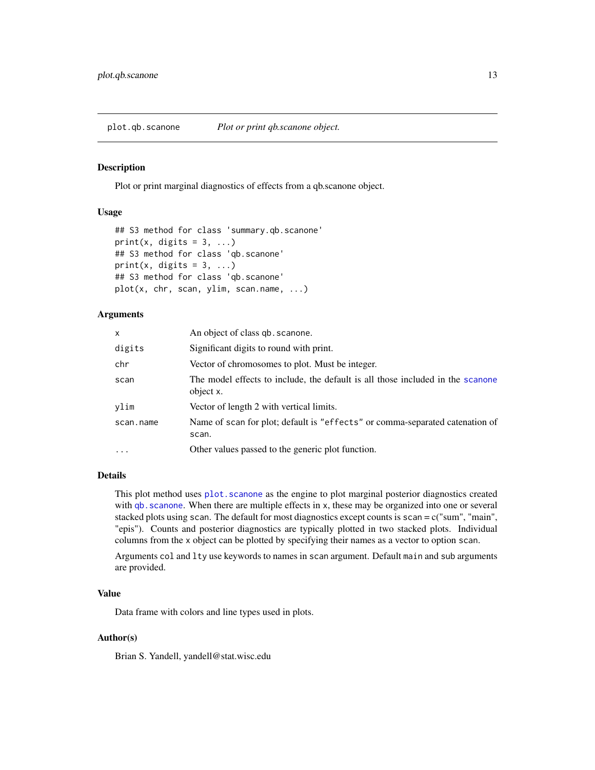<span id="page-12-1"></span><span id="page-12-0"></span>plot.qb.scanone *Plot or print qb.scanone object.*

#### Description

Plot or print marginal diagnostics of effects from a qb.scanone object.

### Usage

```
## S3 method for class 'summary.qb.scanone'
print(x, digits = 3, ...)
## S3 method for class 'qb.scanone'
print(x, digits = 3, ...)
## S3 method for class 'qb.scanone'
plot(x, chr, scan, ylim, scan.name, ...)
```
### Arguments

| $\mathsf{x}$ | An object of class qb. scanone.                                                             |
|--------------|---------------------------------------------------------------------------------------------|
| digits       | Significant digits to round with print.                                                     |
| chr          | Vector of chromosomes to plot. Must be integer.                                             |
| scan         | The model effects to include, the default is all those included in the scanone<br>object x. |
| vlim         | Vector of length 2 with vertical limits.                                                    |
| scan.name    | Name of scan for plot; default is "effects" or comma-separated catenation of<br>scan.       |
| $\cdot$      | Other values passed to the generic plot function.                                           |

### Details

This plot method uses plot. scanone as the engine to plot marginal posterior diagnostics created with qb. scanone. When there are multiple effects in x, these may be organized into one or several stacked plots using scan. The default for most diagnostics except counts is  $scan = c("sum", "main",$ "epis"). Counts and posterior diagnostics are typically plotted in two stacked plots. Individual columns from the x object can be plotted by specifying their names as a vector to option scan.

Arguments col and lty use keywords to names in scan argument. Default main and sub arguments are provided.

### Value

Data frame with colors and line types used in plots.

#### Author(s)

Brian S. Yandell, yandell@stat.wisc.edu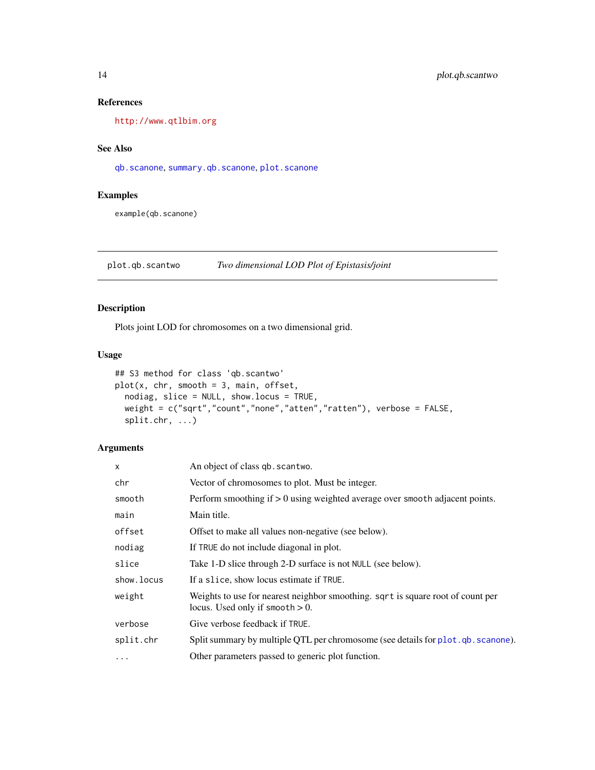### References

<http://www.qtlbim.org>

#### See Also

[qb.scanone](#page-41-1), [summary.qb.scanone](#page-61-1), [plot.scanone](#page-0-0)

### Examples

example(qb.scanone)

plot.qb.scantwo *Two dimensional LOD Plot of Epistasis/joint*

### Description

Plots joint LOD for chromosomes on a two dimensional grid.

#### Usage

```
## S3 method for class 'qb.scantwo'
plot(x, chr, smooth = 3, main, offset,
 nodiag, slice = NULL, show.locus = TRUE,
 weight = c("sqrt","count","none","atten","ratten"), verbose = FALSE,
  split.chr, ...)
```

| $\mathsf{x}$ | An object of class qb. scantwo.                                                                                       |
|--------------|-----------------------------------------------------------------------------------------------------------------------|
| chr          | Vector of chromosomes to plot. Must be integer.                                                                       |
| smooth       | Perform smoothing if $> 0$ using weighted average over smooth adjacent points.                                        |
| main         | Main title.                                                                                                           |
| offset       | Offset to make all values non-negative (see below).                                                                   |
| nodiag       | If TRUE do not include diagonal in plot.                                                                              |
| slice        | Take 1-D slice through 2-D surface is not NULL (see below).                                                           |
| show.locus   | If a slice, show locus estimate if TRUE.                                                                              |
| weight       | Weights to use for nearest neighbor smoothing. sqrt is square root of count per<br>locus. Used only if smooth $> 0$ . |
| verbose      | Give verbose feedback if TRUE.                                                                                        |
| split.chr    | Split summary by multiple QTL per chromosome (see details for plot. qb. scanone).                                     |
| $\cdots$     | Other parameters passed to generic plot function.                                                                     |

<span id="page-13-0"></span>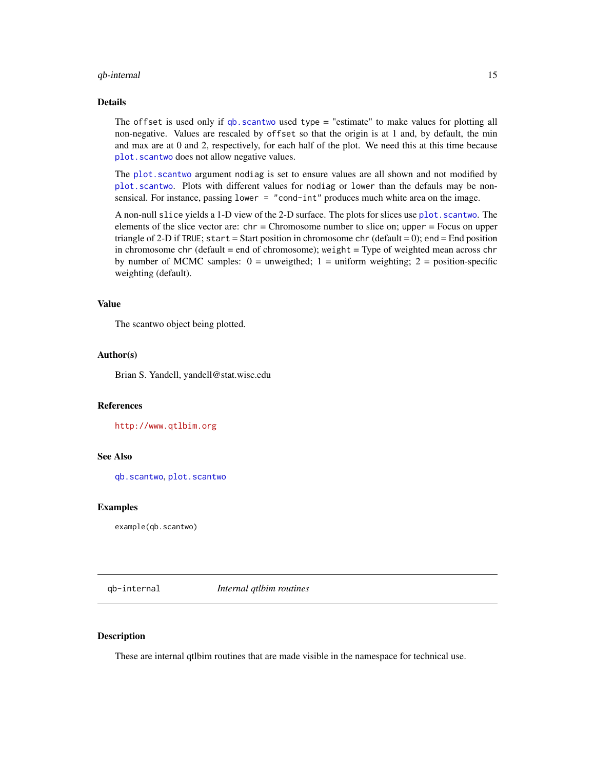#### <span id="page-14-0"></span> $q$ b-internal  $q$ <sup>15</sup>

#### Details

The offset is used only if  $qb$ . scantwo used type = "estimate" to make values for plotting all non-negative. Values are rescaled by offset so that the origin is at 1 and, by default, the min and max are at 0 and 2, respectively, for each half of the plot. We need this at this time because [plot.scantwo](#page-0-0) does not allow negative values.

The [plot.scantwo](#page-0-0) argument nodiag is set to ensure values are all shown and not modified by [plot.scantwo](#page-0-0). Plots with different values for nodiag or lower than the defauls may be nonsensical. For instance, passing lower = "cond-int" produces much white area on the image.

A non-null slice yields a 1-D view of the 2-D surface. The plots for slices use [plot.scantwo](#page-0-0). The elements of the slice vector are:  $chr = Chromosome$  number to slice on; upper = Focus on upper triangle of 2-D if TRUE; start = Start position in chromosome chr (default = 0); end = End position in chromosome chr (default = end of chromosome); weight = Type of weighted mean across chr by number of MCMC samples:  $0 =$  unweigthed;  $1 =$  uniform weighting;  $2 =$  position-specific weighting (default).

### Value

The scantwo object being plotted.

#### Author(s)

Brian S. Yandell, yandell@stat.wisc.edu

### References

<http://www.qtlbim.org>

#### See Also

[qb.scantwo](#page-44-1), [plot.scantwo](#page-0-0)

#### Examples

example(qb.scantwo)

qb-internal *Internal qtlbim routines*

#### <span id="page-14-1"></span>Description

These are internal qtlbim routines that are made visible in the namespace for technical use.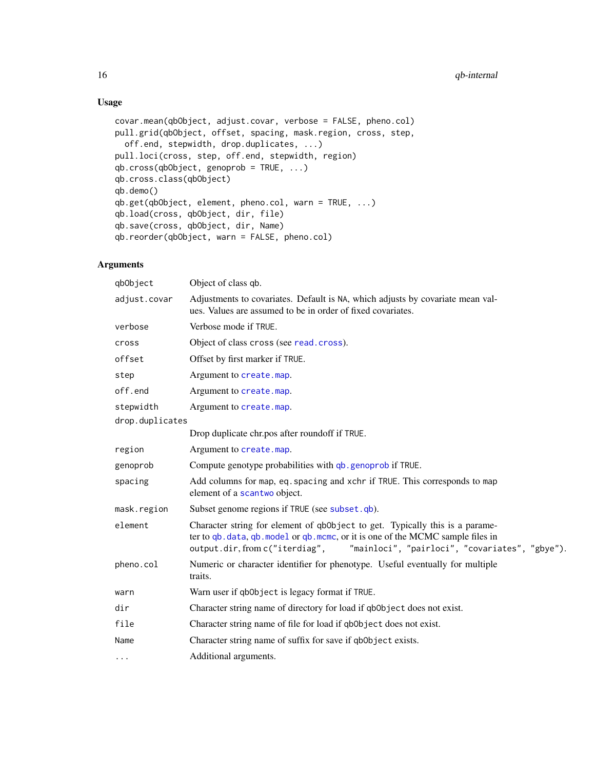### Usage

```
covar.mean(qbObject, adjust.covar, verbose = FALSE, pheno.col)
pull.grid(qbObject, offset, spacing, mask.region, cross, step,
 off.end, stepwidth, drop.duplicates, ...)
pull.loci(cross, step, off.end, stepwidth, region)
qb.cross(qbObject, genoprob = TRUE, ...)
qb.cross.class(qbObject)
qb.demo()
qb.get(qbObject, element, pheno.col, warn = TRUE, ...)
qb.load(cross, qbObject, dir, file)
qb.save(cross, qbObject, dir, Name)
qb.reorder(qbObject, warn = FALSE, pheno.col)
```

| qbObject        | Object of class qb.                                                                                                                                                                                                                                  |
|-----------------|------------------------------------------------------------------------------------------------------------------------------------------------------------------------------------------------------------------------------------------------------|
| adjust.covar    | Adjustments to covariates. Default is NA, which adjusts by covariate mean val-<br>ues. Values are assumed to be in order of fixed covariates.                                                                                                        |
| verbose         | Verbose mode if TRUE.                                                                                                                                                                                                                                |
| cross           | Object of class cross (see read.cross).                                                                                                                                                                                                              |
| offset          | Offset by first marker if TRUE.                                                                                                                                                                                                                      |
| step            | Argument to create.map.                                                                                                                                                                                                                              |
| off.end         | Argument to create.map.                                                                                                                                                                                                                              |
| stepwidth       | Argument to create.map.                                                                                                                                                                                                                              |
| drop.duplicates |                                                                                                                                                                                                                                                      |
|                 | Drop duplicate chr.pos after roundoff if TRUE.                                                                                                                                                                                                       |
| region          | Argument to create.map.                                                                                                                                                                                                                              |
| genoprob        | Compute genotype probabilities with qb. genoprob if TRUE.                                                                                                                                                                                            |
| spacing         | Add columns for map, eq. spacing and xchr if TRUE. This corresponds to map<br>element of a scantwo object.                                                                                                                                           |
| mask.region     | Subset genome regions if TRUE (see subset.qb).                                                                                                                                                                                                       |
| element         | Character string for element of qb0bject to get. Typically this is a parame-<br>ter to qb. data, qb. model or qb. mcmc, or it is one of the MCMC sample files in<br>"mainloci", "pairloci", "covariates", "gbye").<br>output.dir, from c("iterdiag", |
| pheno.col       | Numeric or character identifier for phenotype. Useful eventually for multiple<br>traits.                                                                                                                                                             |
| warn            | Warn user if qb0bject is legacy format if TRUE.                                                                                                                                                                                                      |
| dir             | Character string name of directory for load if qb0bject does not exist.                                                                                                                                                                              |
| file            | Character string name of file for load if qb0bject does not exist.                                                                                                                                                                                   |
| Name            | Character string name of suffix for save if qb0bject exists.                                                                                                                                                                                         |
| $\cdots$        | Additional arguments.                                                                                                                                                                                                                                |

<span id="page-15-0"></span>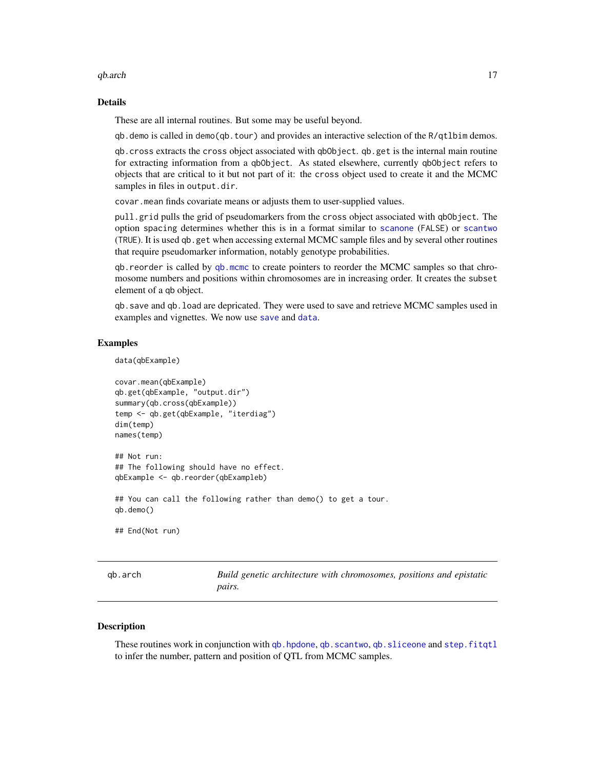#### <span id="page-16-0"></span>qb.arch  $17$

#### Details

These are all internal routines. But some may be useful beyond.

qb.demo is called in demo(qb.tour) and provides an interactive selection of the R/qtlbim demos.

qb.cross extracts the cross object associated with qbObject. qb.get is the internal main routine for extracting information from a qbObject. As stated elsewhere, currently qbObject refers to objects that are critical to it but not part of it: the cross object used to create it and the MCMC samples in files in output.dir.

covar.mean finds covariate means or adjusts them to user-supplied values.

pull.grid pulls the grid of pseudomarkers from the cross object associated with qbObject. The option spacing determines whether this is in a format similar to [scanone](#page-0-0) (FALSE) or [scantwo](#page-0-0) (TRUE). It is used qb.get when accessing external MCMC sample files and by several other routines that require pseudomarker information, notably genotype probabilities.

qb.reorder is called by [qb.mcmc](#page-33-1) to create pointers to reorder the MCMC samples so that chromosome numbers and positions within chromosomes are in increasing order. It creates the subset element of a qb object.

qb.save and qb.load are depricated. They were used to save and retrieve MCMC samples used in examples and vignettes. We now use [save](#page-0-0) and [data](#page-0-0).

### Examples

```
data(qbExample)
```

```
covar.mean(qbExample)
qb.get(qbExample, "output.dir")
summary(qb.cross(qbExample))
temp <- qb.get(qbExample, "iterdiag")
dim(temp)
names(temp)
## Not run:
## The following should have no effect.
qbExample <- qb.reorder(qbExampleb)
## You can call the following rather than demo() to get a tour.
qb.demo()
## End(Not run)
```
<span id="page-16-1"></span>qb.arch *Build genetic architecture with chromosomes, positions and epistatic pairs.*

#### **Description**

These routines work in conjunction with [qb.hpdone](#page-31-1), [qb.scantwo](#page-44-1), [qb.sliceone](#page-48-1) and [step.fitqtl](#page-58-1) to infer the number, pattern and position of QTL from MCMC samples.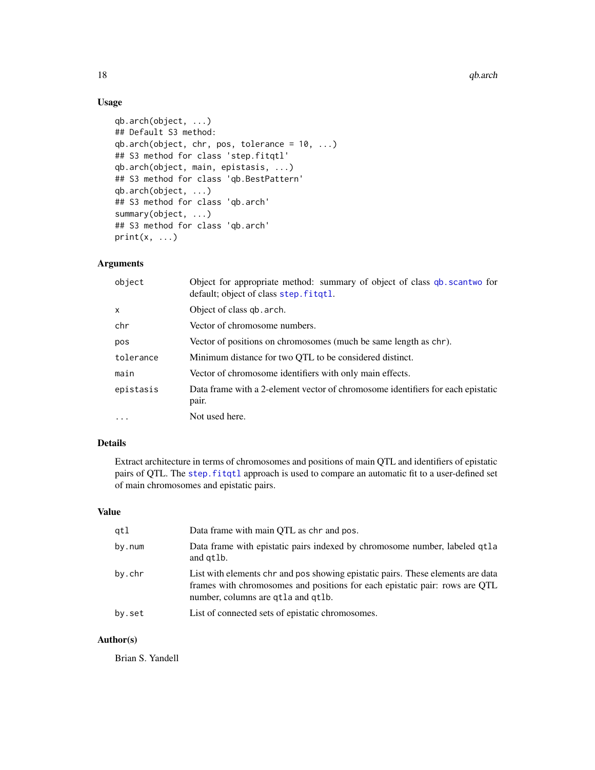### Usage

```
qb.arch(object, ...)
## Default S3 method:
qb.arch(object, chr, pos, tolerance = 10, ...)
## S3 method for class 'step.fitqtl'
qb.arch(object, main, epistasis, ...)
## S3 method for class 'qb.BestPattern'
qb.arch(object, ...)
## S3 method for class 'qb.arch'
summary(object, ...)
## S3 method for class 'qb.arch'
print(x, \ldots)
```
### Arguments

| object       | Object for appropriate method: summary of object of class qb. scantwo for<br>default; object of class step. fitqtl. |
|--------------|---------------------------------------------------------------------------------------------------------------------|
| $\mathsf{x}$ | Object of class qb. arch.                                                                                           |
| chr          | Vector of chromosome numbers.                                                                                       |
| pos          | Vector of positions on chromosomes (much be same length as chr).                                                    |
| tolerance    | Minimum distance for two QTL to be considered distinct.                                                             |
| main         | Vector of chromosome identifiers with only main effects.                                                            |
| epistasis    | Data frame with a 2-element vector of chromosome identifiers for each epistatic<br>pair.                            |
| $\cdot$      | Not used here.                                                                                                      |

### Details

Extract architecture in terms of chromosomes and positions of main QTL and identifiers of epistatic pairs of QTL. The step. fitqtl approach is used to compare an automatic fit to a user-defined set of main chromosomes and epistatic pairs.

### Value

| qtl    | Data frame with main QTL as chr and pos.                                                                                                                                                             |
|--------|------------------------------------------------------------------------------------------------------------------------------------------------------------------------------------------------------|
| by.num | Data frame with epistatic pairs indexed by chromosome number, labeled qtla<br>and qtlb.                                                                                                              |
| by.chr | List with elements chr and pos showing epistatic pairs. These elements are data<br>frames with chromosomes and positions for each epistatic pair: rows are QTL<br>number, columns are qtla and qtlb. |
| by.set | List of connected sets of epistatic chromosomes.                                                                                                                                                     |

### Author(s)

Brian S. Yandell

<span id="page-17-0"></span>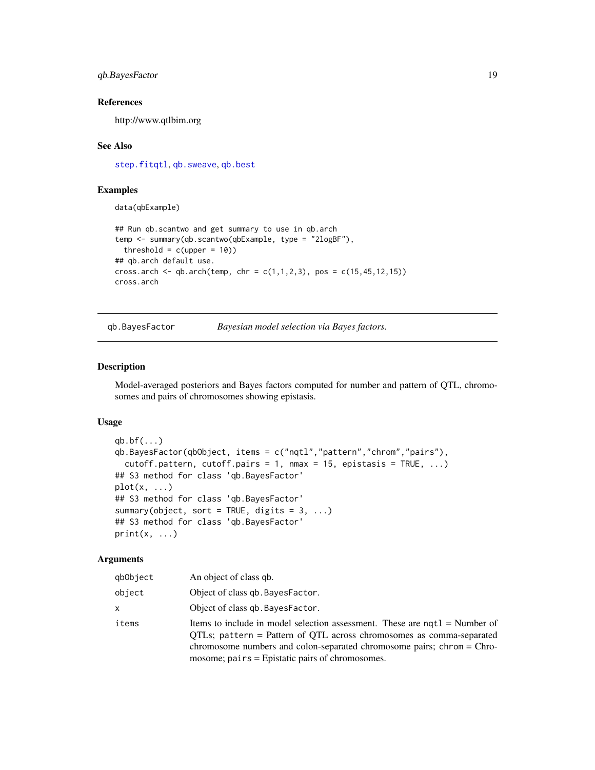### <span id="page-18-0"></span>qb.BayesFactor 19

#### References

http://www.qtlbim.org

#### See Also

[step.fitqtl](#page-58-1), [qb.sweave](#page-52-1), [qb.best](#page-20-1)

### Examples

data(qbExample)

```
## Run qb.scantwo and get summary to use in qb.arch
temp <- summary(qb.scantwo(qbExample, type = "2logBF"),
 threshold = c(upper = 10)## qb.arch default use.
cross.arch <- qb.arch(temp, chr = c(1,1,2,3), pos = c(15,45,12,15))
cross.arch
```
<span id="page-18-1"></span>qb.BayesFactor *Bayesian model selection via Bayes factors.*

#### Description

Model-averaged posteriors and Bayes factors computed for number and pattern of QTL, chromosomes and pairs of chromosomes showing epistasis.

### Usage

```
qb.bf(...)
qb.BayesFactor(qbObject, items = c("nqtl","pattern","chrom","pairs"),
  cutoff.pattern, cutoff.pairs = 1, nmax = 15, epistasis = TRUE, \dots)
## S3 method for class 'qb.BayesFactor'
plot(x, \ldots)## S3 method for class 'qb.BayesFactor'
summary(object, sort = TRUE, digits = 3, ...)
## S3 method for class 'qb.BayesFactor'
print(x, \ldots)
```

| qbObject | An object of class qb.                                                                                                                                                                                                                                                              |
|----------|-------------------------------------------------------------------------------------------------------------------------------------------------------------------------------------------------------------------------------------------------------------------------------------|
| object   | Object of class gb. Bayes Factor.                                                                                                                                                                                                                                                   |
| x        | Object of class gb. Bayes Factor.                                                                                                                                                                                                                                                   |
| items    | Items to include in model selection assessment. These are $nqtl =$ Number of<br>QTLs; pattern = Pattern of QTL across chromosomes as comma-separated<br>chromosome numbers and colon-separated chromosome pairs; chrom = Chro-<br>mosome; $pairs = Epistatic pairs of chromosomes.$ |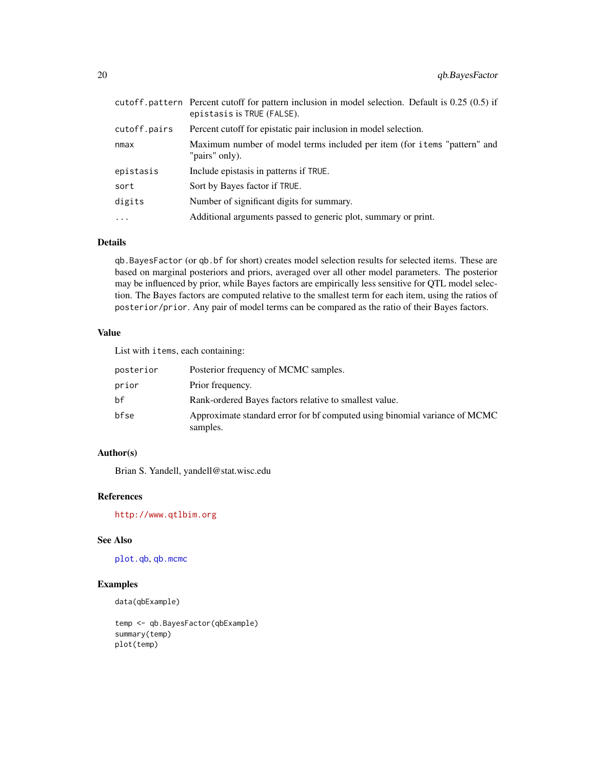<span id="page-19-0"></span>

|              | cutoff.pattern Percent cutoff for pattern inclusion in model selection. Default is 0.25 (0.5) if<br>epistasis is TRUE (FALSE). |
|--------------|--------------------------------------------------------------------------------------------------------------------------------|
| cutoff.pairs | Percent cutoff for epistatic pair inclusion in model selection.                                                                |
| nmax         | Maximum number of model terms included per item (for items "pattern" and<br>"pairs" only).                                     |
| epistasis    | Include epistasis in patterns if TRUE.                                                                                         |
| sort         | Sort by Bayes factor if TRUE.                                                                                                  |
| digits       | Number of significant digits for summary.                                                                                      |
| $\cdots$     | Additional arguments passed to generic plot, summary or print.                                                                 |

### Details

qb.BayesFactor (or qb.bf for short) creates model selection results for selected items. These are based on marginal posteriors and priors, averaged over all other model parameters. The posterior may be influenced by prior, while Bayes factors are empirically less sensitive for QTL model selection. The Bayes factors are computed relative to the smallest term for each item, using the ratios of posterior/prior. Any pair of model terms can be compared as the ratio of their Bayes factors.

### Value

List with items, each containing:

| posterior | Posterior frequency of MCMC samples.                                                   |
|-----------|----------------------------------------------------------------------------------------|
| prior     | Prior frequency.                                                                       |
| hf        | Rank-ordered Bayes factors relative to smallest value.                                 |
| bfse      | Approximate standard error for bf computed using binomial variance of MCMC<br>samples. |

### Author(s)

Brian S. Yandell, yandell@stat.wisc.edu

### References

<http://www.qtlbim.org>

### See Also

[plot.qb](#page-4-1), [qb.mcmc](#page-33-1)

#### Examples

data(qbExample)

```
temp <- qb.BayesFactor(qbExample)
summary(temp)
plot(temp)
```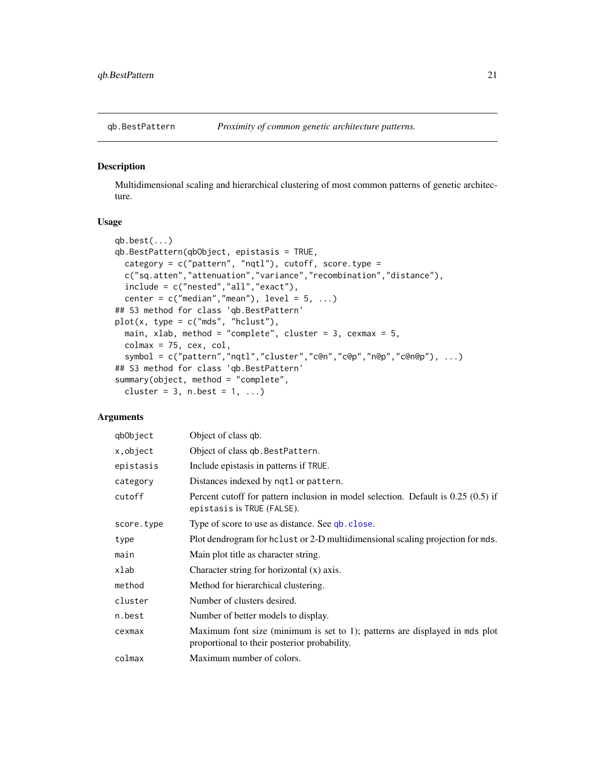<span id="page-20-2"></span><span id="page-20-0"></span>

#### <span id="page-20-1"></span>Description

Multidimensional scaling and hierarchical clustering of most common patterns of genetic architecture.

#### Usage

```
qb.best(...)
qb.BestPattern(qbObject, epistasis = TRUE,
 category = c("pattern", "nqtl"), cutoff, score-type =c("sq.atten","attenuation","variance","recombination","distance"),
  include = c("nested","all","exact"),
  center = c("median", "mean"), level = 5, ...)## S3 method for class 'qb.BestPattern'
plot(x, type = c("mds", "hclust"),main, xlab, method = "complete", cluster = 3, cexmax = 5,
 colmax = 75, cex, col,
  symbol = c("pattern","nqtl","cluster","c@n","c@p","n@p","c@n@p"), ...)
## S3 method for class 'qb.BestPattern'
summary(object, method = "complete",
 cluster = 3, n.best = 1, ...)
```

| qbObject   | Object of class qb.                                                                                                         |  |
|------------|-----------------------------------------------------------------------------------------------------------------------------|--|
| x,object   | Object of class qb. BestPattern.                                                                                            |  |
| epistasis  | Include epistasis in patterns if TRUE.                                                                                      |  |
| category   | Distances indexed by nqtl or pattern.                                                                                       |  |
| cutoff     | Percent cutoff for pattern inclusion in model selection. Default is 0.25 (0.5) if<br>epistasis is TRUE (FALSE).             |  |
| score.type | Type of score to use as distance. See qb. close.                                                                            |  |
| type       | Plot dendrogram for heligt or 2-D multidimentional scaling projection for mds.                                              |  |
| main       | Main plot title as character string.                                                                                        |  |
| xlab       | Character string for horizontal $(x)$ axis.                                                                                 |  |
| method     | Method for hierarchical clustering.                                                                                         |  |
| cluster    | Number of clusters desired.                                                                                                 |  |
| n.best     | Number of better models to display.                                                                                         |  |
| cexmax     | Maximum font size (minimum is set to 1); patterns are displayed in mds plot<br>proportional to their posterior probability. |  |
| colmax     | Maximum number of colors.                                                                                                   |  |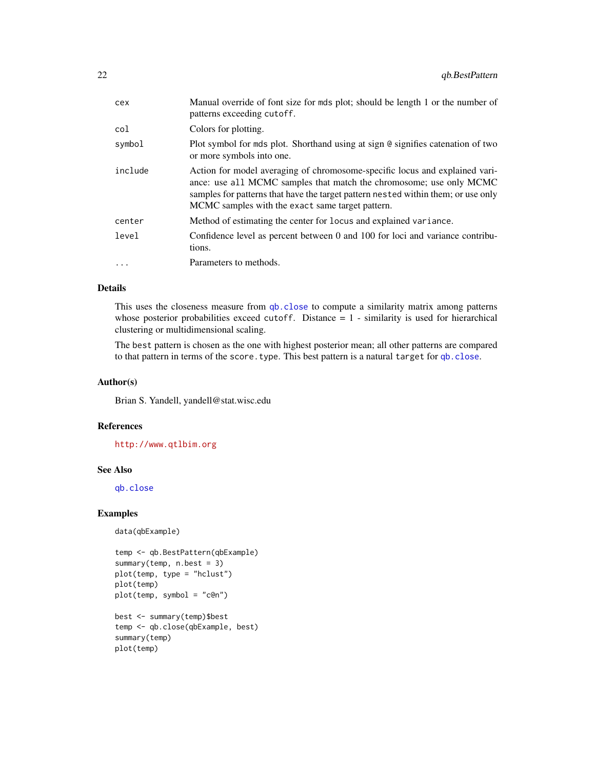<span id="page-21-0"></span>

| cex      | Manual override of font size for mds plot; should be length 1 or the number of<br>patterns exceeding cutoff.                                                                                                                                                                                |
|----------|---------------------------------------------------------------------------------------------------------------------------------------------------------------------------------------------------------------------------------------------------------------------------------------------|
| col      | Colors for plotting.                                                                                                                                                                                                                                                                        |
| symbol   | Plot symbol for mds plot. Shorthand using at sign @ signifies catenation of two<br>or more symbols into one.                                                                                                                                                                                |
| include  | Action for model averaging of chromosome-specific locus and explained vari-<br>ance: use all MCMC samples that match the chromosome; use only MCMC<br>samples for patterns that have the target pattern nested within them; or use only<br>MCMC samples with the exact same target pattern. |
| center   | Method of estimating the center for locus and explained variance.                                                                                                                                                                                                                           |
| level    | Confidence level as percent between 0 and 100 for loci and variance contribu-<br>tions.                                                                                                                                                                                                     |
| $\ddots$ | Parameters to methods.                                                                                                                                                                                                                                                                      |
|          |                                                                                                                                                                                                                                                                                             |

### Details

This uses the closeness measure from [qb.close](#page-22-1) to compute a similarity matrix among patterns whose posterior probabilities exceed cutoff. Distance = 1 - similarity is used for hierarchical clustering or multidimensional scaling.

The best pattern is chosen as the one with highest posterior mean; all other patterns are compared to that pattern in terms of the score.type. This best pattern is a natural target for [qb.close](#page-22-1).

#### Author(s)

Brian S. Yandell, yandell@stat.wisc.edu

#### References

<http://www.qtlbim.org>

#### See Also

[qb.close](#page-22-1)

### Examples

```
data(qbExample)
```

```
temp <- qb.BestPattern(qbExample)
summary(temp, n.best = 3)
plot(temp, type = "hclust")
plot(temp)
plot(temp, symbol = "c@n")
best <- summary(temp)$best
temp <- qb.close(qbExample, best)
summary(temp)
plot(temp)
```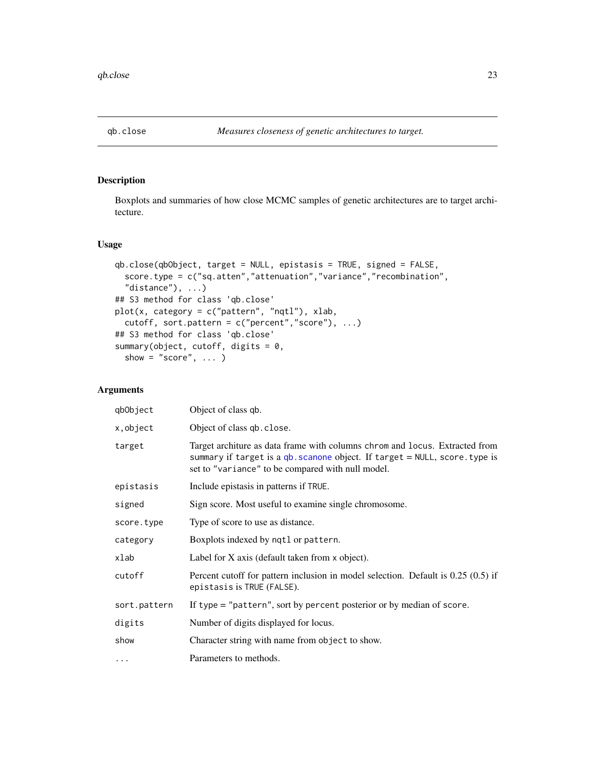<span id="page-22-1"></span><span id="page-22-0"></span>

### Description

Boxplots and summaries of how close MCMC samples of genetic architectures are to target architecture.

#### Usage

```
qb.close(qbObject, target = NULL, epistasis = TRUE, signed = FALSE,
  score.type = c("sq.atten","attenuation","variance","recombination",
  "distance"), ...)
## S3 method for class 'qb.close'
plot(x, category = c("pattern", "nqtl"), xlab,
  cutoff, sort.pattern = c("percent","score"), ...)
## S3 method for class 'qb.close'
summary(object, cutoff, digits = 0,
  show = "score", \dots )
```

| qbObject     | Object of class qb.                                                                                                                                                                                                |
|--------------|--------------------------------------------------------------------------------------------------------------------------------------------------------------------------------------------------------------------|
| x, object    | Object of class qb. close.                                                                                                                                                                                         |
| target       | Target architure as data frame with columns chrom and locus. Extracted from<br>summary if target is a $qb$ . scanone object. If target = NULL, score. type is<br>set to "variance" to be compared with null model. |
| epistasis    | Include epistasis in patterns if TRUE.                                                                                                                                                                             |
| signed       | Sign score. Most useful to examine single chromosome.                                                                                                                                                              |
| score.type   | Type of score to use as distance.                                                                                                                                                                                  |
| category     | Boxplots indexed by nqtl or pattern.                                                                                                                                                                               |
| xlab         | Label for X axis (default taken from x object).                                                                                                                                                                    |
| cutoff       | Percent cutoff for pattern inclusion in model selection. Default is 0.25 (0.5) if<br>epistasis is TRUE (FALSE).                                                                                                    |
| sort.pattern | If type $=$ "pattern", sort by percent posterior or by median of score.                                                                                                                                            |
| digits       | Number of digits displayed for locus.                                                                                                                                                                              |
| show         | Character string with name from object to show.                                                                                                                                                                    |
| $\cdots$     | Parameters to methods.                                                                                                                                                                                             |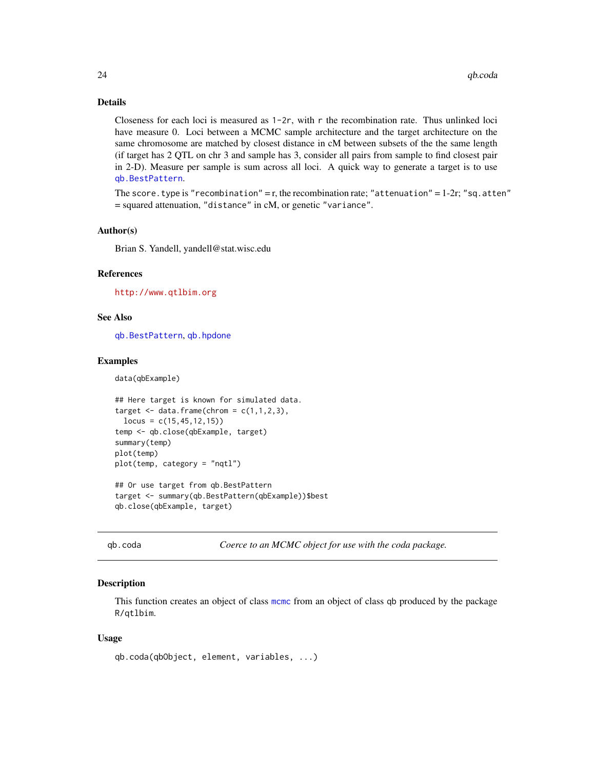### Details

Closeness for each loci is measured as  $1-2r$ , with r the recombination rate. Thus unlinked loci have measure 0. Loci between a MCMC sample architecture and the target architecture on the same chromosome are matched by closest distance in cM between subsets of the the same length (if target has 2 QTL on chr 3 and sample has 3, consider all pairs from sample to find closest pair in 2-D). Measure per sample is sum across all loci. A quick way to generate a target is to use [qb.BestPattern](#page-20-2).

The score.type is "recombination" = r, the recombination rate; "attenuation" =  $1-2r$ ; "sq.atten" = squared attenuation, "distance" in cM, or genetic "variance".

#### Author(s)

Brian S. Yandell, yandell@stat.wisc.edu

#### References

<http://www.qtlbim.org>

### See Also

[qb.BestPattern](#page-20-2), [qb.hpdone](#page-31-1)

#### Examples

data(qbExample)

```
## Here target is known for simulated data.
target \leq data.frame(chrom = c(1,1,2,3),
 locus = c(15, 45, 12, 15)temp <- qb.close(qbExample, target)
summary(temp)
plot(temp)
plot(temp, category = "nqtl")
## Or use target from qb.BestPattern
target <- summary(qb.BestPattern(qbExample))$best
qb.close(qbExample, target)
```
<span id="page-23-1"></span>qb.coda *Coerce to an MCMC object for use with the coda package.*

#### Description

This function creates an object of class meme from an object of class qb produced by the package R/qtlbim.

#### Usage

```
qb.coda(qbObject, element, variables, ...)
```
<span id="page-23-0"></span>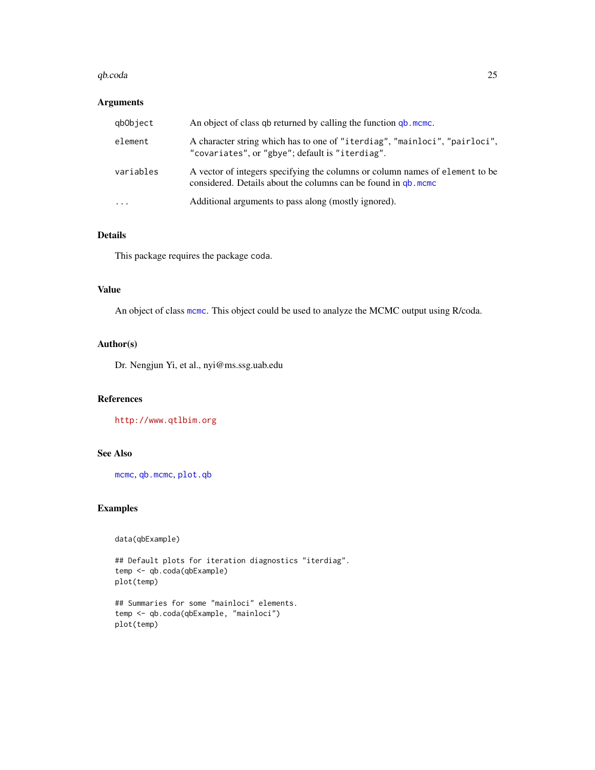#### <span id="page-24-0"></span>qb.coda 25

### Arguments

| gbObject  | An object of class gb returned by calling the function gb. mcmc.                                                                               |
|-----------|------------------------------------------------------------------------------------------------------------------------------------------------|
| element   | A character string which has to one of "iterdiag", "mainloci", "pairloci",<br>"covariates", or "gbye"; default is "iterdiag".                  |
| variables | A vector of integers specifying the columns or column names of element to be<br>considered. Details about the columns can be found in qb, mcmc |
| $\cdot$   | Additional arguments to pass along (mostly ignored).                                                                                           |

### Details

This package requires the package coda.

#### Value

An object of class [mcmc](#page-0-0). This object could be used to analyze the MCMC output using R/coda.

#### Author(s)

Dr. Nengjun Yi, et al., nyi@ms.ssg.uab.edu

### References

<http://www.qtlbim.org>

#### See Also

[mcmc](#page-0-0), [qb.mcmc](#page-33-1), [plot.qb](#page-4-1)

### Examples

```
data(qbExample)
```

```
## Default plots for iteration diagnostics "iterdiag".
temp <- qb.coda(qbExample)
plot(temp)
```

```
## Summaries for some "mainloci" elements.
temp <- qb.coda(qbExample, "mainloci")
plot(temp)
```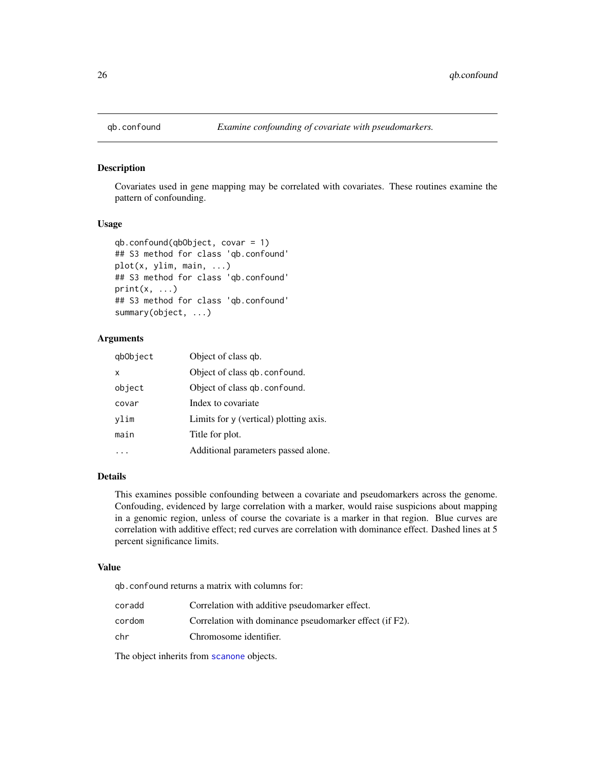<span id="page-25-0"></span>

#### Description

Covariates used in gene mapping may be correlated with covariates. These routines examine the pattern of confounding.

### Usage

```
qb.confound(qbObject, covar = 1)
## S3 method for class 'qb.confound'
plot(x, ylim, main, ...)
## S3 method for class 'qb.confound'
print(x, \ldots)## S3 method for class 'qb.confound'
summary(object, ...)
```
### Arguments

| gb0bject | Object of class qb.                    |
|----------|----------------------------------------|
| x        | Object of class qb. confound.          |
| object   | Object of class qb. confound.          |
| covar    | Index to covariate                     |
| vlim     | Limits for y (vertical) plotting axis. |
| main     | Title for plot.                        |
|          | Additional parameters passed alone.    |

#### Details

This examines possible confounding between a covariate and pseudomarkers across the genome. Confouding, evidenced by large correlation with a marker, would raise suspicions about mapping in a genomic region, unless of course the covariate is a marker in that region. Blue curves are correlation with additive effect; red curves are correlation with dominance effect. Dashed lines at 5 percent significance limits.

#### Value

qb.confound returns a matrix with columns for:

| coradd | Correlation with additive pseudomarker effect.          |
|--------|---------------------------------------------------------|
| cordom | Correlation with dominance pseudomarker effect (if F2). |
| chr    | Chromosome identifier.                                  |

The object inherits from [scanone](#page-0-0) objects.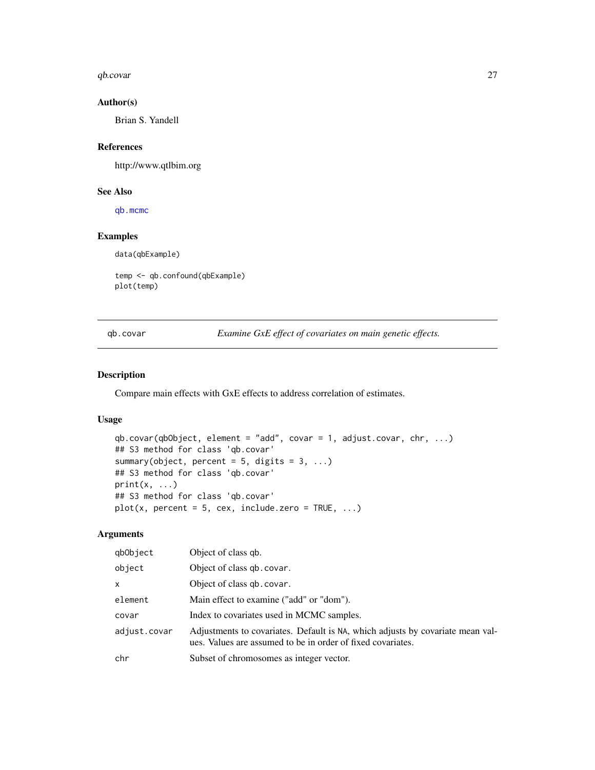<span id="page-26-0"></span>qb.covar 27

### Author(s)

Brian S. Yandell

### References

http://www.qtlbim.org

### See Also

[qb.mcmc](#page-33-1)

### Examples

data(qbExample)

```
temp <- qb.confound(qbExample)
plot(temp)
```
qb.covar *Examine GxE effect of covariates on main genetic effects.*

### Description

Compare main effects with GxE effects to address correlation of estimates.

### Usage

```
qb.covar(qbObject, element = "add", covar = 1, adjust.covar, chr, ...)
## S3 method for class 'qb.covar'
summary(object, percent = 5, digits = 3, ...)
## S3 method for class 'qb.covar'
print(x, \ldots)## S3 method for class 'qb.covar'
plot(x, percent = 5, cex, include.zero = TRUE, ...)
```

| qbObject     | Object of class qb.                                                                                                                           |
|--------------|-----------------------------------------------------------------------------------------------------------------------------------------------|
| object       | Object of class qb. covar.                                                                                                                    |
| $\mathsf{x}$ | Object of class qb. covar.                                                                                                                    |
| element      | Main effect to examine ("add" or "dom").                                                                                                      |
| covar        | Index to covariates used in MCMC samples.                                                                                                     |
| adjust.covar | Adjustments to covariates. Default is NA, which adjusts by covariate mean val-<br>ues. Values are assumed to be in order of fixed covariates. |
| chr          | Subset of chromosomes as integer vector.                                                                                                      |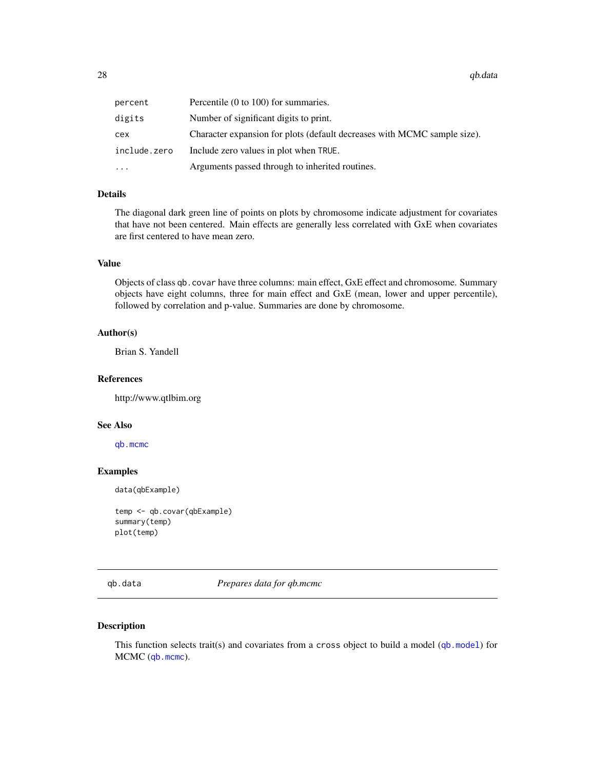<span id="page-27-0"></span>

| percent      | Percentile (0 to 100) for summaries.                                     |
|--------------|--------------------------------------------------------------------------|
| digits       | Number of significant digits to print.                                   |
| cex          | Character expansion for plots (default decreases with MCMC sample size). |
| include.zero | Include zero values in plot when TRUE.                                   |
| $\ddotsc$    | Arguments passed through to inherited routines.                          |

### Details

The diagonal dark green line of points on plots by chromosome indicate adjustment for covariates that have not been centered. Main effects are generally less correlated with GxE when covariates are first centered to have mean zero.

### Value

Objects of class qb.covar have three columns: main effect, GxE effect and chromosome. Summary objects have eight columns, three for main effect and GxE (mean, lower and upper percentile), followed by correlation and p-value. Summaries are done by chromosome.

#### Author(s)

Brian S. Yandell

#### References

http://www.qtlbim.org

#### See Also

[qb.mcmc](#page-33-1)

#### Examples

data(qbExample)

temp <- qb.covar(qbExample) summary(temp) plot(temp)

<span id="page-27-1"></span>qb.data *Prepares data for qb.mcmc*

### Description

This function selects trait(s) and covariates from a cross object to build a model ([qb.model](#page-37-1)) for MCMC ([qb.mcmc](#page-33-1)).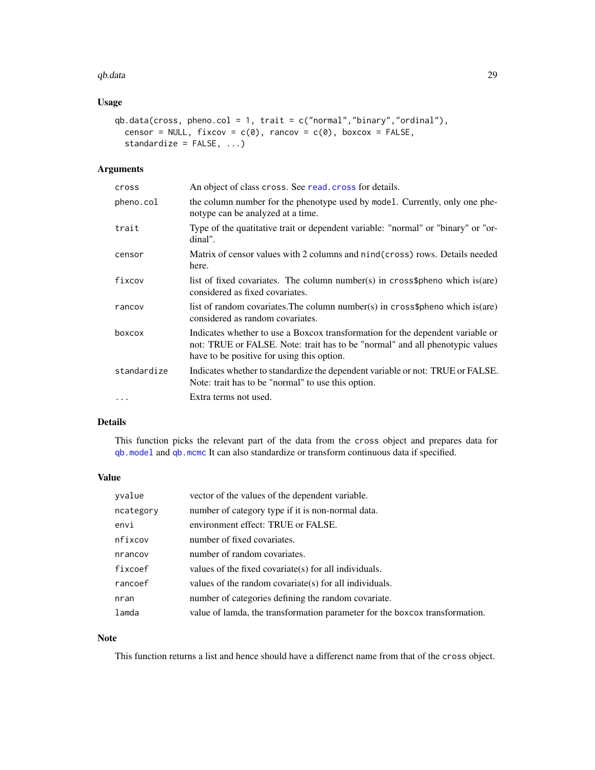#### <span id="page-28-0"></span>qb.data 29

### Usage

```
qb.data(cross, pheno.col = 1, trait = c("normal", "binary", "ordinal"),censor = NULL, fixcov = c(\emptyset), rancov = c(\emptyset), boxcox = FALSE,
  standardize = FALSE, ...)
```
### Arguments

| cross       | An object of class cross. See read. cross for details.                                                                                                                                                       |
|-------------|--------------------------------------------------------------------------------------------------------------------------------------------------------------------------------------------------------------|
| pheno.col   | the column number for the phenotype used by model. Currently, only one phe-<br>notype can be analyzed at a time.                                                                                             |
| trait       | Type of the quatitative trait or dependent variable: "normal" or "binary" or "or-<br>dinal".                                                                                                                 |
| censor      | Matrix of censor values with 2 columns and nind (cross) rows. Details needed<br>here.                                                                                                                        |
| fixcov      | list of fixed covariates. The column number(s) in cross\$pheno which is(are)<br>considered as fixed covariates.                                                                                              |
| rancov      | list of random covariates. The column number(s) in cross\$pheno which is(are)<br>considered as random covariates.                                                                                            |
| boxcox      | Indicates whether to use a Boxcox transformation for the dependent variable or<br>not: TRUE or FALSE. Note: trait has to be "normal" and all phenotypic values<br>have to be positive for using this option. |
| standardize | Indicates whether to standardize the dependent variable or not: TRUE or FALSE.<br>Note: trait has to be "normal" to use this option.                                                                         |
| $\cdots$    | Extra terms not used.                                                                                                                                                                                        |
|             |                                                                                                                                                                                                              |

### Details

This function picks the relevant part of the data from the cross object and prepares data for [qb.model](#page-37-1) and [qb.mcmc](#page-33-1) It can also standardize or transform continuous data if specified.

### Value

| yvalue    | vector of the values of the dependent variable.                             |
|-----------|-----------------------------------------------------------------------------|
| ncategory | number of category type if it is non-normal data.                           |
| envi      | environment effect: TRUE or FALSE.                                          |
| nfixcov   | number of fixed covariates.                                                 |
| nrancov   | number of random covariates.                                                |
| fixcoef   | values of the fixed covariate(s) for all individuals.                       |
| rancoef   | values of the random covariate(s) for all individuals.                      |
| nran      | number of categories defining the random covariate.                         |
| lamda     | value of lamda, the transformation parameter for the boxcox transformation. |

### Note

This function returns a list and hence should have a differenct name from that of the cross object.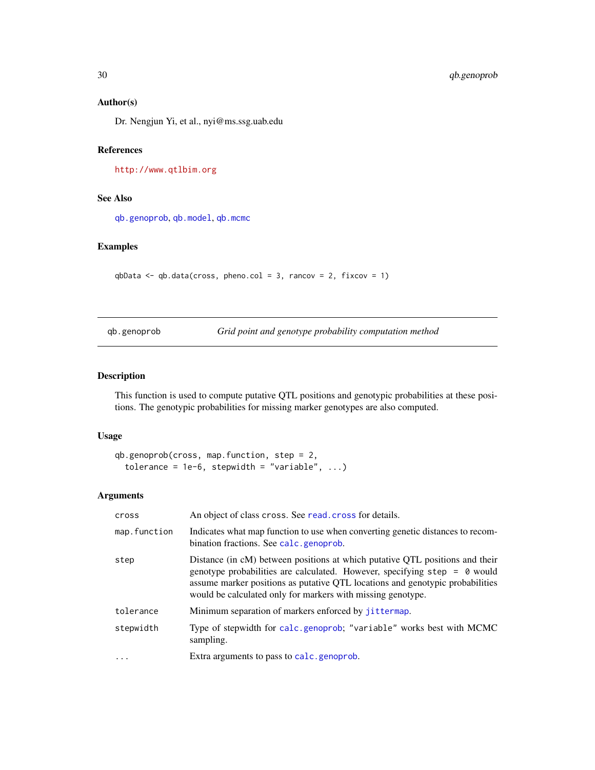### <span id="page-29-0"></span>Author(s)

Dr. Nengjun Yi, et al., nyi@ms.ssg.uab.edu

### References

<http://www.qtlbim.org>

### See Also

[qb.genoprob](#page-29-1), [qb.model](#page-37-1), [qb.mcmc](#page-33-1)

### Examples

```
qbData \leq qb.data(cross, pheno.col = 3, rancov = 2, fixcov = 1)
```
<span id="page-29-1"></span>qb.genoprob *Grid point and genotype probability computation method*

### Description

This function is used to compute putative QTL positions and genotypic probabilities at these positions. The genotypic probabilities for missing marker genotypes are also computed.

#### Usage

```
qb.genoprob(cross, map.function, step = 2,
  tolerance = 1e-6, stepwidth = "variable", ...)
```

| cross        | An object of class cross. See read, cross for details.                                                                                                                                                                                                                                                    |
|--------------|-----------------------------------------------------------------------------------------------------------------------------------------------------------------------------------------------------------------------------------------------------------------------------------------------------------|
| map.function | Indicates what map function to use when converting genetic distances to recom-<br>bination fractions. See calc.genoprob.                                                                                                                                                                                  |
| step         | Distance (in cM) between positions at which putative QTL positions and their<br>genotype probabilities are calculated. However, specifying step = 0 would<br>assume marker positions as putative QTL locations and genotypic probabilities<br>would be calculated only for markers with missing genotype. |
| tolerance    | Minimum separation of markers enforced by jittermap.                                                                                                                                                                                                                                                      |
| stepwidth    | Type of stepwidth for calc.genoprob; "variable" works best with MCMC<br>sampling.                                                                                                                                                                                                                         |
| $\ddotsc$    | Extra arguments to pass to calc.genoprob.                                                                                                                                                                                                                                                                 |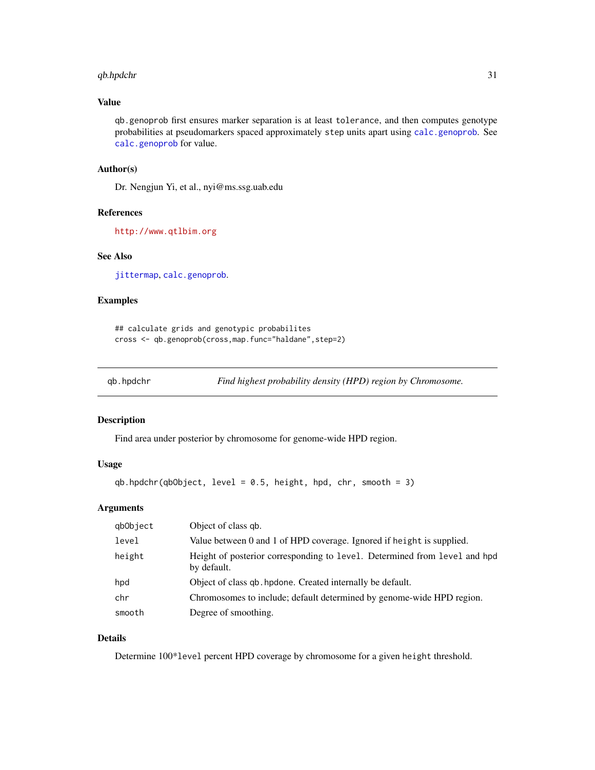#### <span id="page-30-0"></span>qb.hpdchr 31

### Value

qb.genoprob first ensures marker separation is at least tolerance, and then computes genotype probabilities at pseudomarkers spaced approximately step units apart using [calc.genoprob](#page-0-0). See [calc.genoprob](#page-0-0) for value.

#### Author(s)

Dr. Nengjun Yi, et al., nyi@ms.ssg.uab.edu

#### References

<http://www.qtlbim.org>

### See Also

[jittermap](#page-0-0), [calc.genoprob](#page-0-0).

### Examples

## calculate grids and genotypic probabilites cross <- qb.genoprob(cross,map.func="haldane",step=2)

<span id="page-30-1"></span>qb.hpdchr *Find highest probability density (HPD) region by Chromosome.*

#### Description

Find area under posterior by chromosome for genome-wide HPD region.

### Usage

 $qb.hpdchr(qbObject, level = 0.5, height, hpd, chr, smooth = 3)$ 

### Arguments

| gbObject | Object of class qb.                                                                      |
|----------|------------------------------------------------------------------------------------------|
| level    | Value between 0 and 1 of HPD coverage. Ignored if height is supplied.                    |
| height   | Height of posterior corresponding to level. Determined from level and hpd<br>by default. |
| hpd      | Object of class qb, hpdone. Created internally be default.                               |
| chr      | Chromosomes to include; default determined by genome-wide HPD region.                    |
| smooth   | Degree of smoothing.                                                                     |

### Details

Determine 100\*level percent HPD coverage by chromosome for a given height threshold.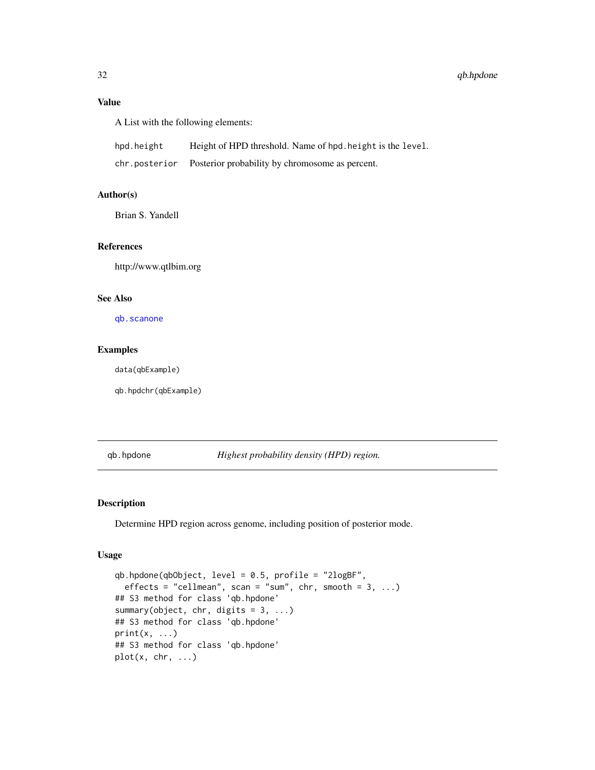### <span id="page-31-0"></span>Value

A List with the following elements:

| hpd.height    | Height of HPD threshold. Name of hpd. height is the level. |
|---------------|------------------------------------------------------------|
| chr.posterior | Posterior probability by chromosome as percent.            |

### Author(s)

Brian S. Yandell

### References

http://www.qtlbim.org

#### See Also

[qb.scanone](#page-41-1)

### Examples

data(qbExample)

qb.hpdchr(qbExample)

<span id="page-31-1"></span>qb.hpdone *Highest probability density (HPD) region.*

### Description

Determine HPD region across genome, including position of posterior mode.

### Usage

```
qb.hpdone(qbObject, level = 0.5, profile = "2logBF",
  effects = "cellmean", scan = "sum", chr, smooth = 3, ...)
## S3 method for class 'qb.hpdone'
summary(object, chr, digits = 3, ...)
## S3 method for class 'qb.hpdone'
print(x, \ldots)## S3 method for class 'qb.hpdone'
plot(x, chr, ...)
```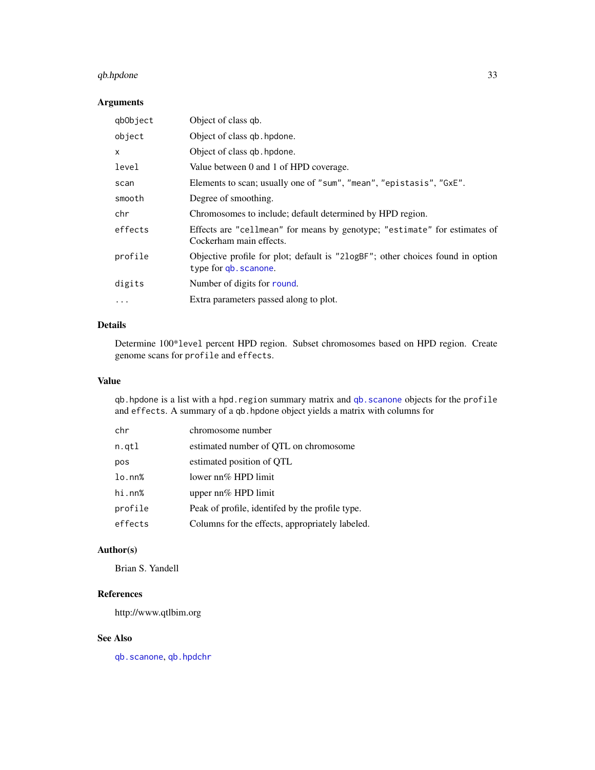### <span id="page-32-0"></span>qb.hpdone 33

### Arguments

| qbObject | Object of class qb.                                                                                     |
|----------|---------------------------------------------------------------------------------------------------------|
| object   | Object of class qb. hpdone.                                                                             |
| X        | Object of class qb. hpdone.                                                                             |
| level    | Value between 0 and 1 of HPD coverage.                                                                  |
| scan     | Elements to scan; usually one of "sum", "mean", "epistasis", "GxE".                                     |
| smooth   | Degree of smoothing.                                                                                    |
| chr      | Chromosomes to include; default determined by HPD region.                                               |
| effects  | Effects are "cellmean" for means by genotype; "estimate" for estimates of<br>Cockerham main effects.    |
| profile  | Objective profile for plot; default is "21ogBF"; other choices found in option<br>type for qb. scanone. |
| digits   | Number of digits for round.                                                                             |
| $\cdots$ | Extra parameters passed along to plot.                                                                  |

### Details

Determine 100\*level percent HPD region. Subset chromosomes based on HPD region. Create genome scans for profile and effects.

### Value

qb.hpdone is a list with a hpd.region summary matrix and [qb.scanone](#page-41-1) objects for the profile and effects. A summary of a qb.hpdone object yields a matrix with columns for

| chr     | chromosome number                               |
|---------|-------------------------------------------------|
| n.qtl   | estimated number of QTL on chromosome           |
| pos     | estimated position of QTL                       |
| 10.nn%  | lower nn% HPD limit                             |
| hi.nn%  | upper $nn\%$ HPD limit                          |
| profile | Peak of profile, identifed by the profile type. |
| effects | Columns for the effects, appropriately labeled. |
|         |                                                 |

### Author(s)

Brian S. Yandell

### References

http://www.qtlbim.org

### See Also

[qb.scanone](#page-41-1), [qb.hpdchr](#page-30-1)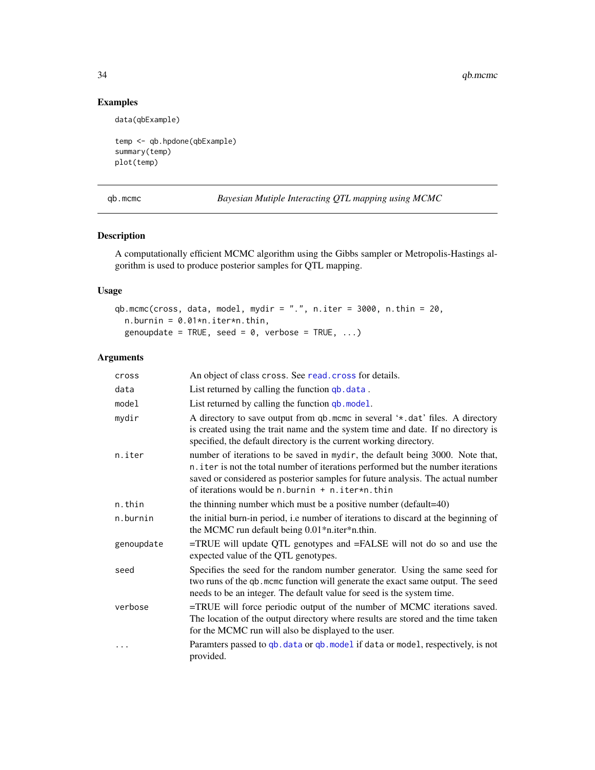### Examples

data(qbExample)

```
temp <- qb.hpdone(qbExample)
summary(temp)
plot(temp)
```
<span id="page-33-1"></span>qb.mcmc *Bayesian Mutiple Interacting QTL mapping using MCMC*

### Description

A computationally efficient MCMC algorithm using the Gibbs sampler or Metropolis-Hastings algorithm is used to produce posterior samples for QTL mapping.

### Usage

```
qb.mcmc(cross, data, model, mydir = ".", n.iter = 3000, n.thin = 20,
 n.burnin = 0.01*n.iter*n.thin,genoupdate = TRUE, seed = 0, verbose = TRUE, ...)
```

| cross      | An object of class cross. See read. cross for details.                                                                                                                                                                                                                                                         |
|------------|----------------------------------------------------------------------------------------------------------------------------------------------------------------------------------------------------------------------------------------------------------------------------------------------------------------|
| data       | List returned by calling the function qb. data.                                                                                                                                                                                                                                                                |
| model      | List returned by calling the function qb. model.                                                                                                                                                                                                                                                               |
| mydir      | A directory to save output from qb.mcmc in several '*.dat' files. A directory<br>is created using the trait name and the system time and date. If no directory is<br>specified, the default directory is the current working directory.                                                                        |
| n.iter     | number of iterations to be saved in mydir, the default being 3000. Note that,<br>n. i ter is not the total number of iterations performed but the number iterations<br>saved or considered as posterior samples for future analysis. The actual number<br>of iterations would be n. burnin $+$ n. iter*n. thin |
| n.thin     | the thinning number which must be a positive number (default=40)                                                                                                                                                                                                                                               |
| n.burnin   | the initial burn-in period, i.e number of iterations to discard at the beginning of<br>the MCMC run default being 0.01*n.iter*n.thin.                                                                                                                                                                          |
| genoupdate | =TRUE will update QTL genotypes and =FALSE will not do so and use the<br>expected value of the QTL genotypes.                                                                                                                                                                                                  |
| seed       | Specifies the seed for the random number generator. Using the same seed for<br>two runs of the qb. mcmc function will generate the exact same output. The seed<br>needs to be an integer. The default value for seed is the system time.                                                                       |
| verbose    | =TRUE will force periodic output of the number of MCMC iterations saved.<br>The location of the output directory where results are stored and the time taken<br>for the MCMC run will also be displayed to the user.                                                                                           |
| $\cdots$   | Paramters passed to qb. data or qb. model if data or model, respectively, is not<br>provided.                                                                                                                                                                                                                  |

<span id="page-33-0"></span>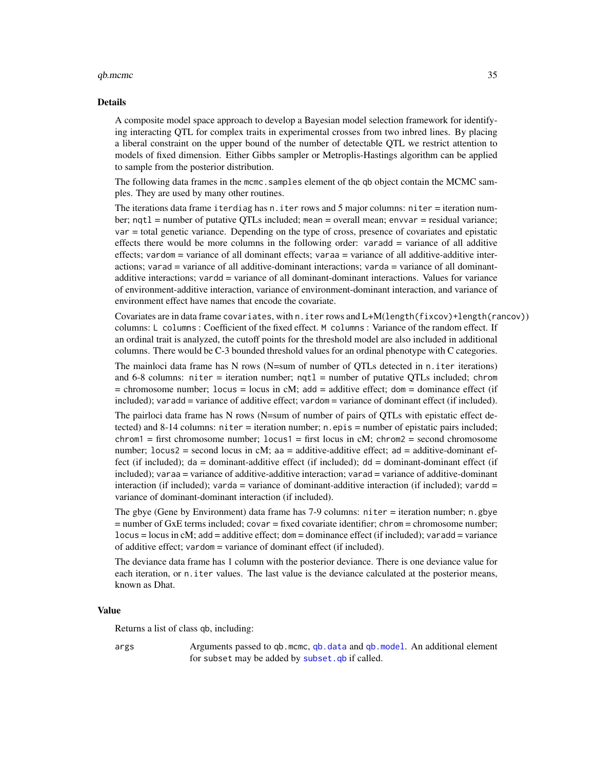#### <span id="page-34-0"></span> $q_{b.}$ mcmc  $q_{c}$  35

#### Details

A composite model space approach to develop a Bayesian model selection framework for identifying interacting QTL for complex traits in experimental crosses from two inbred lines. By placing a liberal constraint on the upper bound of the number of detectable QTL we restrict attention to models of fixed dimension. Either Gibbs sampler or Metroplis-Hastings algorithm can be applied to sample from the posterior distribution.

The following data frames in the mcmc. samples element of the qb object contain the MCMC samples. They are used by many other routines.

The iterations data frame iterdiag has  $n$ . iter rows and 5 major columns:  $niter = iteration num$ ber;  $nqtl = number of putative QTLs included; mean = overall mean; envvar = residual variance;$ var = total genetic variance. Depending on the type of cross, presence of covariates and epistatic effects there would be more columns in the following order: varadd = variance of all additive effects; vardom = variance of all dominant effects; varaa = variance of all additive-additive interactions; varad = variance of all additive-dominant interactions; varda = variance of all dominantadditive interactions; vardd = variance of all dominant-dominant interactions. Values for variance of environment-additive interaction, variance of environment-dominant interaction, and variance of environment effect have names that encode the covariate.

Covariates are in data frame covariates, with n.iter rows and L+M(length(fixcov)+length(rancov)) columns: L columns : Coefficient of the fixed effect. M columns : Variance of the random effect. If an ordinal trait is analyzed, the cutoff points for the threshold model are also included in additional columns. There would be C-3 bounded threshold values for an ordinal phenotype with C categories.

The mainloci data frame has N rows (N=sum of number of QTLs detected in n. iter iterations) and 6-8 columns: niter = iteration number; nqtl = number of putative QTLs included; chrom  $=$  chromosome number; locus = locus in cM; add  $=$  additive effect; dom  $=$  dominance effect (if included); varadd = variance of additive effect; vardom = variance of dominant effect (if included).

The pairloci data frame has N rows (N=sum of number of pairs of OTLs with epistatic effect detected) and 8-14 columns: niter = iteration number; n.epis = number of epistatic pairs included;  $chrom1 = first chromosome number; locus1 = first locus in cM; chrom2 = second chromosome$ number; locus2 = second locus in cM; aa = additive-additive effect; ad = additive-dominant effect (if included);  $da =$  dominant-additive effect (if included);  $dd =$  dominant-dominant effect (if included); varaa = variance of additive-additive interaction; varad = variance of additive-dominant interaction (if included); varda = variance of dominant-additive interaction (if included); vardd = variance of dominant-dominant interaction (if included).

The gbye (Gene by Environment) data frame has 7-9 columns: niter = iteration number; n.gbye  $=$  number of GxE terms included; covar  $=$  fixed covariate identifier; chrom  $=$  chromosome number;  $locus = locus in cM$ ; add  $=$  additive effect; dom  $=$  dominance effect (if included); varadd  $=$  variance of additive effect; vardom = variance of dominant effect (if included).

The deviance data frame has 1 column with the posterior deviance. There is one deviance value for each iteration, or n. iter values. The last value is the deviance calculated at the posterior means, known as Dhat.

#### Value

Returns a list of class qb, including:

args Arguments passed to qb.mcmc, [qb.data](#page-27-1) and [qb.model](#page-37-1). An additional element for subset may be added by [subset.qb](#page-60-1) if called.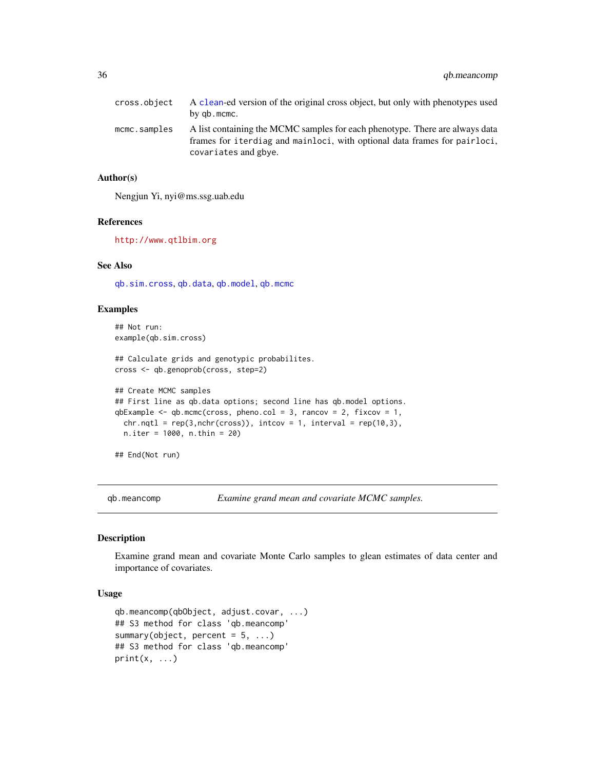<span id="page-35-0"></span>

| cross.object | A clean-ed version of the original cross object, but only with phenotypes used<br>by qb.mcmc.                                                                                     |
|--------------|-----------------------------------------------------------------------------------------------------------------------------------------------------------------------------------|
| mcmc.samples | A list containing the MCMC samples for each phenotype. There are always data<br>frames for iterdiag and mainloci, with optional data frames for pairloci,<br>covariates and gbye. |

### Author(s)

Nengjun Yi, nyi@ms.ssg.uab.edu

#### References

<http://www.qtlbim.org>

#### See Also

[qb.sim.cross](#page-45-1), [qb.data](#page-27-1), [qb.model](#page-37-1), [qb.mcmc](#page-33-1)

### Examples

## Not run: example(qb.sim.cross)

## Calculate grids and genotypic probabilites. cross <- qb.genoprob(cross, step=2)

```
## Create MCMC samples
## First line as qb.data options; second line has qb.model options.
qbExample \leq qb.mcmc(cross, pheno.col = 3, rancov = 2, fixcov = 1,
 chr.nqtl = rep(3, nchr(cross)), intcov = 1, interval = rep(10,3),
 n.iter = 1000, n.thin = 20)
```
## End(Not run)

qb.meancomp *Examine grand mean and covariate MCMC samples.*

#### Description

Examine grand mean and covariate Monte Carlo samples to glean estimates of data center and importance of covariates.

### Usage

```
qb.meancomp(qbObject, adjust.covar, ...)
## S3 method for class 'qb.meancomp'
summary(object, percent = 5, ...)
## S3 method for class 'qb.meancomp'
print(x, \ldots)
```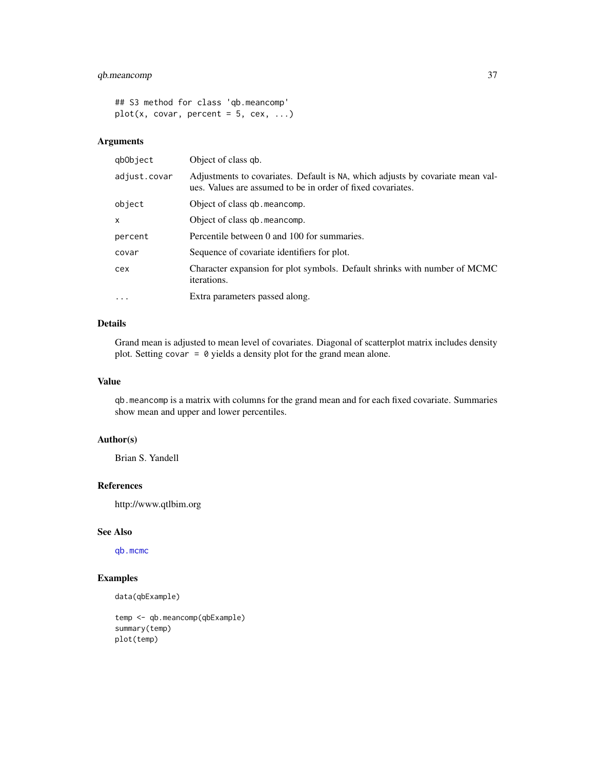### qb.meancomp 37

```
## S3 method for class 'qb.meancomp'
plot(x, covar, percent = 5, cex, ...)
```
#### Arguments

| qbObject     | Object of class qb.                                                                                                                           |
|--------------|-----------------------------------------------------------------------------------------------------------------------------------------------|
| adjust.covar | Adjustments to covariates. Default is NA, which adjusts by covariate mean val-<br>ues. Values are assumed to be in order of fixed covariates. |
| object       | Object of class qb. meancomp.                                                                                                                 |
| x            | Object of class qb. meancomp.                                                                                                                 |
| percent      | Percentile between 0 and 100 for summaries.                                                                                                   |
| covar        | Sequence of covariate identifiers for plot.                                                                                                   |
| cex          | Character expansion for plot symbols. Default shrinks with number of MCMC<br><i>iterations.</i>                                               |
| $\cdots$     | Extra parameters passed along.                                                                                                                |

### Details

Grand mean is adjusted to mean level of covariates. Diagonal of scatterplot matrix includes density plot. Setting covar = 0 yields a density plot for the grand mean alone.

#### Value

qb.meancomp is a matrix with columns for the grand mean and for each fixed covariate. Summaries show mean and upper and lower percentiles.

### Author(s)

Brian S. Yandell

#### References

http://www.qtlbim.org

### See Also

[qb.mcmc](#page-33-1)

### Examples

```
data(qbExample)
```

```
temp <- qb.meancomp(qbExample)
summary(temp)
plot(temp)
```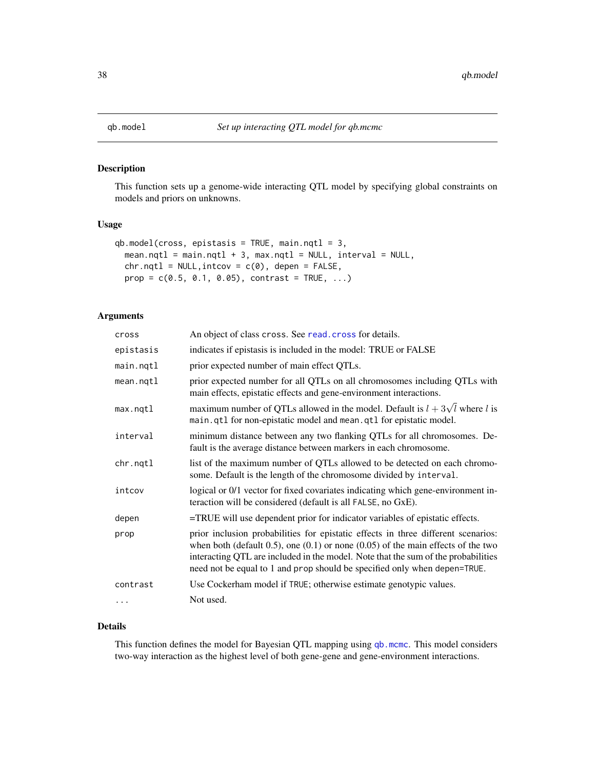<span id="page-37-1"></span><span id="page-37-0"></span>

### Description

This function sets up a genome-wide interacting QTL model by specifying global constraints on models and priors on unknowns.

### Usage

```
qb.model(cross, epistasis = TRUE, main.nqtl = 3,
 mean.nqtl = main.nqtl + 3, max.nqtl = NULL, interval = NULL,
 chr.nqtl = NULL, intcov = c(0), depen = FALSE,prop = c(0.5, 0.1, 0.05), contrast = TRUE, ...)
```
### Arguments

| cross     | An object of class cross. See read. cross for details.                                                                                                                                                                                                                                                                                         |
|-----------|------------------------------------------------------------------------------------------------------------------------------------------------------------------------------------------------------------------------------------------------------------------------------------------------------------------------------------------------|
| epistasis | indicates if epistasis is included in the model: TRUE or FALSE                                                                                                                                                                                                                                                                                 |
| main.ngtl | prior expected number of main effect QTLs.                                                                                                                                                                                                                                                                                                     |
| mean.ngtl | prior expected number for all QTLs on all chromosomes including QTLs with<br>main effects, epistatic effects and gene-environment interactions.                                                                                                                                                                                                |
| max.nqtl  | maximum number of QTLs allowed in the model. Default is $l + 3\sqrt{l}$ where l is<br>main.qtl for non-epistatic model and mean.qtl for epistatic model.                                                                                                                                                                                       |
| interval  | minimum distance between any two flanking QTLs for all chromosomes. De-<br>fault is the average distance between markers in each chromosome.                                                                                                                                                                                                   |
| chr.nqtl  | list of the maximum number of QTLs allowed to be detected on each chromo-<br>some. Default is the length of the chromosome divided by interval.                                                                                                                                                                                                |
| intcov    | logical or 0/1 vector for fixed covariates indicating which gene-environment in-<br>teraction will be considered (default is all FALSE, no GxE).                                                                                                                                                                                               |
| depen     | =TRUE will use dependent prior for indicator variables of epistatic effects.                                                                                                                                                                                                                                                                   |
| prop      | prior inclusion probabilities for epistatic effects in three different scenarios:<br>when both (default $0.5$ ), one $(0.1)$ or none $(0.05)$ of the main effects of the two<br>interacting QTL are included in the model. Note that the sum of the probabilities<br>need not be equal to 1 and prop should be specified only when depen=TRUE. |
| contrast  | Use Cockerham model if TRUE; otherwise estimate genotypic values.                                                                                                                                                                                                                                                                              |
| .         | Not used.                                                                                                                                                                                                                                                                                                                                      |

### Details

This function defines the model for Bayesian QTL mapping using [qb.mcmc](#page-33-1). This model considers two-way interaction as the highest level of both gene-gene and gene-environment interactions.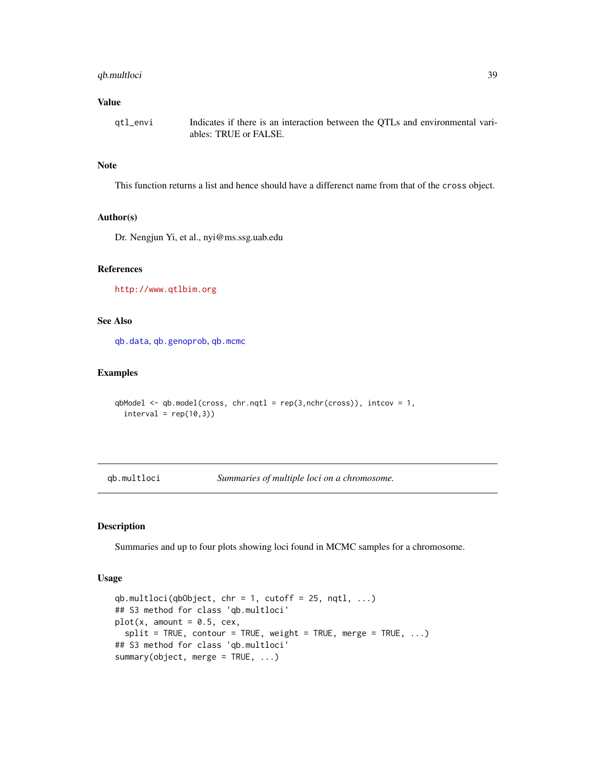### <span id="page-38-0"></span>qb.multloci 39

### Value

qtl\_envi Indicates if there is an interaction between the QTLs and environmental variables: TRUE or FALSE.

### Note

This function returns a list and hence should have a differenct name from that of the cross object.

#### Author(s)

Dr. Nengjun Yi, et al., nyi@ms.ssg.uab.edu

#### References

<http://www.qtlbim.org>

#### See Also

[qb.data](#page-27-1), [qb.genoprob](#page-29-1), [qb.mcmc](#page-33-1)

#### Examples

```
qbModel \leq qb.model(cross, chr.nqtl = rep(3,nchr(cross)), intcov = 1,
 interval = rep(10,3)
```
<span id="page-38-1"></span>qb.multloci *Summaries of multiple loci on a chromosome.*

#### Description

Summaries and up to four plots showing loci found in MCMC samples for a chromosome.

### Usage

```
qb.multloci(qbObject, chr = 1, cutoff = 25, nqtl, \dots)
## S3 method for class 'qb.multloci'
plot(x, amount = 0.5, cex,split = TRUE, contour = TRUE, weight = TRUE, merge = TRUE, ...)## S3 method for class 'qb.multloci'
summary(object, merge = TRUE, ...)
```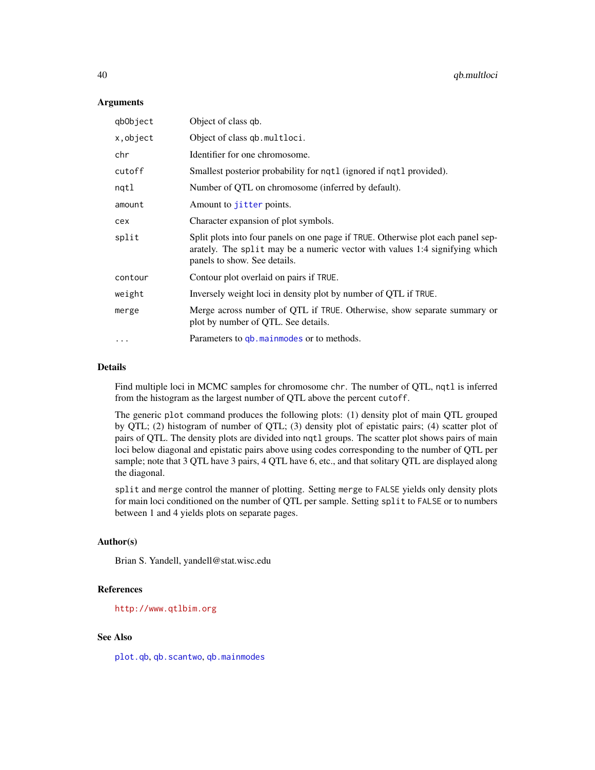#### **Arguments**

| qbObject  | Object of class qb.                                                                                                                                                                             |
|-----------|-------------------------------------------------------------------------------------------------------------------------------------------------------------------------------------------------|
| x, object | Object of class qb.multloci.                                                                                                                                                                    |
| chr       | Identifier for one chromosome.                                                                                                                                                                  |
| cutoff    | Smallest posterior probability for nqt1 (ignored if nqt1 provided).                                                                                                                             |
| ngtl      | Number of QTL on chromosome (inferred by default).                                                                                                                                              |
| amount    | Amount to jitter points.                                                                                                                                                                        |
| cex       | Character expansion of plot symbols.                                                                                                                                                            |
| split     | Split plots into four panels on one page if TRUE. Otherwise plot each panel sep-<br>arately. The split may be a numeric vector with values 1:4 signifying which<br>panels to show. See details. |
| contour   | Contour plot overlaid on pairs if TRUE.                                                                                                                                                         |
| weight    | Inversely weight loci in density plot by number of QTL if TRUE.                                                                                                                                 |
| merge     | Merge across number of QTL if TRUE. Otherwise, show separate summary or<br>plot by number of QTL. See details.                                                                                  |
| $\cdot$   | Parameters to qb. mainmodes or to methods.                                                                                                                                                      |

#### Details

Find multiple loci in MCMC samples for chromosome chr. The number of QTL, nqtl is inferred from the histogram as the largest number of QTL above the percent cutoff.

The generic plot command produces the following plots: (1) density plot of main QTL grouped by QTL; (2) histogram of number of QTL; (3) density plot of epistatic pairs; (4) scatter plot of pairs of QTL. The density plots are divided into nqtl groups. The scatter plot shows pairs of main loci below diagonal and epistatic pairs above using codes corresponding to the number of QTL per sample; note that 3 QTL have 3 pairs, 4 QTL have 6, etc., and that solitary QTL are displayed along the diagonal.

split and merge control the manner of plotting. Setting merge to FALSE yields only density plots for main loci conditioned on the number of QTL per sample. Setting split to FALSE or to numbers between 1 and 4 yields plots on separate pages.

#### Author(s)

Brian S. Yandell, yandell@stat.wisc.edu

#### References

<http://www.qtlbim.org>

### See Also

[plot.qb](#page-4-1), [qb.scantwo](#page-44-1), [qb.mainmodes](#page-9-1)

<span id="page-39-0"></span>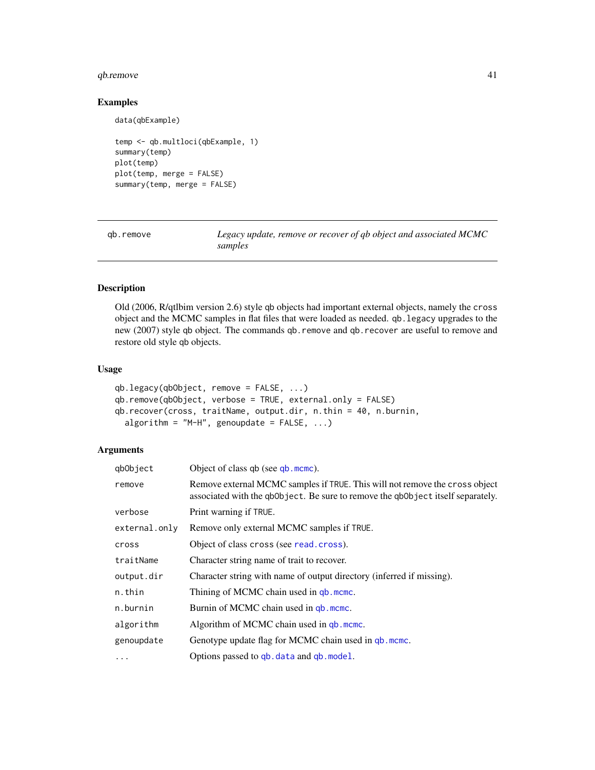#### <span id="page-40-0"></span> $q$ b.remove  $\frac{41}{10}$

### Examples

data(qbExample)

```
temp <- qb.multloci(qbExample, 1)
summary(temp)
plot(temp)
plot(temp, merge = FALSE)
summary(temp, merge = FALSE)
```
qb.remove *Legacy update, remove or recover of qb object and associated MCMC samples*

### Description

Old (2006, R/qtlbim version 2.6) style qb objects had important external objects, namely the cross object and the MCMC samples in flat files that were loaded as needed. qb.legacy upgrades to the new (2007) style qb object. The commands qb.remove and qb.recover are useful to remove and restore old style qb objects.

### Usage

```
qb.legacy(qbObject, remove = FALSE, ...)
qb.remove(qbObject, verbose = TRUE, external.only = FALSE)
qb.recover(cross, traitName, output.dir, n.thin = 40, n.burnin,
 algorithm = M-H'', genoupdate = FALSE, ...)
```

| qbObject      | Object of class qb (see qb. mcmc).                                                                                                                             |
|---------------|----------------------------------------------------------------------------------------------------------------------------------------------------------------|
| remove        | Remove external MCMC samples if TRUE. This will not remove the cross object<br>associated with the qb0bject. Be sure to remove the qb0bject itself separately. |
| verbose       | Print warning if TRUE.                                                                                                                                         |
| external.only | Remove only external MCMC samples if TRUE.                                                                                                                     |
| cross         | Object of class cross (see read. cross).                                                                                                                       |
| traitName     | Character string name of trait to recover.                                                                                                                     |
| output.dir    | Character string with name of output directory (inferred if missing).                                                                                          |
| n.thin        | Thining of MCMC chain used in qb. mcmc.                                                                                                                        |
| n.burnin      | Burnin of MCMC chain used in qb. mcmc.                                                                                                                         |
| algorithm     | Algorithm of MCMC chain used in qb. mcmc.                                                                                                                      |
| genoupdate    | Genotype update flag for MCMC chain used in qb. mcmc.                                                                                                          |
| $\cdots$      | Options passed to qb. data and qb. model.                                                                                                                      |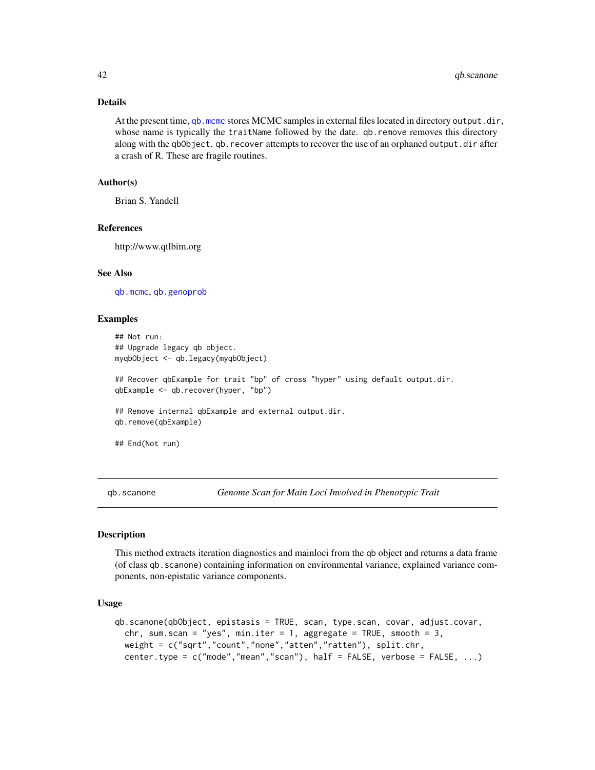#### Details

At the present time, qb. mcmc stores MCMC samples in external files located in directory output.dir, whose name is typically the traitName followed by the date. qb.remove removes this directory along with the qbObject. qb.recover attempts to recover the use of an orphaned output.dir after a crash of R. These are fragile routines.

#### Author(s)

Brian S. Yandell

#### References

http://www.qtlbim.org

### See Also

[qb.mcmc](#page-33-1), [qb.genoprob](#page-29-1)

#### Examples

```
## Not run:
## Upgrade legacy qb object.
myqbObject <- qb.legacy(myqbObject)
## Recover qbExample for trait "bp" of cross "hyper" using default output.dir.
qbExample <- qb.recover(hyper, "bp")
## Remove internal qbExample and external output.dir.
qb.remove(qbExample)
## End(Not run)
```
<span id="page-41-1"></span>qb.scanone *Genome Scan for Main Loci Involved in Phenotypic Trait*

### **Description**

This method extracts iteration diagnostics and mainloci from the qb object and returns a data frame (of class qb. scanone) containing information on environmental variance, explained variance components, non-epistatic variance components.

#### Usage

```
qb.scanone(qbObject, epistasis = TRUE, scan, type.scan, covar, adjust.covar,
  chr, sum.scan = "yes", min.iter = 1, aggregate = TRUE, smooth = 3,
 weight = c("sqrt","count","none","atten","ratten"), split.chr,
  center.type = c("mode","mean","scan"), half = FALSE, verbose = FALSE, ...)
```
<span id="page-41-0"></span>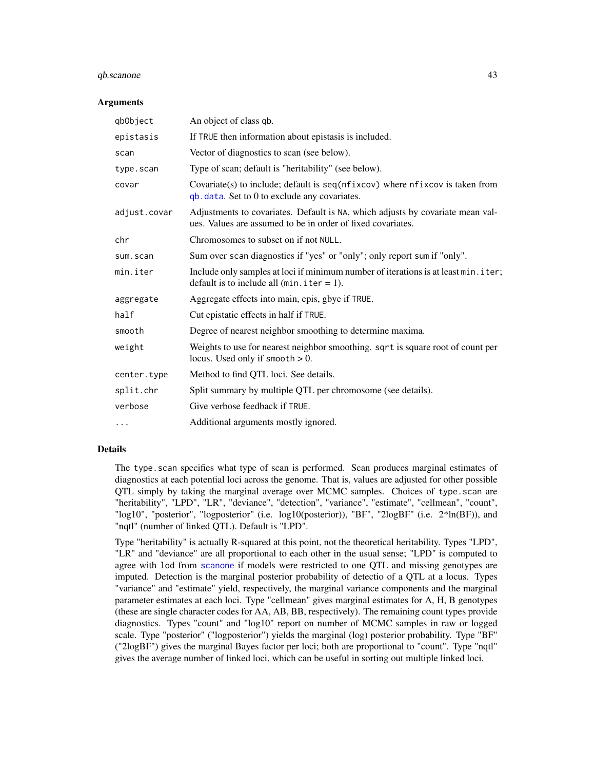#### <span id="page-42-0"></span>qb.scanone 43

#### Arguments

| An object of class qb.                                                                                                                        |
|-----------------------------------------------------------------------------------------------------------------------------------------------|
| If TRUE then information about epistasis is included.                                                                                         |
| Vector of diagnostics to scan (see below).                                                                                                    |
| Type of scan; default is "heritability" (see below).                                                                                          |
| Covariate(s) to include; default is $seq(nfixcov)$ where $nfixcov$ is taken from<br>qb. data. Set to 0 to exclude any covariates.             |
| Adjustments to covariates. Default is NA, which adjusts by covariate mean val-<br>ues. Values are assumed to be in order of fixed covariates. |
| Chromosomes to subset on if not NULL.                                                                                                         |
| Sum over scan diagnostics if "yes" or "only"; only report sum if "only".                                                                      |
| Include only samples at loci if minimum number of iterations is at least min. iter;<br>default is to include all $(\text{min.iter} = 1)$ .    |
| Aggregate effects into main, epis, gbye if TRUE.                                                                                              |
| Cut epistatic effects in half if TRUE.                                                                                                        |
| Degree of nearest neighbor smoothing to determine maxima.                                                                                     |
| Weights to use for nearest neighbor smoothing. sqrt is square root of count per<br>locus. Used only if smooth $> 0$ .                         |
| Method to find QTL loci. See details.                                                                                                         |
| Split summary by multiple QTL per chromosome (see details).                                                                                   |
| Give verbose feedback if TRUE.                                                                                                                |
| Additional arguments mostly ignored.                                                                                                          |
|                                                                                                                                               |

### Details

The type.scan specifies what type of scan is performed. Scan produces marginal estimates of diagnostics at each potential loci across the genome. That is, values are adjusted for other possible QTL simply by taking the marginal average over MCMC samples. Choices of type.scan are "heritability", "LPD", "LR", "deviance", "detection", "variance", "estimate", "cellmean", "count", "log10", "posterior", "logposterior" (i.e. log10(posterior)), "BF", "2logBF" (i.e. 2\*ln(BF)), and "nqtl" (number of linked QTL). Default is "LPD".

Type "heritability" is actually R-squared at this point, not the theoretical heritability. Types "LPD", "LR" and "deviance" are all proportional to each other in the usual sense; "LPD" is computed to agree with lod from [scanone](#page-0-0) if models were restricted to one QTL and missing genotypes are imputed. Detection is the marginal posterior probability of detectio of a QTL at a locus. Types "variance" and "estimate" yield, respectively, the marginal variance components and the marginal parameter estimates at each loci. Type "cellmean" gives marginal estimates for A, H, B genotypes (these are single character codes for AA, AB, BB, respectively). The remaining count types provide diagnostics. Types "count" and "log10" report on number of MCMC samples in raw or logged scale. Type "posterior" ("logposterior") yields the marginal (log) posterior probability. Type "BF" ("2logBF") gives the marginal Bayes factor per loci; both are proportional to "count". Type "nqtl" gives the average number of linked loci, which can be useful in sorting out multiple linked loci.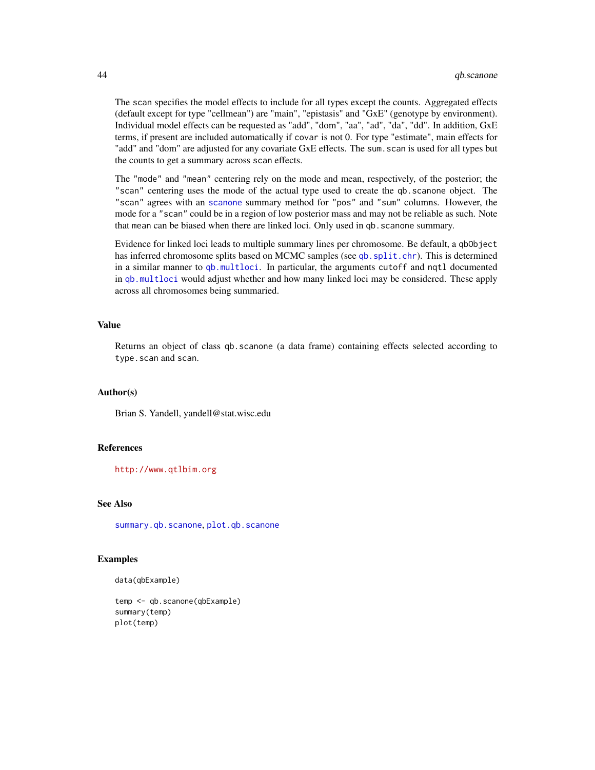<span id="page-43-0"></span>The scan specifies the model effects to include for all types except the counts. Aggregated effects (default except for type "cellmean") are "main", "epistasis" and "GxE" (genotype by environment). Individual model effects can be requested as "add", "dom", "aa", "ad", "da", "dd". In addition, GxE terms, if present are included automatically if covar is not 0. For type "estimate", main effects for "add" and "dom" are adjusted for any covariate GxE effects. The sum.scan is used for all types but the counts to get a summary across scan effects.

The "mode" and "mean" centering rely on the mode and mean, respectively, of the posterior; the "scan" centering uses the mode of the actual type used to create the qb.scanone object. The "scan" agrees with an [scanone](#page-0-0) summary method for "pos" and "sum" columns. However, the mode for a "scan" could be in a region of low posterior mass and may not be reliable as such. Note that mean can be biased when there are linked loci. Only used in qb. scanone summary.

Evidence for linked loci leads to multiple summary lines per chromosome. Be default, a qbObject has inferred chromosome splits based on MCMC samples (see qb. split.chr). This is determined in a similar manner to [qb.multloci](#page-38-1). In particular, the arguments cutoff and nqtl documented in [qb.multloci](#page-38-1) would adjust whether and how many linked loci may be considered. These apply across all chromosomes being summaried.

#### Value

Returns an object of class qb.scanone (a data frame) containing effects selected according to type.scan and scan.

#### Author(s)

Brian S. Yandell, yandell@stat.wisc.edu

#### References

<http://www.qtlbim.org>

### See Also

[summary.qb.scanone](#page-61-1), [plot.qb.scanone](#page-12-1)

#### Examples

```
data(qbExample)
```

```
temp <- qb.scanone(qbExample)
summary(temp)
plot(temp)
```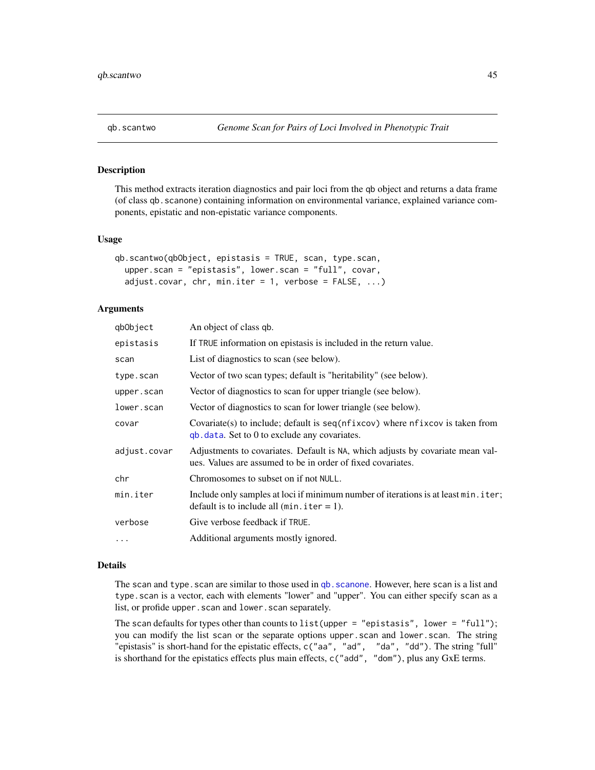<span id="page-44-1"></span><span id="page-44-0"></span>

### **Description**

This method extracts iteration diagnostics and pair loci from the qb object and returns a data frame (of class qb.scanone) containing information on environmental variance, explained variance components, epistatic and non-epistatic variance components.

### Usage

```
qb.scantwo(qbObject, epistasis = TRUE, scan, type.scan,
 upper.scan = "epistasis", lower.scan = "full", covar,
  adjust.covar, chr, min.iter = 1, verbose = FALSE, ...)
```
### **Arguments**

| qbObject     | An object of class qb.                                                                                                                        |
|--------------|-----------------------------------------------------------------------------------------------------------------------------------------------|
| epistasis    | If TRUE information on epistasis is included in the return value.                                                                             |
| scan         | List of diagnostics to scan (see below).                                                                                                      |
| type.scan    | Vector of two scan types; default is "heritability" (see below).                                                                              |
| upper.scan   | Vector of diagnostics to scan for upper triangle (see below).                                                                                 |
| lower.scan   | Vector of diagnostics to scan for lower triangle (see below).                                                                                 |
| covar        | Covariate(s) to include; default is $seq(nfixcov)$ where $nfixcov$ is taken from<br>qb. data. Set to 0 to exclude any covariates.             |
| adjust.covar | Adjustments to covariates. Default is NA, which adjusts by covariate mean val-<br>ues. Values are assumed to be in order of fixed covariates. |
| chr          | Chromosomes to subset on if not NULL.                                                                                                         |
| min.iter     | Include only samples at loci if minimum number of iterations is at least min. iter;<br>default is to include all $(\text{min. iter} = 1)$ .   |
| verbose      | Give verbose feedback if TRUE.                                                                                                                |
| $\cdots$     | Additional arguments mostly ignored.                                                                                                          |

#### Details

The scan and type. scan are similar to those used in qb. scanone. However, here scan is a list and type.scan is a vector, each with elements "lower" and "upper". You can either specify scan as a list, or profide upper.scan and lower.scan separately.

The scan defaults for types other than counts to  $list(upper = "epistasis", lower = "full");$ you can modify the list scan or the separate options upper.scan and lower.scan. The string "epistasis" is short-hand for the epistatic effects, c("aa", "ad", "da", "dd"). The string "full" is shorthand for the epistatics effects plus main effects, c("add", "dom"), plus any GxE terms.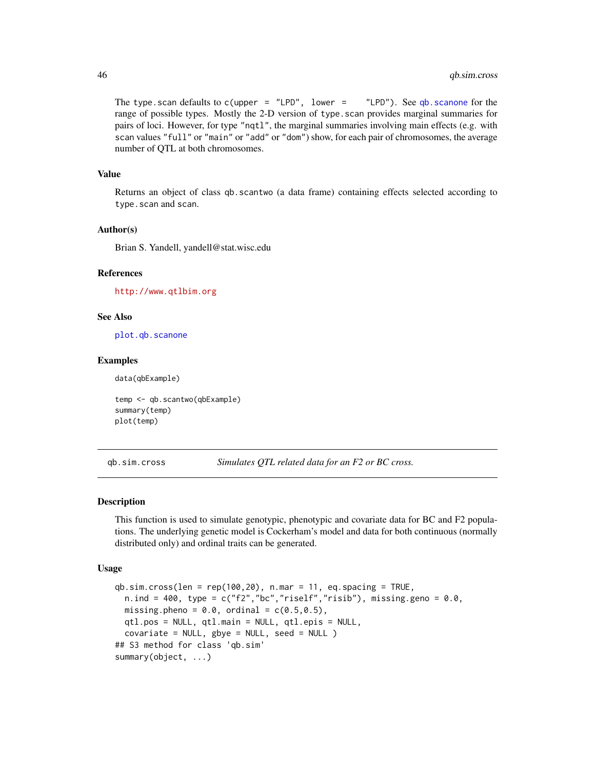The type.scan defaults to c(upper =  $"LPD", \text{ lower } =$   $"LPD"$ ). See [qb.scanone](#page-41-1) for the range of possible types. Mostly the 2-D version of type.scan provides marginal summaries for pairs of loci. However, for type "nqtl", the marginal summaries involving main effects (e.g. with scan values "full" or "main" or "add" or "dom") show, for each pair of chromosomes, the average number of QTL at both chromosomes.

#### Value

Returns an object of class qb.scantwo (a data frame) containing effects selected according to type.scan and scan.

#### Author(s)

Brian S. Yandell, yandell@stat.wisc.edu

### References

<http://www.qtlbim.org>

### See Also

[plot.qb.scanone](#page-12-1)

#### Examples

data(qbExample)

temp <- qb.scantwo(qbExample) summary(temp) plot(temp)

<span id="page-45-1"></span>qb.sim.cross *Simulates QTL related data for an F2 or BC cross.*

#### Description

This function is used to simulate genotypic, phenotypic and covariate data for BC and F2 populations. The underlying genetic model is Cockerham's model and data for both continuous (normally distributed only) and ordinal traits can be generated.

#### Usage

```
qb.sim.cross(len = rep(100, 20), n.max = 11, eq.spacing = TRUE,n.ind = 400, type = c("f2","bc","riself","risib"), missing.geno = 0.0,
 missing.pheno = 0.0, ordinal = c(0.5, 0.5),
 qtl.pos = NULL, qtl.main = NULL, qtl.epis = NULL,
  covariate = NULL, gbye = NULL, seed = NULL)
## S3 method for class 'qb.sim'
summary(object, ...)
```
<span id="page-45-0"></span>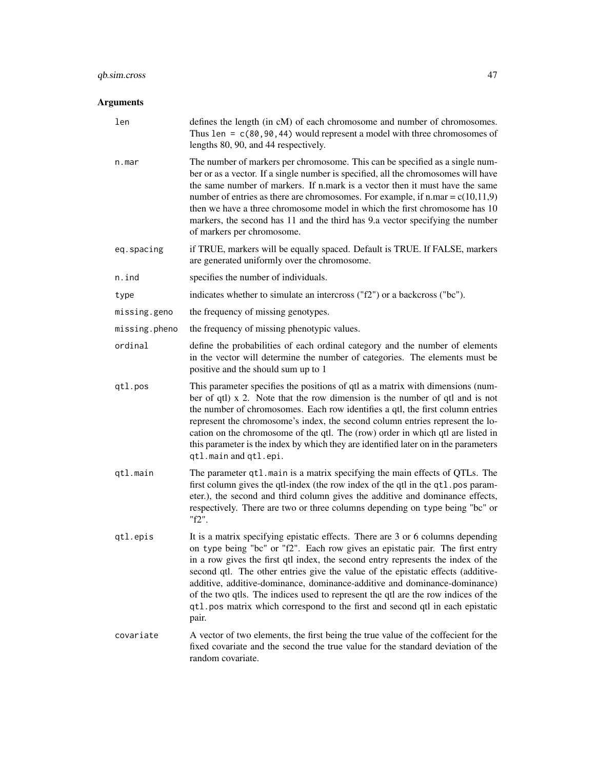### qb.sim.cross 47

| len           | defines the length (in cM) of each chromosome and number of chromosomes.<br>Thus $len = c(80, 90, 44)$ would represent a model with three chromosomes of<br>lengths 80, 90, and 44 respectively.                                                                                                                                                                                                                                                                                                                                                                                                     |  |
|---------------|------------------------------------------------------------------------------------------------------------------------------------------------------------------------------------------------------------------------------------------------------------------------------------------------------------------------------------------------------------------------------------------------------------------------------------------------------------------------------------------------------------------------------------------------------------------------------------------------------|--|
| n.mar         | The number of markers per chromosome. This can be specified as a single num-<br>ber or as a vector. If a single number is specified, all the chromosomes will have<br>the same number of markers. If n.mark is a vector then it must have the same<br>number of entries as there are chromosomes. For example, if $n.max = c(10,11,9)$<br>then we have a three chromosome model in which the first chromosome has 10<br>markers, the second has 11 and the third has 9.a vector specifying the number<br>of markers per chromosome.                                                                  |  |
| eq.spacing    | if TRUE, markers will be equally spaced. Default is TRUE. If FALSE, markers<br>are generated uniformly over the chromosome.                                                                                                                                                                                                                                                                                                                                                                                                                                                                          |  |
| n.ind         | specifies the number of individuals.                                                                                                                                                                                                                                                                                                                                                                                                                                                                                                                                                                 |  |
| type          | indicates whether to simulate an intercross ("f2") or a backcross ("bc").                                                                                                                                                                                                                                                                                                                                                                                                                                                                                                                            |  |
| missing.geno  | the frequency of missing genotypes.                                                                                                                                                                                                                                                                                                                                                                                                                                                                                                                                                                  |  |
| missing.pheno | the frequency of missing phenotypic values.                                                                                                                                                                                                                                                                                                                                                                                                                                                                                                                                                          |  |
| ordinal       | define the probabilities of each ordinal category and the number of elements<br>in the vector will determine the number of categories. The elements must be<br>positive and the should sum up to 1                                                                                                                                                                                                                                                                                                                                                                                                   |  |
| qtl.pos       | This parameter specifies the positions of qtl as a matrix with dimensions (num-<br>ber of qtl) $x$ 2. Note that the row dimension is the number of qtl and is not<br>the number of chromosomes. Each row identifies a qtl, the first column entries<br>represent the chromosome's index, the second column entries represent the lo-<br>cation on the chromosome of the qtl. The (row) order in which qtl are listed in<br>this parameter is the index by which they are identified later on in the parameters<br>qtl.main and qtl.epi.                                                              |  |
| qtl.main      | The parameter qt1. main is a matrix specifying the main effects of QTLs. The<br>first column gives the qtl-index (the row index of the qtl in the qtl. pos param-<br>eter.), the second and third column gives the additive and dominance effects,<br>respectively. There are two or three columns depending on type being "bc" or<br>"f2".                                                                                                                                                                                                                                                          |  |
| qtl.epis      | It is a matrix specifying epistatic effects. There are 3 or 6 columns depending<br>on type being "bc" or "f2". Each row gives an epistatic pair. The first entry<br>in a row gives the first qtl index, the second entry represents the index of the<br>second qtl. The other entries give the value of the epistatic effects (additive-<br>additive, additive-dominance, dominance-additive and dominance-dominance)<br>of the two qtls. The indices used to represent the qtl are the row indices of the<br>qt1.pos matrix which correspond to the first and second qtl in each epistatic<br>pair. |  |
| covariate     | A vector of two elements, the first being the true value of the coffecient for the<br>fixed covariate and the second the true value for the standard deviation of the<br>random covariate.                                                                                                                                                                                                                                                                                                                                                                                                           |  |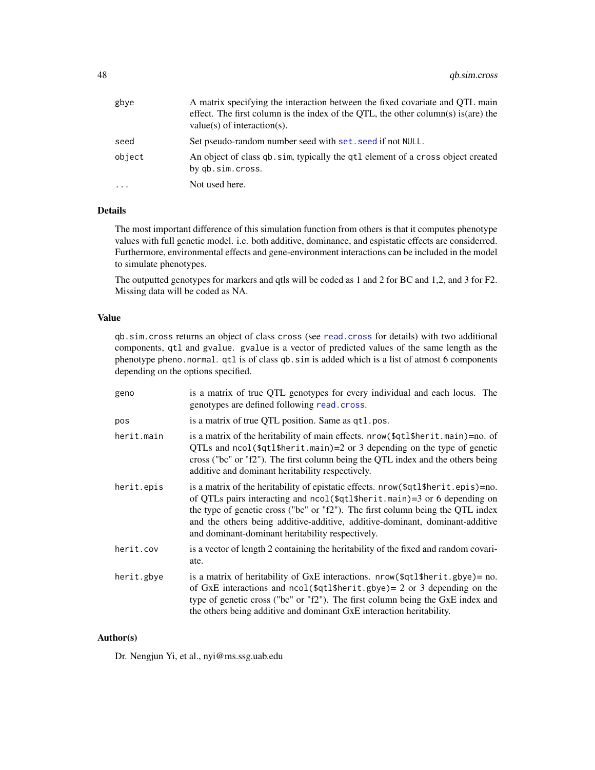<span id="page-47-0"></span>

| gbye   | A matrix specifying the interaction between the fixed covariate and QTL main<br>effect. The first column is the index of the QTL, the other column(s) is (are) the<br>value(s) of interaction(s). |
|--------|---------------------------------------------------------------------------------------------------------------------------------------------------------------------------------------------------|
| seed   | Set pseudo-random number seed with set, seed if not NULL.                                                                                                                                         |
| object | An object of class qb. sim, typically the qt1 element of a cross object created<br>by qb.sim.cross.                                                                                               |
| .      | Not used here.                                                                                                                                                                                    |

### Details

The most important difference of this simulation function from others is that it computes phenotype values with full genetic model. i.e. both additive, dominance, and espistatic effects are considerred. Furthermore, environmental effects and gene-environment interactions can be included in the model to simulate phenotypes.

The outputted genotypes for markers and qtls will be coded as 1 and 2 for BC and 1,2, and 3 for F2. Missing data will be coded as NA.

### Value

qb.sim.cross returns an object of class cross (see [read.cross](#page-0-0) for details) with two additional components, qtl and gvalue. gvalue is a vector of predicted values of the same length as the phenotype pheno.normal. qtl is of class qb.sim is added which is a list of atmost 6 components depending on the options specified.

| geno       | is a matrix of true QTL genotypes for every individual and each locus. The<br>genotypes are defined following read. cross.                                                                                                                                                                                                                                                            |  |
|------------|---------------------------------------------------------------------------------------------------------------------------------------------------------------------------------------------------------------------------------------------------------------------------------------------------------------------------------------------------------------------------------------|--|
| pos        | is a matrix of true QTL position. Same as qt1.pos.                                                                                                                                                                                                                                                                                                                                    |  |
| herit.main | is a matrix of the heritability of main effects. nrow(\$qtl\$herit.main)=no. of<br>QTLs and ncol( $\sqrt{3}$ tl $\frac{1}{2}$ herit.main)=2 or 3 depending on the type of genetic<br>cross ("bc" or "f2"). The first column being the QTL index and the others being<br>additive and dominant heritability respectively.                                                              |  |
| herit.epis | is a matrix of the heritability of epistatic effects. nrow (\$qt1\$herit.epis)=no.<br>of QTLs pairs interacting and ncol(\$qtl\$herit.main)=3 or 6 depending on<br>the type of genetic cross ("bc" or "f2"). The first column being the QTL index<br>and the others being additive-additive, additive-dominant, dominant-additive<br>and dominant-dominant heritability respectively. |  |
| herit.cov  | is a vector of length 2 containing the heritability of the fixed and random covari-<br>ate.                                                                                                                                                                                                                                                                                           |  |
| herit.gbye | is a matrix of heritability of $GxE$ interactions. $nrow(\$qtl$herit.gbye)=no$ .<br>of GxE interactions and $ncol$ (\$qtl\$herit.gbye) = 2 or 3 depending on the<br>type of genetic cross ("bc" or "f2"). The first column being the GxE index and<br>the others being additive and dominant GxE interaction heritability.                                                            |  |

#### Author(s)

Dr. Nengjun Yi, et al., nyi@ms.ssg.uab.edu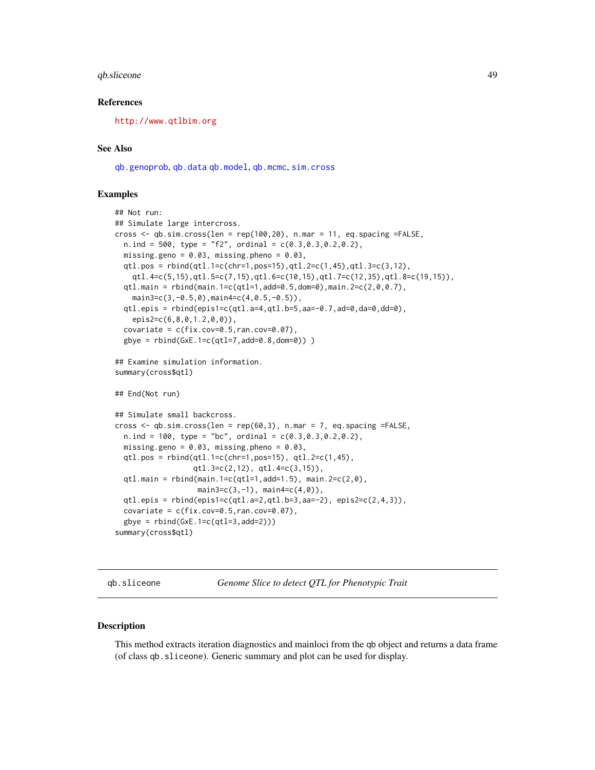### <span id="page-48-0"></span>qb.sliceone 49

#### References

<http://www.qtlbim.org>

### See Also

[qb.genoprob](#page-29-1), [qb.data](#page-27-1) [qb.model](#page-37-1), [qb.mcmc](#page-33-1), [sim.cross](#page-0-0)

#### Examples

```
## Not run:
## Simulate large intercross.
cross <- qb.sim.cross(len = rep(100,20), n.mar = 11, eq.spacing =FALSE,
 n.ind = 500, type = "f2", ordinal = c(0.3, 0.3, 0.2, 0.2),
 missing.geno = 0.03, missing.pheno = 0.03,
 qtl.pos = rbind(qtl.1=c(chr=1,pos=15),qtl.2=c(1,45),qtl.3=c(3,12),
    qtl.4=c(5,15),qtl.5=c(7,15),qtl.6=c(10,15),qtl.7=c(12,35),qtl.8=c(19,15)),
 qtl.main = rbind(main.1=c(qtl=1,add=0.5,dom=0),main.2=c(2,0,0.7),
   main3=c(3,-0.5,0),main4=c(4,0.5,-0.5)),
 qtl.epis = rbind(epis1=c(qtl.a=4,qtl.b=5,aa=-0.7,ad=0,da=0,dd=0),
   epis2=c(6,8,0,1.2,0,0)),
 covariate = c(fix.cov=0.5,ran.cov=0.07),
 gbye = rbind(GxE.1=c(qtl=7,add=0.8,dom=0)) )
## Examine simulation information.
summary(cross$qtl)
## End(Not run)
## Simulate small backcross.
cross \leq qb.sim.cross(len = rep(60,3), n.mar = 7, eq.spacing =FALSE,
 n.ind = 100, type = "bc", ordinal = c(0.3, 0.3, 0.2, 0.2),
 missing.geno = 0.03, missing.pheno = 0.03,
 qtl.pos = rbind(qtl.1=c(chr=1,pos=15), qtl.2=c(1,45),
                  qtl.3=c(2,12), qtl.4=c(3,15)),
 qtl.main = rbind(main.1=c(qtl=1,add=1.5), main.2=c(2,0),
                   main3=c(3,-1), main4=c(4,0),
 qtl.epis = rbind(epis1=c(qtl.a=2,qtl.b=3,aa=-2), epis2=c(2,4,3)),
 covariate = c(fix.cov=0.5, ran.cov=0.07),
 gbye = rbind(GxE.1=c(qtl=3,add=2)))summary(cross$qtl)
```
<span id="page-48-1"></span>qb.sliceone *Genome Slice to detect QTL for Phenotypic Trait*

#### Description

This method extracts iteration diagnostics and mainloci from the qb object and returns a data frame (of class qb.sliceone). Generic summary and plot can be used for display.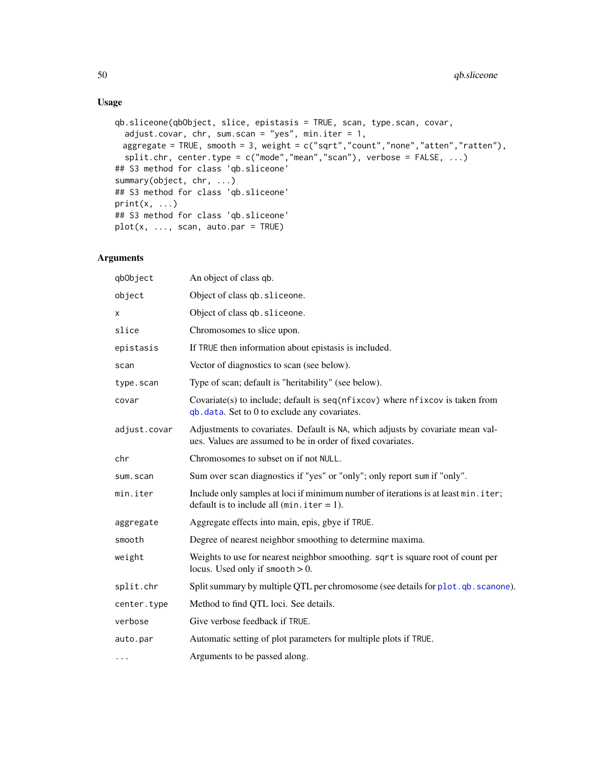```
qb.sliceone(qbObject, slice, epistasis = TRUE, scan, type.scan, covar,
  adjust.covar, chr, sum.scan = "yes", min.iter = 1,
 aggregate = TRUE, smooth = 3, weight = c("sqrt", "count", "none", "atten", "rather"),
  split.chr, center.type = c("mode","mean","scan"), verbose = FALSE, ...)
## S3 method for class 'qb.sliceone'
summary(object, chr, ...)
## S3 method for class 'qb.sliceone'
print(x, \ldots)## S3 method for class 'qb.sliceone'
plot(x, ..., scan, auto.par = TRUE)
```

| qb0bject     | An object of class qb.                                                                                                                        |
|--------------|-----------------------------------------------------------------------------------------------------------------------------------------------|
| object       | Object of class qb. sliceone.                                                                                                                 |
| x            | Object of class qb. sliceone.                                                                                                                 |
| slice        | Chromosomes to slice upon.                                                                                                                    |
| epistasis    | If TRUE then information about epistasis is included.                                                                                         |
| scan         | Vector of diagnostics to scan (see below).                                                                                                    |
| type.scan    | Type of scan; default is "heritability" (see below).                                                                                          |
| covar        | Covariate(s) to include; default is $seq(nfixcov)$ where $nfixcov$ is taken from<br>qb. data. Set to 0 to exclude any covariates.             |
| adjust.covar | Adjustments to covariates. Default is NA, which adjusts by covariate mean val-<br>ues. Values are assumed to be in order of fixed covariates. |
| chr          | Chromosomes to subset on if not NULL.                                                                                                         |
| sum.scan     | Sum over scan diagnostics if "yes" or "only"; only report sum if "only".                                                                      |
| min.iter     | Include only samples at loci if minimum number of iterations is at least min. iter;<br>default is to include all $(\min . \text{iter} = 1)$ . |
| aggregate    | Aggregate effects into main, epis, gbye if TRUE.                                                                                              |
| smooth       | Degree of nearest neighbor smoothing to determine maxima.                                                                                     |
| weight       | Weights to use for nearest neighbor smoothing. sqrt is square root of count per<br>locus. Used only if smooth $> 0$ .                         |
| split.chr    | Split summary by multiple QTL per chromosome (see details for plot. qb. scanone).                                                             |
| center.type  | Method to find QTL loci. See details.                                                                                                         |
| verbose      | Give verbose feedback if TRUE.                                                                                                                |
| auto.par     | Automatic setting of plot parameters for multiple plots if TRUE.                                                                              |
| $\cdots$     | Arguments to be passed along.                                                                                                                 |

<span id="page-49-0"></span>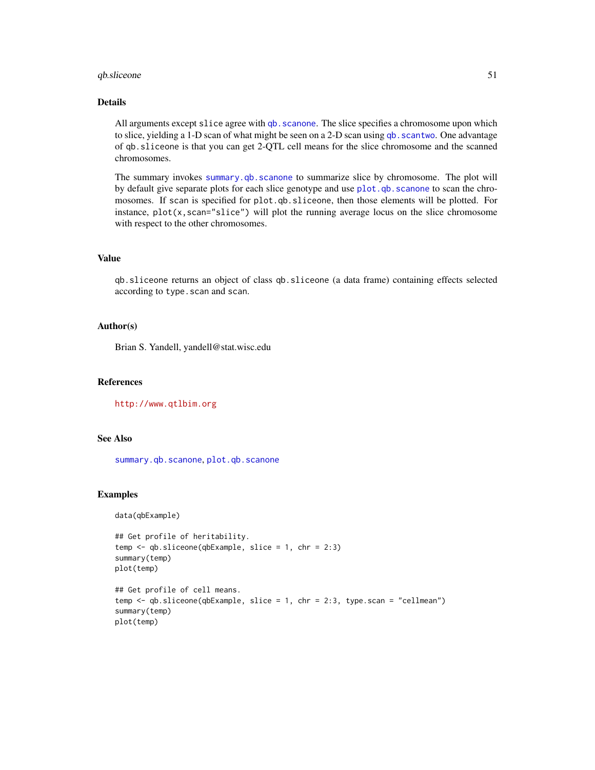### <span id="page-50-0"></span>qb.sliceone 51

### Details

All arguments except slice agree with qb. scanone. The slice specifies a chromosome upon which to slice, yielding a 1-D scan of what might be seen on a 2-D scan using qb. scantwo. One advantage of qb.sliceone is that you can get 2-QTL cell means for the slice chromosome and the scanned chromosomes.

The summary invokes [summary.qb.scanone](#page-61-1) to summarize slice by chromosome. The plot will by default give separate plots for each slice genotype and use [plot.qb.scanone](#page-12-1) to scan the chromosomes. If scan is specified for plot.qb.sliceone, then those elements will be plotted. For instance,  $plot(x, scan="slice")$  will plot the running average locus on the slice chromosome with respect to the other chromosomes.

#### Value

qb.sliceone returns an object of class qb.sliceone (a data frame) containing effects selected according to type.scan and scan.

### Author(s)

Brian S. Yandell, yandell@stat.wisc.edu

#### References

<http://www.qtlbim.org>

### See Also

[summary.qb.scanone](#page-61-1), [plot.qb.scanone](#page-12-1)

#### Examples

```
data(qbExample)
```

```
## Get profile of heritability.
temp <- qb.sliceone(qbExample, slice = 1, chr = 2:3)
summary(temp)
plot(temp)
```

```
## Get profile of cell means.
temp <- qb.sliceone(qbExample, slice = 1, chr = 2:3, type.scan = "cellmean")
summary(temp)
plot(temp)
```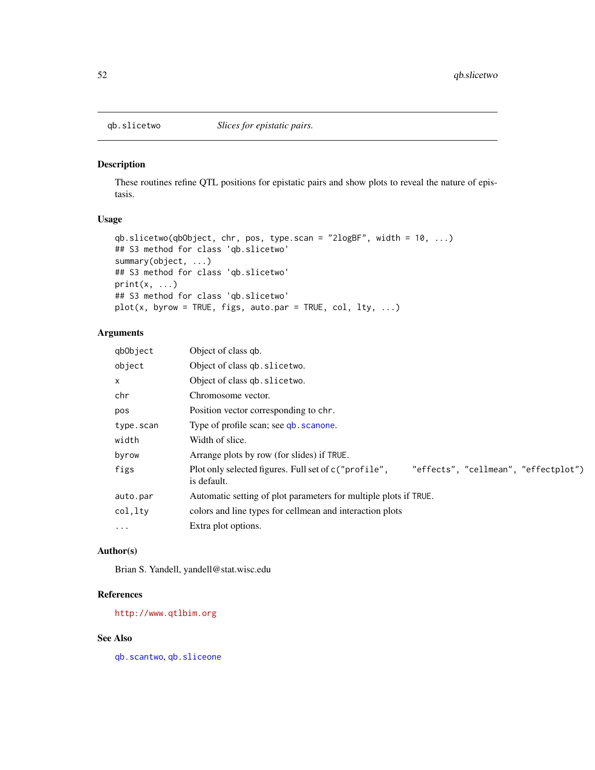<span id="page-51-0"></span>

#### Description

These routines refine QTL positions for epistatic pairs and show plots to reveal the nature of epistasis.

#### Usage

```
qb.slicetwo(qbObject, chr, pos, type.scan = "2logBF", width = 10, ...)
## S3 method for class 'qb.slicetwo'
summary(object, ...)
## S3 method for class 'qb.slicetwo'
print(x, \ldots)## S3 method for class 'qb.slicetwo'
plot(x, byrow = TRUE, figs, auto.par = TRUE, col, lty, ...)
```
### Arguments

| qbObject  | Object of class qb.                                                                                          |
|-----------|--------------------------------------------------------------------------------------------------------------|
| object    | Object of class qb. slicetwo.                                                                                |
| X         | Object of class qb. slicetwo.                                                                                |
| chr       | Chromosome vector.                                                                                           |
| pos       | Position vector corresponding to chr.                                                                        |
| type.scan | Type of profile scan; see qb. scanone.                                                                       |
| width     | Width of slice.                                                                                              |
| byrow     | Arrange plots by row (for slides) if TRUE.                                                                   |
| figs      | Plot only selected figures. Full set of c ("profile",<br>"effects", "cellmean", "effectplot")<br>is default. |
| auto.par  | Automatic setting of plot parameters for multiple plots if TRUE.                                             |
| col, lty  | colors and line types for cellmean and interaction plots                                                     |
| $\ddotsc$ | Extra plot options.                                                                                          |

### Author(s)

Brian S. Yandell, yandell@stat.wisc.edu

### References

<http://www.qtlbim.org>

#### See Also

[qb.scantwo](#page-44-1), [qb.sliceone](#page-48-1)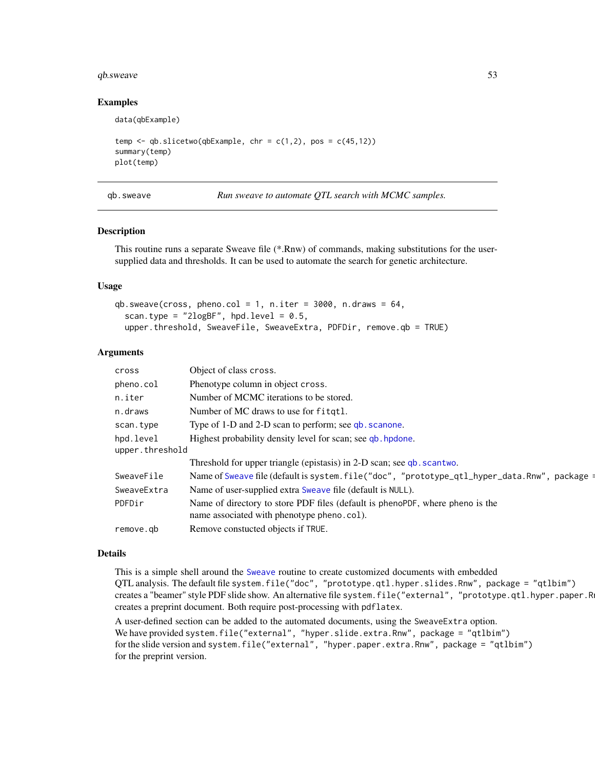#### <span id="page-52-0"></span> $q_{b}$ .sweave  $53$

#### Examples

data(qbExample)

```
temp \leq qb.slicetwo(qbExample, chr = c(1,2), pos = c(45,12))
summary(temp)
plot(temp)
```
<span id="page-52-1"></span>qb.sweave *Run sweave to automate QTL search with MCMC samples.*

#### Description

This routine runs a separate Sweave file (\*.Rnw) of commands, making substitutions for the usersupplied data and thresholds. It can be used to automate the search for genetic architecture.

#### Usage

```
qb.sweave(cross, pheno.col = 1, n.iter = 3000, n.draws = 64,scan.type = "2logBF", hold.level = 0.5,upper.threshold, SweaveFile, SweaveExtra, PDFDir, remove.qb = TRUE)
```
#### Arguments

| cross           | Object of class cross.                                                                                                     |
|-----------------|----------------------------------------------------------------------------------------------------------------------------|
| pheno.col       | Phenotype column in object cross.                                                                                          |
| n.iter          | Number of MCMC iterations to be stored.                                                                                    |
| n.draws         | Number of MC draws to use for fitgtl.                                                                                      |
| scan.type       | Type of 1-D and 2-D scan to perform; see qb. scanone.                                                                      |
| hpd.level       | Highest probability density level for scan; see qb. hpdone.                                                                |
| upper.threshold |                                                                                                                            |
|                 | Threshold for upper triangle (epistasis) in 2-D scan; see qb. scantwo.                                                     |
| SweaveFile      | Name of Sweave file (default is system. file ("doc", "prototype_qtl_hyper_data.Rnw", package                               |
| SweaveExtra     | Name of user-supplied extra Sweave file (default is NULL).                                                                 |
| PDFDir          | Name of directory to store PDF files (default is phenoPDF, where pheno is the<br>name associated with phenotype pheno.col. |
| remove.gb       | Remove constucted objects if TRUE.                                                                                         |

#### Details

This is a simple shell around the [Sweave](#page-0-0) routine to create customized documents with embedded QTL analysis. The default file system.file("doc", "prototype.qtl.hyper.slides.Rnw", package = "qtlbim") creates a "beamer" style PDF slide show. An alternative file system.file("external", "prototype.qtl.hyper.paper.R creates a preprint document. Both require post-processing with pdflatex.

A user-defined section can be added to the automated documents, using the SweaveExtra option. We have provided system.file("external", "hyper.slide.extra.Rnw", package = "qtlbim") for the slide version and system.file("external", "hyper.paper.extra.Rnw", package = "qtlbim") for the preprint version.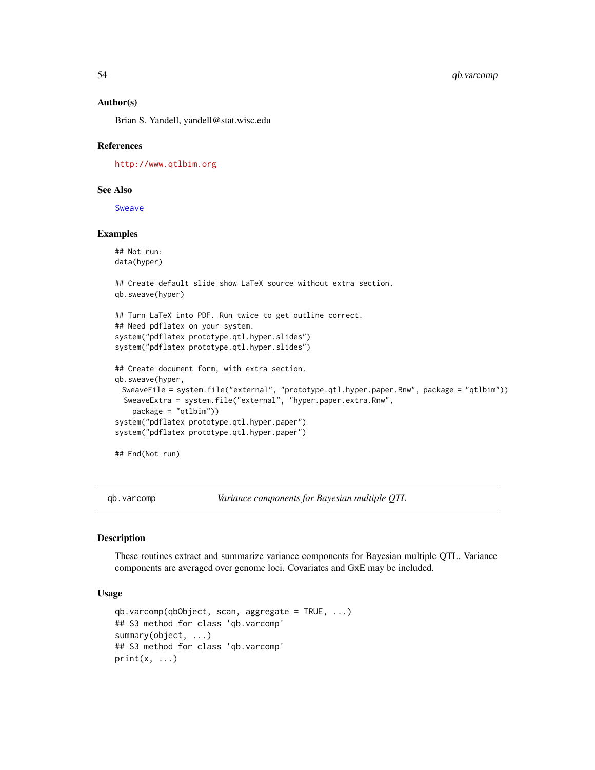#### Author(s)

Brian S. Yandell, yandell@stat.wisc.edu

#### References

<http://www.qtlbim.org>

#### See Also

[Sweave](#page-0-0)

#### Examples

```
## Not run:
data(hyper)
## Create default slide show LaTeX source without extra section.
qb.sweave(hyper)
## Turn LaTeX into PDF. Run twice to get outline correct.
## Need pdflatex on your system.
system("pdflatex prototype.qtl.hyper.slides")
system("pdflatex prototype.qtl.hyper.slides")
## Create document form, with extra section.
qb.sweave(hyper,
 SweaveFile = system.file("external", "prototype.qtl.hyper.paper.Rnw", package = "qtlbim"))
 SweaveExtra = system.file("external", "hyper.paper.extra.Rnw",
   package = "qtlbim"))
system("pdflatex prototype.qtl.hyper.paper")
system("pdflatex prototype.qtl.hyper.paper")
```
## End(Not run)

qb.varcomp *Variance components for Bayesian multiple QTL*

#### Description

These routines extract and summarize variance components for Bayesian multiple QTL. Variance components are averaged over genome loci. Covariates and GxE may be included.

#### Usage

```
qb.varcomp(qb0bject, scan, aggregate = TRUE, ...)## S3 method for class 'qb.varcomp'
summary(object, ...)
## S3 method for class 'qb.varcomp'
print(x, \ldots)
```
<span id="page-53-0"></span>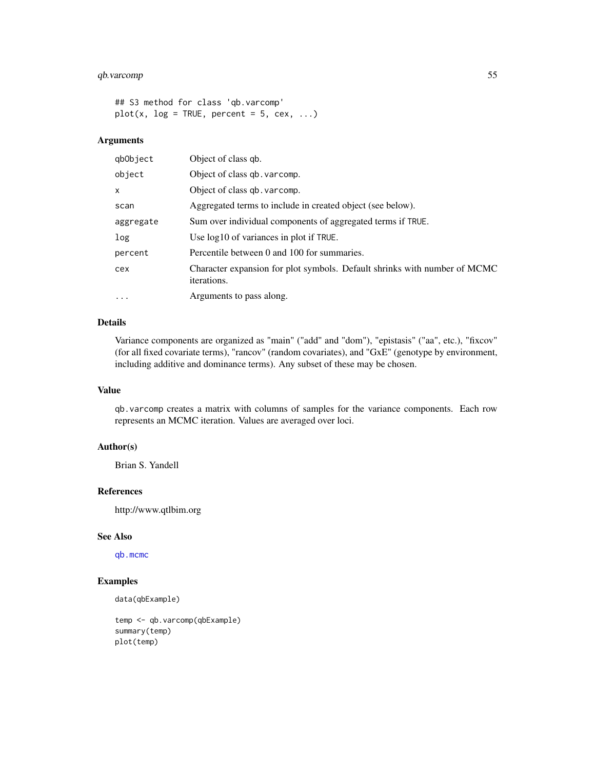### <span id="page-54-0"></span>qb.varcomp 55

```
## S3 method for class 'qb.varcomp'
plot(x, log = TRUE, percent = 5, cex, ...)
```
### Arguments

| qbObject  | Object of class qb.                                                                      |
|-----------|------------------------------------------------------------------------------------------|
| object    | Object of class qb. varcomp.                                                             |
| x         | Object of class qb. varcomp.                                                             |
| scan      | Aggregated terms to include in created object (see below).                               |
| aggregate | Sum over individual components of aggregated terms if TRUE.                              |
| log       | Use $log10$ of variances in plot if TRUE.                                                |
| percent   | Percentile between 0 and 100 for summaries.                                              |
| cex       | Character expansion for plot symbols. Default shrinks with number of MCMC<br>iterations. |
| $\ddotsc$ | Arguments to pass along.                                                                 |

### Details

Variance components are organized as "main" ("add" and "dom"), "epistasis" ("aa", etc.), "fixcov" (for all fixed covariate terms), "rancov" (random covariates), and "GxE" (genotype by environment, including additive and dominance terms). Any subset of these may be chosen.

### Value

qb.varcomp creates a matrix with columns of samples for the variance components. Each row represents an MCMC iteration. Values are averaged over loci.

### Author(s)

Brian S. Yandell

### References

http://www.qtlbim.org

#### See Also

[qb.mcmc](#page-33-1)

### Examples

```
data(qbExample)
```

```
temp <- qb.varcomp(qbExample)
summary(temp)
plot(temp)
```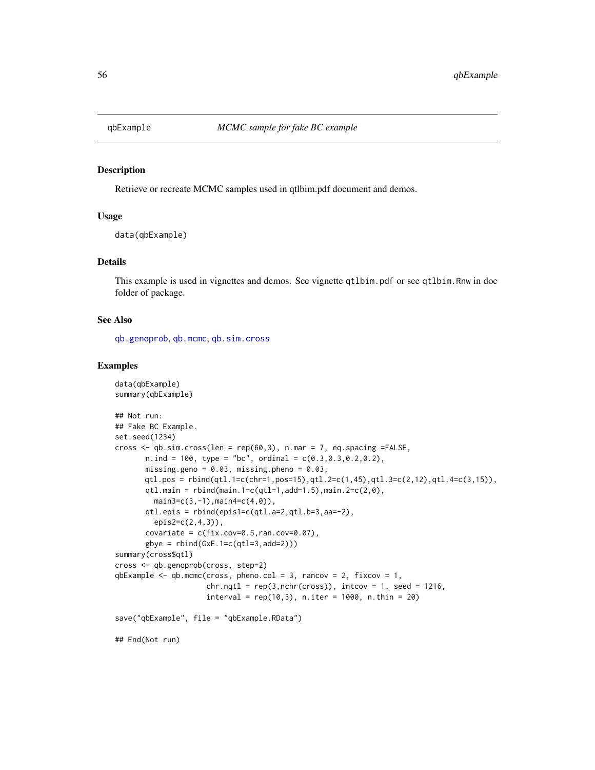<span id="page-55-0"></span>

### Description

Retrieve or recreate MCMC samples used in qtlbim.pdf document and demos.

#### Usage

data(qbExample)

### Details

This example is used in vignettes and demos. See vignette qtlbim.pdf or see qtlbim.Rnw in doc folder of package.

#### See Also

[qb.genoprob](#page-29-1), [qb.mcmc](#page-33-1), [qb.sim.cross](#page-45-1)

#### Examples

```
data(qbExample)
summary(qbExample)
## Not run:
## Fake BC Example.
set.seed(1234)
cross \leq qb.sim.cross(len = rep(60,3), n.mar = 7, eq.spacing =FALSE,
       n.ind = 100, type = "bc", ordinal = c(0.3, 0.3, 0.2, 0.2),
       missing.geno = 0.03, missing.pheno = 0.03,
       qtl.pos = rbind(qtl.1=c(chr=1,pos=15),qtl.2=c(1,45),qtl.3=c(2,12),qtl.4=c(3,15)),
       qtl.main = rbind(main.1=c(qtl=1,add=1.5), main.2=c(2,0),
        main3=c(3,-1), main4=c(4,0)),
       qtl.epis = rbind(epis1=c(qtl.a=2,qtl.b=3,aa=-2),
        epis2=c(2,4,3)),
       covariate = c(fix.cov=0.5, ran.cov=0.07),
       gbye = rbind(GxE.1=c(qtl=3,add=2)))summary(cross$qtl)
cross <- qb.genoprob(cross, step=2)
qbExample \leq qb.mcmc(cross, pheno.col = 3, rancov = 2, fixcov = 1,
                     chr.nqtl = rep(3, nchr(cross)), intcov = 1, seed = 1216,
                     interval = rep(10,3), n.iter = 1000, n.thin = 20)save("qbExample", file = "qbExample.RData")
## End(Not run)
```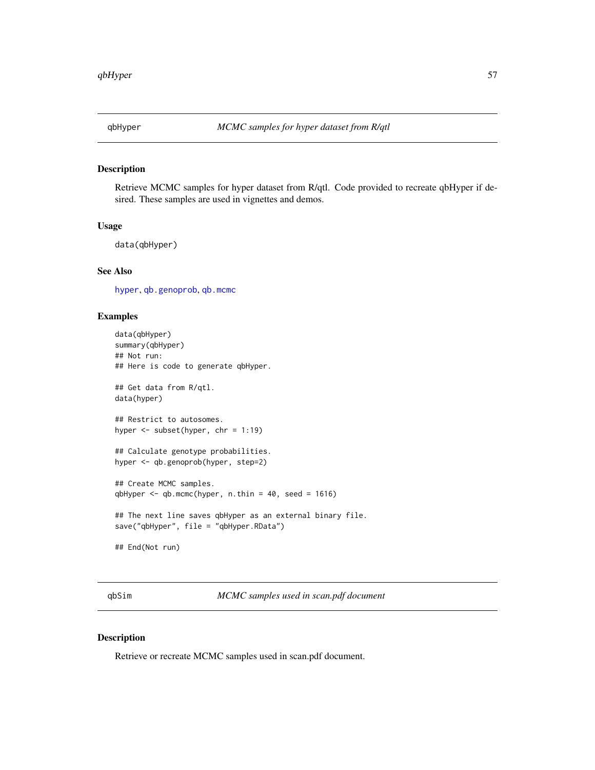<span id="page-56-0"></span>

#### Description

Retrieve MCMC samples for hyper dataset from R/qtl. Code provided to recreate qbHyper if desired. These samples are used in vignettes and demos.

#### Usage

data(qbHyper)

### See Also

[hyper](#page-0-0), [qb.genoprob](#page-29-1), [qb.mcmc](#page-33-1)

### Examples

```
data(qbHyper)
summary(qbHyper)
## Not run:
## Here is code to generate qbHyper.
## Get data from R/qtl.
data(hyper)
## Restrict to autosomes.
hyper <- subset(hyper, chr = 1:19)
## Calculate genotype probabilities.
hyper <- qb.genoprob(hyper, step=2)
## Create MCMC samples.
qbHyper <- qb.mcmc(hyper, n.thin = 40, seed = 1616)
## The next line saves qbHyper as an external binary file.
save("qbHyper", file = "qbHyper.RData")
## End(Not run)
```
qbSim *MCMC samples used in scan.pdf document*

#### Description

Retrieve or recreate MCMC samples used in scan.pdf document.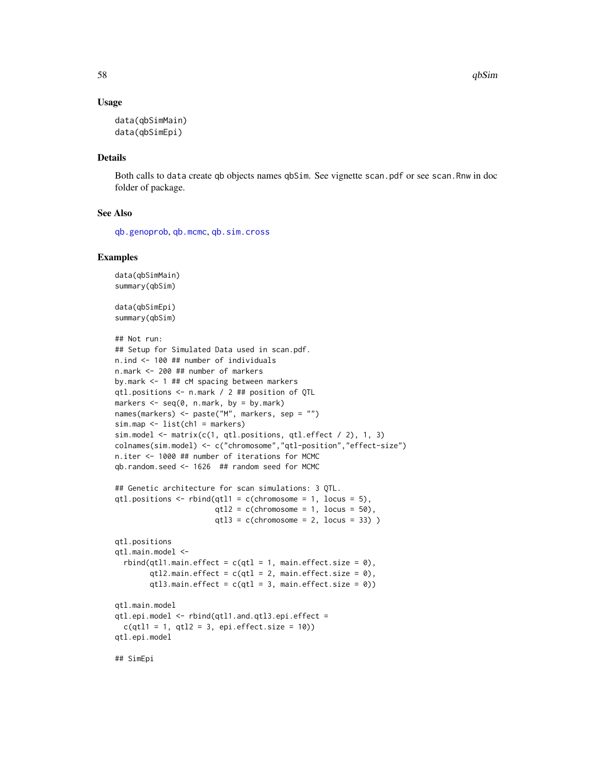#### Usage

```
data(qbSimMain)
data(qbSimEpi)
```
### Details

Both calls to data create qb objects names qbSim. See vignette scan.pdf or see scan.Rnw in doc folder of package.

### See Also

[qb.genoprob](#page-29-1), [qb.mcmc](#page-33-1), [qb.sim.cross](#page-45-1)

#### Examples

```
data(qbSimMain)
summary(qbSim)
data(qbSimEpi)
summary(qbSim)
## Not run:
## Setup for Simulated Data used in scan.pdf.
n.ind <- 100 ## number of individuals
n.mark <- 200 ## number of markers
by.mark <- 1 ## cM spacing between markers
qtl.positions <- n.mark / 2 ## position of QTL
markers \leq seq(0, n.mark, by = by.mark)
names(markers) <- paste("M", markers, sep = "")
sim.map \leftarrow list(ch1 = markers)sim.model <- matrix(c(1, qtl.positions, qtl.effect / 2), 1, 3)
colnames(sim.model) <- c("chromosome","qtl-position","effect-size")
n.iter <- 1000 ## number of iterations for MCMC
qb.random.seed <- 1626 ## random seed for MCMC
## Genetic architecture for scan simulations: 3 QTL.
qtl.positions \le rbind(qtl1 = c(chromosome = 1, locus = 5),
                       qtl2 = c(chromosome = 1, locus = 50),
                       qtl3 = c(chromosome = 2, locus = 33)qtl.positions
qtl.main.model <-
  rbind(qtl1.main.effect = c(qtl = 1, main.effect.size = 0),qtl2.main.effect = c(qt1 = 2, \text{ main.effect.size} = 0),
        qtl3.main.effect = c(qt1 = 3, \text{ main.effect.size} = 0))
qtl.main.model
qtl.epi.model <- rbind(qtl1.and.qtl3.epi.effect =
  c(qtl1 = 1, qtl2 = 3, epi.effect.size = 10)qtl.epi.model
## SimEpi
```
<span id="page-57-0"></span>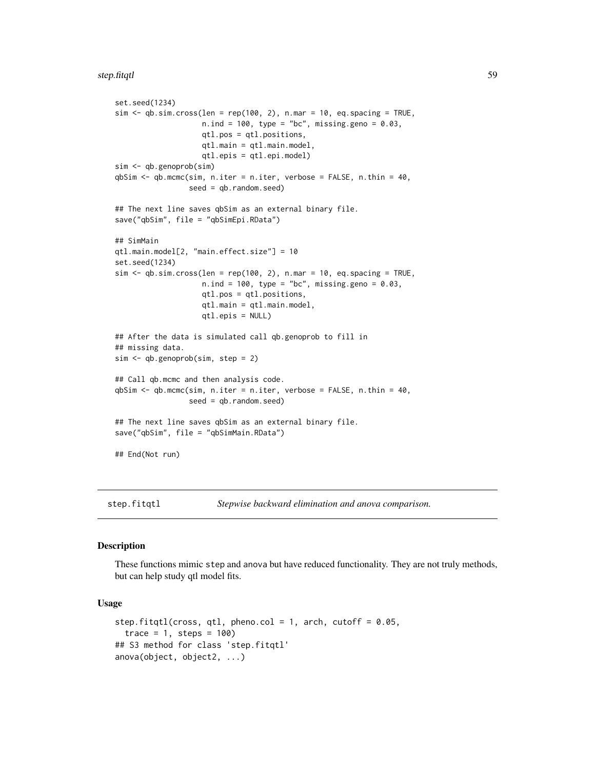```
set.seed(1234)
sim < qb.sim.cross(len = rep(100, 2), n.mar = 10, eq.spacing = TRUE,
                    n.ind = 100, type = "bc", missing.geno = 0.03,
                    qtl.pos = qtl.positions,
                    qtl.main = qtl.main.model,
                    qtl.epis = qtl.epi.model)
sim <- qb.genoprob(sim)
qbSim <- qb.mcmc(sim, n.iter = n.iter, verbose = FALSE, n.thin = 40,
                 seed = qb.random.seed)
## The next line saves qbSim as an external binary file.
save("qbSim", file = "qbSimEpi.RData")
## SimMain
qtl.main.model[2, "main.effect.size"] = 10
set.seed(1234)
sim < qb.sim.cross(len = rep(100, 2), n.mar = 10, eq.spacing = TRUE,
                    n.ind = 100, type = "bc", missing.geno = 0.03,
                    qtl.pos = qtl.positions,
                    qtl.main = qtl.main.model,
                    qtl.epis = NULL)
## After the data is simulated call qb.genoprob to fill in
## missing data.
sim <- qb.genoprob(sim, step = 2)
## Call qb.mcmc and then analysis code.
qbSim <- qb.mcmc(sim, n.iter = n.iter, verbose = FALSE, n.thin = 40,
                 seed = qb.random.seed)
## The next line saves qbSim as an external binary file.
save("qbSim", file = "qbSimMain.RData")
## End(Not run)
```
<span id="page-58-1"></span>step.fitqtl *Stepwise backward elimination and anova comparison.*

#### Description

These functions mimic step and anova but have reduced functionality. They are not truly methods, but can help study qtl model fits.

#### Usage

```
step.fitqtl(cross, qtl, pheno.col = 1, arch, cutoff = 0.05,
  trace = 1, steps = 100)
## S3 method for class 'step.fitqtl'
anova(object, object2, ...)
```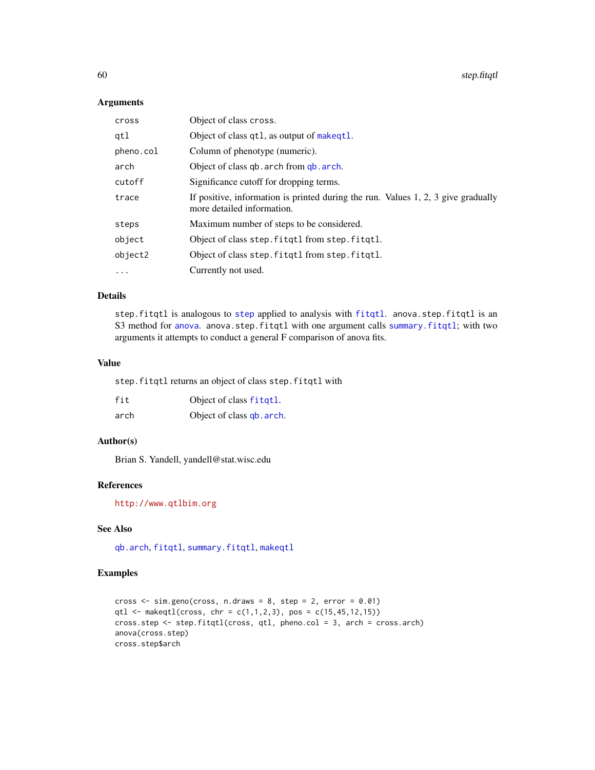60 step.fitqtl

### Arguments

| cross     | Object of class cross.                                                                                          |
|-----------|-----------------------------------------------------------------------------------------------------------------|
| qtl       | Object of class qt1, as output of makeqt1.                                                                      |
| pheno.col | Column of phenotype (numeric).                                                                                  |
| arch      | Object of class qb. arch from qb. arch.                                                                         |
| cutoff    | Significance cutoff for dropping terms.                                                                         |
| trace     | If positive, information is printed during the run. Values 1, 2, 3 give gradually<br>more detailed information. |
| steps     | Maximum number of steps to be considered.                                                                       |
| object    | Object of class step. fitqtl from step. fitqtl.                                                                 |
| object2   | Object of class step. fitgtl from step. fitgtl.                                                                 |
| $\ddotsc$ | Currently not used.                                                                                             |

### Details

step.fitqtl is analogous to [step](#page-0-0) applied to analysis with [fitqtl](#page-0-0). anova.step.fitqtl is an S3 method for [anova](#page-0-0). anova.step.fitqtl with one argument calls [summary.fitqtl](#page-0-0); with two arguments it attempts to conduct a general F comparison of anova fits.

### Value

step.fitqtl returns an object of class step.fitqtl with

| fit  | Object of class fitgtl.   |
|------|---------------------------|
| arch | Object of class qb. arch. |

#### Author(s)

Brian S. Yandell, yandell@stat.wisc.edu

#### References

<http://www.qtlbim.org>

### See Also

[qb.arch](#page-16-1), [fitqtl](#page-0-0), [summary.fitqtl](#page-0-0), [makeqtl](#page-0-0)

### Examples

```
cross \le sim.geno(cross, n.draws = 8, step = 2, error = 0.01)
qtl <- makeqtl(cross, chr = c(1,1,2,3), pos = c(15,45,12,15))
cross.step \le step.fitqtl(cross, qtl, pheno.col = 3, arch = cross.arch)
anova(cross.step)
cross.step$arch
```
<span id="page-59-0"></span>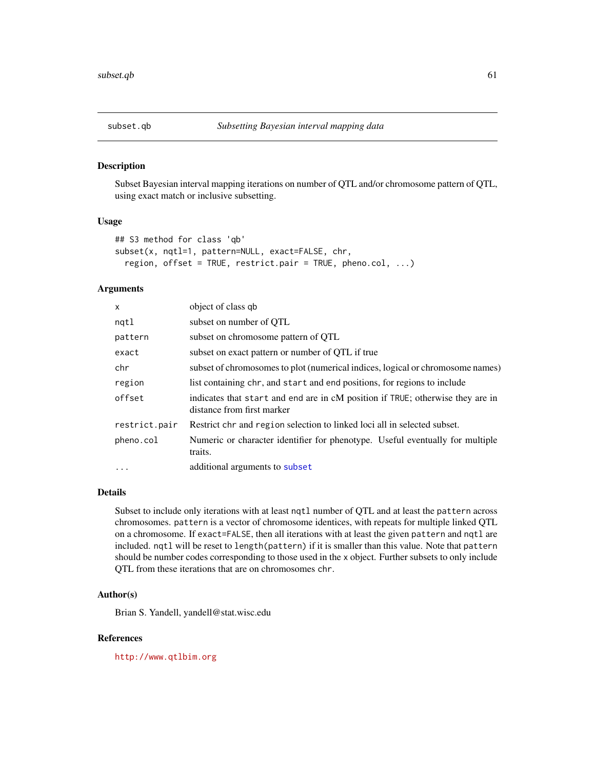<span id="page-60-1"></span><span id="page-60-0"></span>

#### Description

Subset Bayesian interval mapping iterations on number of QTL and/or chromosome pattern of QTL, using exact match or inclusive subsetting.

#### Usage

```
## S3 method for class 'qb'
subset(x, nqtl=1, pattern=NULL, exact=FALSE, chr,
  region, offset = TRUE, restrict.pair = TRUE, pheno.col, ...)
```
#### Arguments

| x             | object of class qb                                                                                           |
|---------------|--------------------------------------------------------------------------------------------------------------|
| ngtl          | subset on number of OTL                                                                                      |
| pattern       | subset on chromosome pattern of QTL                                                                          |
| exact         | subset on exact pattern or number of QTL if true                                                             |
| chr           | subset of chromosomes to plot (numerical indices, logical or chromosome names)                               |
| region        | list containing chr, and start and end positions, for regions to include                                     |
| offset        | indicates that start and end are in cM position if TRUE; otherwise they are in<br>distance from first marker |
| restrict.pair | Restrict chr and region selection to linked loci all in selected subset.                                     |
| pheno.col     | Numeric or character identifier for phenotype. Useful eventually for multiple<br>traits.                     |
| $\cdots$      | additional arguments to subset                                                                               |
|               |                                                                                                              |

### Details

Subset to include only iterations with at least nqtl number of QTL and at least the pattern across chromosomes. pattern is a vector of chromosome identices, with repeats for multiple linked QTL on a chromosome. If exact=FALSE, then all iterations with at least the given pattern and nqtl are included. nqtl will be reset to length(pattern) if it is smaller than this value. Note that pattern should be number codes corresponding to those used in the x object. Further subsets to only include QTL from these iterations that are on chromosomes chr.

### Author(s)

Brian S. Yandell, yandell@stat.wisc.edu

#### References

<http://www.qtlbim.org>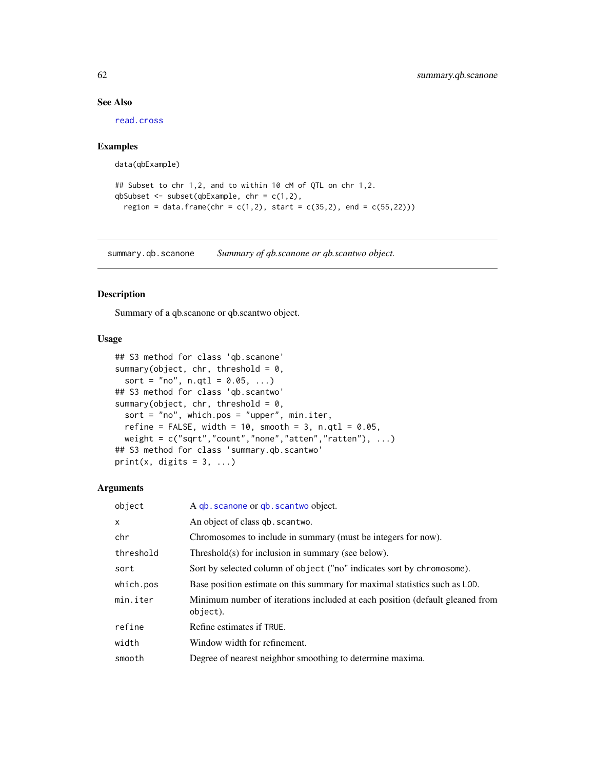### See Also

[read.cross](#page-0-0)

### Examples

```
data(qbExample)
```

```
## Subset to chr 1,2, and to within 10 cM of QTL on chr 1,2.
qbSubset <- subset(qbExample, chr = c(1,2),
  region = data.frame(chr = c(1,2), start = c(35,2), end = c(55,22)))
```
<span id="page-61-1"></span>summary.qb.scanone *Summary of qb.scanone or qb.scantwo object.*

### Description

Summary of a qb.scanone or qb.scantwo object.

### Usage

```
## S3 method for class 'qb.scanone'
summary(object, chr, threshold = 0,
 sort = "no", n.qt1 = 0.05, ...## S3 method for class 'qb.scantwo'
summary(object, chr, threshold = 0,
 sort = "no", which.pos = "upper", min.iter,
 refine = FALSE, width = 10, smooth = 3, n.qtl = 0.05,
 weight = c("sqrt", "count", "none", "atten", "rather"), ...## S3 method for class 'summary.qb.scantwo'
print(x, digits = 3, ...)
```

| object       | A qb. scanone or qb. scantwo object.                                                     |
|--------------|------------------------------------------------------------------------------------------|
| $\mathsf{x}$ | An object of class qb. scantwo.                                                          |
| chr          | Chromosomes to include in summary (must be integers for now).                            |
| threshold    | Threshold(s) for inclusion in summary (see below).                                       |
| sort         | Sort by selected column of object ("no" indicates sort by chromosome).                   |
| which.pos    | Base position estimate on this summary for maximal statistics such as LOD.               |
| min.iter     | Minimum number of iterations included at each position (default gleaned from<br>object). |
| refine       | Refine estimates if TRUE.                                                                |
| width        | Window width for refinement.                                                             |
| smooth       | Degree of nearest neighbor smoothing to determine maxima.                                |

<span id="page-61-0"></span>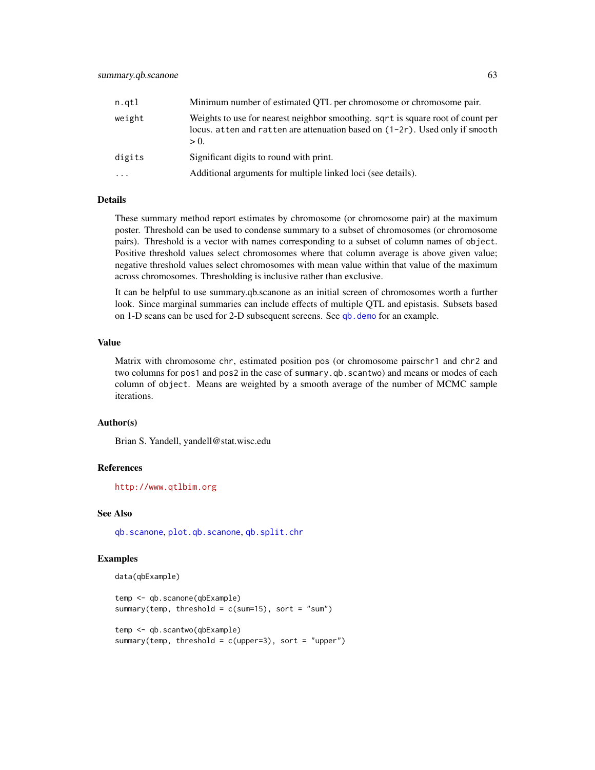<span id="page-62-0"></span>

| n.qtl    | Minimum number of estimated QTL per chromosome or chromosome pair.                                                                                                            |
|----------|-------------------------------------------------------------------------------------------------------------------------------------------------------------------------------|
| weight   | Weights to use for nearest neighbor smoothing, sqrt is square root of count per<br>locus. atten and ratten are attenuation based on $(1-2r)$ . Used only if smooth<br>$> 0$ . |
| digits   | Significant digits to round with print.                                                                                                                                       |
| $\cdots$ | Additional arguments for multiple linked loci (see details).                                                                                                                  |

#### Details

These summary method report estimates by chromosome (or chromosome pair) at the maximum poster. Threshold can be used to condense summary to a subset of chromosomes (or chromosome pairs). Threshold is a vector with names corresponding to a subset of column names of object. Positive threshold values select chromosomes where that column average is above given value; negative threshold values select chromosomes with mean value within that value of the maximum across chromosomes. Thresholding is inclusive rather than exclusive.

It can be helpful to use summary.qb.scanone as an initial screen of chromosomes worth a further look. Since marginal summaries can include effects of multiple QTL and epistasis. Subsets based on 1-D scans can be used for 2-D subsequent screens. See qb. demo for an example.

### Value

Matrix with chromosome chr, estimated position pos (or chromosome pairschr1 and chr2 and two columns for pos1 and pos2 in the case of summary.qb.scantwo) and means or modes of each column of object. Means are weighted by a smooth average of the number of MCMC sample iterations.

#### Author(s)

Brian S. Yandell, yandell@stat.wisc.edu

#### References

<http://www.qtlbim.org>

#### See Also

[qb.scanone](#page-41-1), [plot.qb.scanone](#page-12-1), [qb.split.chr](#page-9-1)

#### Examples

```
data(qbExample)
```

```
temp <- qb.scanone(qbExample)
summary(temp, threshold = c(sum=15), sort = "sum")
temp <- qb.scantwo(qbExample)
```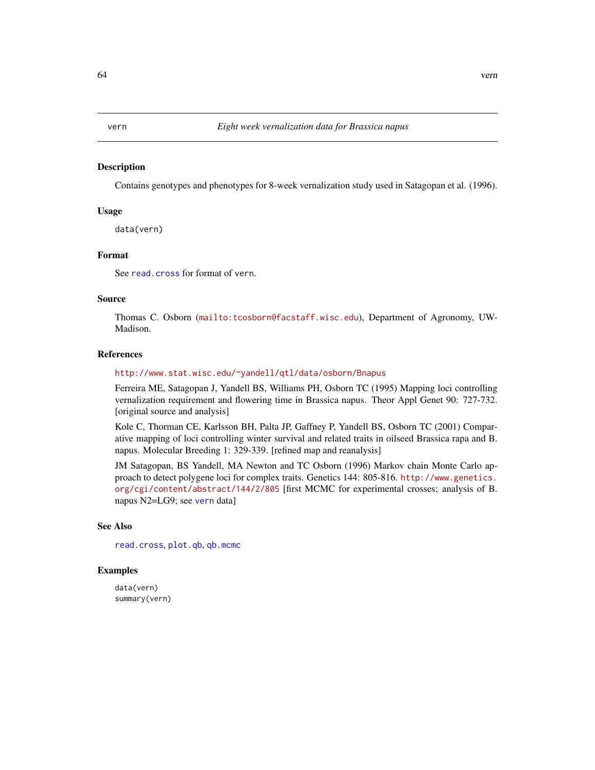<span id="page-63-1"></span><span id="page-63-0"></span>

#### Description

Contains genotypes and phenotypes for 8-week vernalization study used in Satagopan et al. (1996).

#### Usage

data(vern)

### Format

See [read.cross](#page-0-0) for format of vern.

### Source

Thomas C. Osborn (<mailto:tcosborn@facstaff.wisc.edu>), Department of Agronomy, UW-Madison.

#### References

#### <http://www.stat.wisc.edu/~yandell/qtl/data/osborn/Bnapus>

Ferreira ME, Satagopan J, Yandell BS, Williams PH, Osborn TC (1995) Mapping loci controlling vernalization requirement and flowering time in Brassica napus. Theor Appl Genet 90: 727-732. [original source and analysis]

Kole C, Thorman CE, Karlsson BH, Palta JP, Gaffney P, Yandell BS, Osborn TC (2001) Comparative mapping of loci controlling winter survival and related traits in oilseed Brassica rapa and B. napus. Molecular Breeding 1: 329-339. [refined map and reanalysis]

JM Satagopan, BS Yandell, MA Newton and TC Osborn (1996) Markov chain Monte Carlo approach to detect polygene loci for complex traits. Genetics 144: 805-816. [http://www.genetics.](http://www.genetics.org/cgi/content/abstract/144/2/805) [org/cgi/content/abstract/144/2/805](http://www.genetics.org/cgi/content/abstract/144/2/805) [first MCMC for experimental crosses; analysis of B. napus N2=LG9; see [vern](#page-63-1) data]

#### See Also

[read.cross](#page-0-0), [plot.qb](#page-4-1), [qb.mcmc](#page-33-1)

#### Examples

data(vern) summary(vern)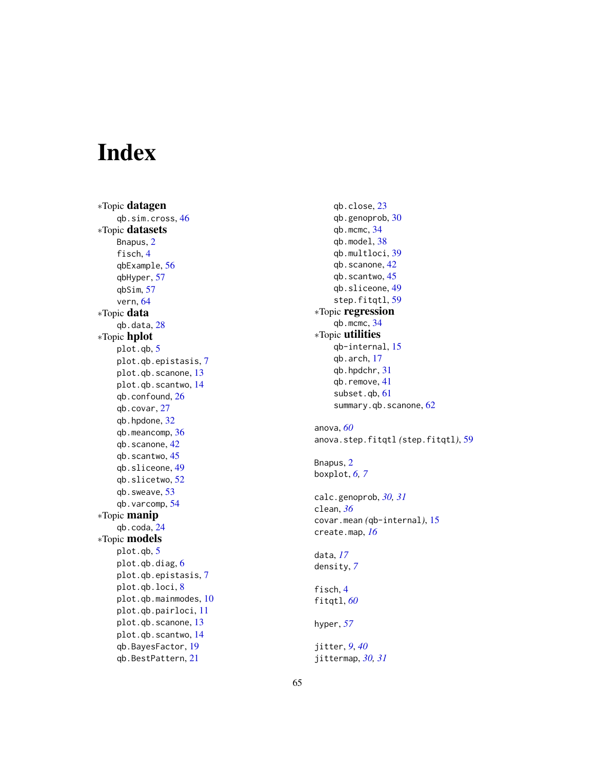# <span id="page-64-0"></span>Index

∗Topic datagen qb.sim.cross , [46](#page-45-0) ∗Topic datasets Bnapus, [2](#page-1-0) fisch , [4](#page-3-0) qbExample , [56](#page-55-0) qbHyper , [57](#page-56-0) qbSim , [57](#page-56-0) vern , [64](#page-63-0) ∗Topic data qb.data , [28](#page-27-0) ∗Topic hplot plot.qb , [5](#page-4-0) plot.qb.epistasis , [7](#page-6-0) plot.qb.scanone , [13](#page-12-0) plot.qb.scantwo , [14](#page-13-0) qb.confound , [26](#page-25-0) qb.covar , [27](#page-26-0) qb.hpdone , [32](#page-31-0) qb.meancomp , [36](#page-35-0) qb.scanone, [42](#page-41-0) qb.scantwo, [45](#page-44-0) qb.sliceone , [49](#page-48-0) qb.slicetwo , [52](#page-51-0) qb.sweave , [53](#page-52-0) qb.varcomp , [54](#page-53-0) ∗Topic manip qb.coda , [24](#page-23-0) ∗Topic models plot.qb, [5](#page-4-0) plot.qb.diag, <mark>[6](#page-5-0)</mark> plot.qb.epistasis , [7](#page-6-0) plot.qb.loci , [8](#page-7-0) plot.qb.mainmodes , [10](#page-9-0) plot.qb.pairloci , [11](#page-10-0) plot.qb.scanone , [13](#page-12-0) plot.qb.scantwo , [14](#page-13-0) qb.BayesFactor , [19](#page-18-0) qb.BestPattern , [21](#page-20-0)

qb.close , [23](#page-22-0) qb.genoprob, [30](#page-29-0) qb.mcmc , [34](#page-33-0) qb.model , [38](#page-37-0) qb.multloci , [39](#page-38-0) qb.scanone, [42](#page-41-0) qb.scantwo, [45](#page-44-0) qb.sliceone , [49](#page-48-0) step.fitqtl , [59](#page-58-0) ∗Topic regression qb.mcmc , [34](#page-33-0) ∗Topic utilities qb-internal , [15](#page-14-0) qb.arch , [17](#page-16-0) qb.hpdchr , [31](#page-30-0) qb.remove , [41](#page-40-0) subset.qb , [61](#page-60-0) summary.qb.scanone, [62](#page-61-0) anova , *[60](#page-59-0)* anova.step.fitqtl *(*step.fitqtl *)* , [59](#page-58-0) Bnapus, [2](#page-1-0) boxplot , *[6,](#page-5-0) [7](#page-6-0)* calc.genoprob , *[30](#page-29-0) , [31](#page-30-0)* clean , *[36](#page-35-0)* covar.mean *(*qb-internal *)* , [15](#page-14-0) create.map , *[16](#page-15-0)* data , *[17](#page-16-0)* density , *[7](#page-6-0)* fisch , [4](#page-3-0) fitqtl , *[60](#page-59-0)* hyper , *[57](#page-56-0)* jitter , *[9](#page-8-0)* , *[40](#page-39-0)* jittermap , *[30](#page-29-0) , [31](#page-30-0)*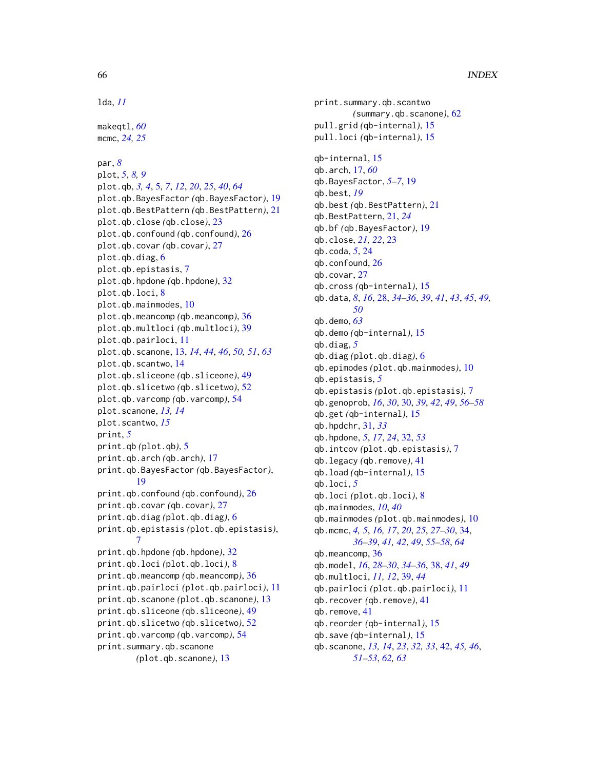lda, *[11](#page-10-0)* makeqtl, *[60](#page-59-0)* mcmc, *[24,](#page-23-0) [25](#page-24-0)* par, *[8](#page-7-0)* plot, *[5](#page-4-0)*, *[8,](#page-7-0) [9](#page-8-0)* plot.qb, *[3,](#page-2-0) [4](#page-3-0)*, [5,](#page-4-0) *[7](#page-6-0)*, *[12](#page-11-0)*, *[20](#page-19-0)*, *[25](#page-24-0)*, *[40](#page-39-0)*, *[64](#page-63-0)* plot.qb.BayesFactor *(*qb.BayesFactor*)*, [19](#page-18-0) plot.qb.BestPattern *(*qb.BestPattern*)*, [21](#page-20-0) plot.qb.close *(*qb.close*)*, [23](#page-22-0) plot.qb.confound *(*qb.confound*)*, [26](#page-25-0) plot.qb.covar *(*qb.covar*)*, [27](#page-26-0) plot.qb.diag, [6](#page-5-0) plot.qb.epistasis, [7](#page-6-0) plot.qb.hpdone *(*qb.hpdone*)*, [32](#page-31-0) plot.qb.loci, [8](#page-7-0) plot.qb.mainmodes, [10](#page-9-0) plot.qb.meancomp *(*qb.meancomp*)*, [36](#page-35-0) plot.qb.multloci *(*qb.multloci*)*, [39](#page-38-0) plot.qb.pairloci, [11](#page-10-0) plot.qb.scanone, [13,](#page-12-0) *[14](#page-13-0)*, *[44](#page-43-0)*, *[46](#page-45-0)*, *[50,](#page-49-0) [51](#page-50-0)*, *[63](#page-62-0)* plot.qb.scantwo, [14](#page-13-0) plot.qb.sliceone *(*qb.sliceone*)*, [49](#page-48-0) plot.qb.slicetwo *(*qb.slicetwo*)*, [52](#page-51-0) plot.qb.varcomp *(*qb.varcomp*)*, [54](#page-53-0) plot.scanone, *[13,](#page-12-0) [14](#page-13-0)* plot.scantwo, *[15](#page-14-0)* print, *[5](#page-4-0)* print.qb *(*plot.qb*)*, [5](#page-4-0) print.qb.arch *(*qb.arch*)*, [17](#page-16-0) print.qb.BayesFactor *(*qb.BayesFactor*)*, [19](#page-18-0) print.qb.confound *(*qb.confound*)*, [26](#page-25-0) print.qb.covar *(*qb.covar*)*, [27](#page-26-0) print.qb.diag *(*plot.qb.diag*)*, [6](#page-5-0) print.qb.epistasis *(*plot.qb.epistasis*)*, [7](#page-6-0) print.qb.hpdone *(*qb.hpdone*)*, [32](#page-31-0) print.qb.loci *(*plot.qb.loci*)*, [8](#page-7-0) print.qb.meancomp *(*qb.meancomp*)*, [36](#page-35-0) print.qb.pairloci *(*plot.qb.pairloci*)*, [11](#page-10-0) print.qb.scanone *(*plot.qb.scanone*)*, [13](#page-12-0) print.qb.sliceone *(*qb.sliceone*)*, [49](#page-48-0) print.qb.slicetwo *(*qb.slicetwo*)*, [52](#page-51-0) print.qb.varcomp *(*qb.varcomp*)*, [54](#page-53-0) print.summary.qb.scanone *(*plot.qb.scanone*)*, [13](#page-12-0)

print.summary.qb.scantwo *(*summary.qb.scanone*)*, [62](#page-61-0) pull.grid *(*qb-internal*)*, [15](#page-14-0) pull.loci *(*qb-internal*)*, [15](#page-14-0) qb-internal, [15](#page-14-0) qb.arch, [17,](#page-16-0) *[60](#page-59-0)* qb.BayesFactor, *[5](#page-4-0)[–7](#page-6-0)*, [19](#page-18-0) qb.best, *[19](#page-18-0)* qb.best *(*qb.BestPattern*)*, [21](#page-20-0) qb.BestPattern, [21,](#page-20-0) *[24](#page-23-0)* qb.bf *(*qb.BayesFactor*)*, [19](#page-18-0) qb.close, *[21,](#page-20-0) [22](#page-21-0)*, [23](#page-22-0) qb.coda, *[5](#page-4-0)*, [24](#page-23-0) qb.confound, [26](#page-25-0) qb.covar, [27](#page-26-0) qb.cross *(*qb-internal*)*, [15](#page-14-0) qb.data, *[8](#page-7-0)*, *[16](#page-15-0)*, [28,](#page-27-0) *[34](#page-33-0)[–36](#page-35-0)*, *[39](#page-38-0)*, *[41](#page-40-0)*, *[43](#page-42-0)*, *[45](#page-44-0)*, *[49,](#page-48-0) [50](#page-49-0)* qb.demo, *[63](#page-62-0)* qb.demo *(*qb-internal*)*, [15](#page-14-0) qb.diag, *[5](#page-4-0)* qb.diag *(*plot.qb.diag*)*, [6](#page-5-0) qb.epimodes *(*plot.qb.mainmodes*)*, [10](#page-9-0) qb.epistasis, *[5](#page-4-0)* qb.epistasis *(*plot.qb.epistasis*)*, [7](#page-6-0) qb.genoprob, *[16](#page-15-0)*, *[30](#page-29-0)*, [30,](#page-29-0) *[39](#page-38-0)*, *[42](#page-41-0)*, *[49](#page-48-0)*, *[56](#page-55-0)[–58](#page-57-0)* qb.get *(*qb-internal*)*, [15](#page-14-0) qb.hpdchr, [31,](#page-30-0) *[33](#page-32-0)* qb.hpdone, *[5](#page-4-0)*, *[17](#page-16-0)*, *[24](#page-23-0)*, [32,](#page-31-0) *[53](#page-52-0)* qb.intcov *(*plot.qb.epistasis*)*, [7](#page-6-0) qb.legacy *(*qb.remove*)*, [41](#page-40-0) qb.load *(*qb-internal*)*, [15](#page-14-0) qb.loci, *[5](#page-4-0)* qb.loci *(*plot.qb.loci*)*, [8](#page-7-0) qb.mainmodes, *[10](#page-9-0)*, *[40](#page-39-0)* qb.mainmodes *(*plot.qb.mainmodes*)*, [10](#page-9-0) qb.mcmc, *[4,](#page-3-0) [5](#page-4-0)*, *[16,](#page-15-0) [17](#page-16-0)*, *[20](#page-19-0)*, *[25](#page-24-0)*, *[27](#page-26-0)[–30](#page-29-0)*, [34,](#page-33-0) *[36](#page-35-0)[–39](#page-38-0)*, *[41,](#page-40-0) [42](#page-41-0)*, *[49](#page-48-0)*, *[55](#page-54-0)[–58](#page-57-0)*, *[64](#page-63-0)* qb.meancomp, [36](#page-35-0) qb.model, *[16](#page-15-0)*, *[28](#page-27-0)[–30](#page-29-0)*, *[34](#page-33-0)[–36](#page-35-0)*, [38,](#page-37-0) *[41](#page-40-0)*, *[49](#page-48-0)* qb.multloci, *[11,](#page-10-0) [12](#page-11-0)*, [39,](#page-38-0) *[44](#page-43-0)* qb.pairloci *(*plot.qb.pairloci*)*, [11](#page-10-0) qb.recover *(*qb.remove*)*, [41](#page-40-0) qb.remove, [41](#page-40-0) qb.reorder *(*qb-internal*)*, [15](#page-14-0) qb.save *(*qb-internal*)*, [15](#page-14-0) qb.scanone, *[13,](#page-12-0) [14](#page-13-0)*, *[23](#page-22-0)*, *[32,](#page-31-0) [33](#page-32-0)*, [42,](#page-41-0) *[45,](#page-44-0) [46](#page-45-0)*, *[51](#page-50-0)[–53](#page-52-0)*, *[62,](#page-61-0) [63](#page-62-0)*